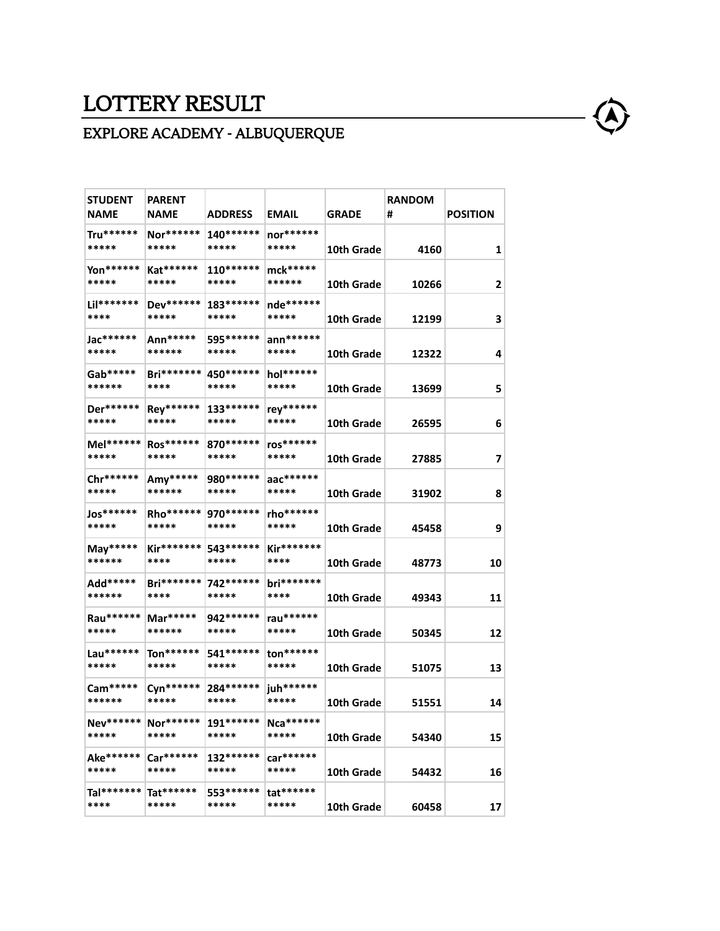## LOTTERY RESULT

## EXPLORE ACADEMY - ALBUQUERQUE

| <b>STUDENT</b><br><b>NAME</b> | <b>PARENT</b><br><b>NAME</b>               | <b>ADDRESS</b>       | <b>EMAIL</b>         | <b>GRADE</b> | <b>RANDOM</b><br># | <b>POSITION</b>         |
|-------------------------------|--------------------------------------------|----------------------|----------------------|--------------|--------------------|-------------------------|
| Tru******<br>*****            | Nor******<br>*****                         | 140******<br>*****   | $nor******$<br>***** | 10th Grade   | 4160               | 1                       |
| Yon******<br>*****            | Kat******<br>*****                         | $110******$<br>***** | mck*****<br>******   | 10th Grade   | 10266              | $\overline{\mathbf{c}}$ |
| Lil*******<br>****            | Dev******<br>*****                         | 183******<br>*****   | nde******<br>*****   | 10th Grade   | 12199              | 3                       |
| Jac******<br>*****            | Ann*****<br>******                         | 595 ******<br>*****  | $ann******$<br>***** | 10th Grade   | 12322              | 4                       |
| Gab*****<br>******            | <b>Bri*******</b><br>****                  | 450 *******<br>***** | hol******<br>*****   | 10th Grade   | 13699              | 5                       |
| Der******<br>*****            | Rey******<br>*****                         | 133******<br>*****   | rey******<br>*****   | 10th Grade   | 26595              | 6                       |
| Mel******<br>*****            | Ros******<br>*****                         | 870 ******<br>*****  | ros******<br>*****   | 10th Grade   | 27885              | 7                       |
| Chr******<br>*****            | Amy*****<br>******                         | 980 *******<br>***** | aac******<br>*****   | 10th Grade   | 31902              | 8                       |
| Jos******<br>*****            | Rho******<br>*****                         | 970 *******<br>***** | rho******<br>*****   | 10th Grade   | 45458              | 9                       |
| $May****$<br>******           | $Kir******$<br>****                        | 543******<br>*****   | Kir*******<br>****   | 10th Grade   | 48773              | 10                      |
| Add*****<br>******            | <b>Bri*******</b><br>****                  | 742******<br>*****   | $bri******$<br>****  | 10th Grade   | 49343              | 11                      |
| Rau******<br>*****            | Mar*****<br>******                         | 942******<br>*****   | rau******<br>*****   | 10th Grade   | 50345              | 12                      |
| Lau******<br>*****            | $\text{Tor}^{*****}$<br>*****              | 541******<br>*****   | $ton******$<br>***** | 10th Grade   | 51075              | 13                      |
| $Cam****$<br>******           | Cyn******<br>*****                         | 284******<br>*****   | juh******<br>*****   | 10th Grade   | 51551              | 14                      |
| *****                         | Nev******   Nor******   191******<br>***** | *****                | Nca******<br>*****   | 10th Grade   | 54340              | 15                      |
| Ake******<br>*****            | $Car******$<br>*****                       | 132******<br>*****   | car******<br>*****   | 10th Grade   | 54432              | 16                      |
| Tal*******<br>****            | $Tat******$<br>*****                       | 553******<br>*****   | tat******<br>*****   | 10th Grade   | 60458              | 17                      |
|                               |                                            |                      |                      |              |                    |                         |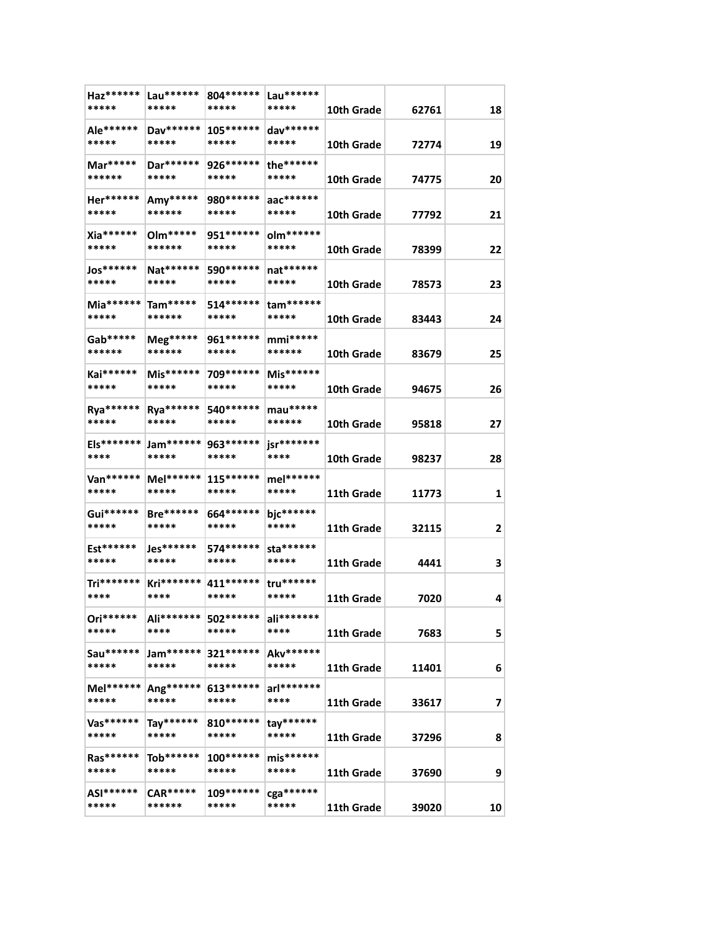| Haz******<br>*****   | Lau******<br>*****         | 804******<br>*****   | Lau******<br>*****   | 10th Grade | 62761 | 18 |
|----------------------|----------------------------|----------------------|----------------------|------------|-------|----|
| Ale******<br>*****   | Dav******<br>*****         | $105******$<br>***** | dav******<br>*****   | 10th Grade | 72774 | 19 |
| Mar*****<br>******   | Dar******<br>*****         | 926 *******<br>***** | the******<br>*****   | 10th Grade | 74775 | 20 |
| Her******<br>*****   | Amy*****<br>******         | 980 *******<br>***** | aac******<br>*****   | 10th Grade | 77792 | 21 |
| Xia******<br>*****   | 0lm*****<br>******         | 951 ******<br>*****  | olm******<br>*****   | 10th Grade | 78399 | 22 |
| Jos******<br>*****   | Nat******<br>*****         | 590 ******<br>*****  | $nat******$<br>***** | 10th Grade | 78573 | 23 |
| Mia******<br>*****   | Tam*****<br>******         | $514******$<br>***** | $tam******$<br>***** | 10th Grade | 83443 | 24 |
| Gab*****<br>******   | Meg*****<br>******         | 961 *******<br>***** | $mmi***$<br>******   | 10th Grade | 83679 | 25 |
| Kai******<br>*****   | Mis******<br>*****         | 709 ******<br>*****  | Mis******<br>*****   | 10th Grade | 94675 | 26 |
| Rya******<br>*****   | Rya******<br>*****         | 540 *******<br>***** | $mau***$<br>******   | 10th Grade | 95818 | 27 |
| Els*******<br>****   | Jam******<br>*****         | 963******<br>*****   | jsr*******<br>****   |            |       |    |
| Van******            | Mel******                  | $115******$          | mel******            | 10th Grade | 98237 | 28 |
| *****<br>Gui******   | *****<br><b>Bre******</b>  | *****<br>664******   | *****<br>bjc******   | 11th Grade | 11773 | 1  |
| *****<br>Est******   | *****<br>Jes******         | *****<br>574******   | *****<br>sta******   | 11th Grade | 32115 | 2  |
| *****                | *****                      | *****                | *****                | 11th Grade | 4441  | 3  |
| Tri*******<br>****   | Kri*******<br>****         | 411 ******<br>*****  | tru******<br>*****   | 11th Grade | 7020  | 4  |
| Ori******<br>*****   | Ali*******<br>****         | 502******<br>*****   | ali*******<br>****   | 11th Grade | 7683  | 5  |
| Sau*******<br>*****  | Jam******<br>*****         | 321******<br>*****   | Akv******<br>*****   | 11th Grade | 11401 | 6  |
| $Mel******$<br>***** | Ang******<br>*****         | 613******<br>*****   | arl*******<br>****   | 11th Grade | 33617 | 7  |
| Vas******<br>*****   | Tay******<br>*****         | $810******$<br>***** | $tay******$<br>***** | 11th Grade | 37296 | 8  |
| Ras******<br>*****   | $\rm{Tab^{****}}$<br>***** | 100******<br>*****   | $mis******$<br>***** | 11th Grade | 37690 | 9  |
| ASI******<br>*****   | $CAR*****$<br>******       | 109******<br>*****   | cga******<br>*****   | 11th Grade | 39020 | 10 |
|                      |                            |                      |                      |            |       |    |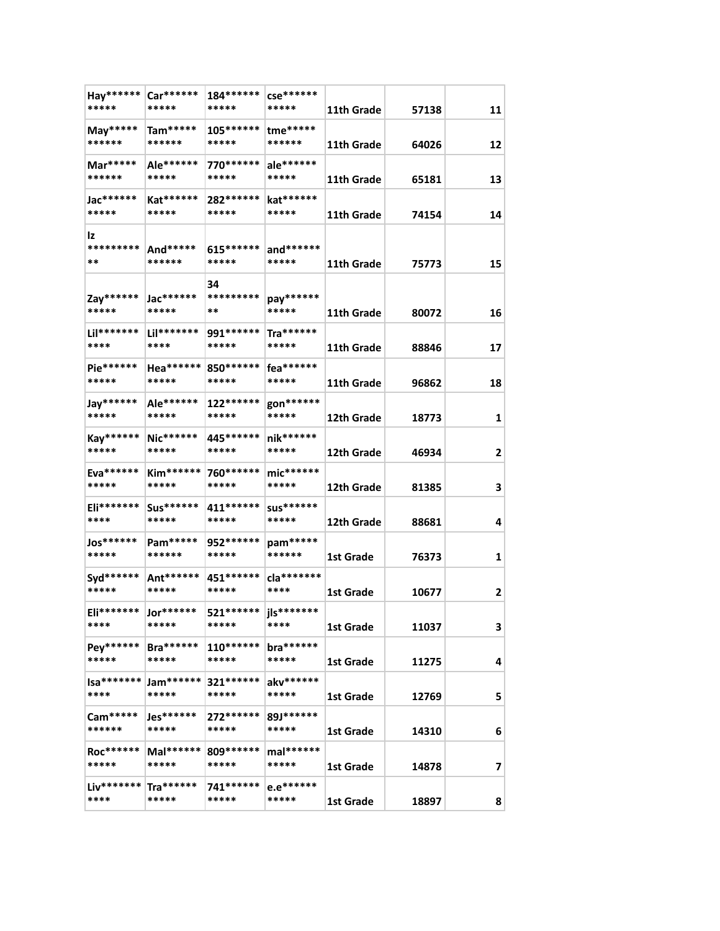| Hay******<br>*****    | Car******<br>*****              | 184******<br>*****    | $cse******$<br>*****      | 11th Grade | 57138 | 11 |
|-----------------------|---------------------------------|-----------------------|---------------------------|------------|-------|----|
| May*****<br>******    | $Tam****$<br>******             | 105******<br>*****    | tme*****<br>******        | 11th Grade | 64026 | 12 |
| Mar*****              | Ale******                       | 770******             | ale******                 |            |       |    |
| ******                | *****                           | *****                 | *****                     | 11th Grade | 65181 | 13 |
| Jac******             | Kat******                       | 282 ******            | kat******                 |            |       |    |
| *****                 | *****                           | *****                 | *****                     | 11th Grade | 74154 | 14 |
| Iz<br>*********<br>** | And*****<br>******              | 615******<br>*****    | and******<br>*****        | 11th Grade | 75773 | 15 |
| Zay******<br>*****    | Jac******<br>*****              | 34<br>*********<br>** | pay******<br>*****        | 11th Grade | 80072 | 16 |
| Lil*******<br>****    | Lil*******<br>****              | 991 *******<br>*****  | Tra******<br>*****        | 11th Grade | 88846 | 17 |
| Pie******             | Hea******                       |                       | fea******                 |            |       |    |
| *****                 | *****                           | 850 *******<br>*****  | *****                     | 11th Grade | 96862 | 18 |
| Jay******<br>*****    | Ale******<br>*****              | 122******<br>*****    | gon******<br>*****        | 12th Grade | 18773 | 1  |
| Kay******<br>*****    | Nic******<br>*****              | 445 ******<br>*****   | nik******<br>*****        | 12th Grade | 46934 | 2  |
| Eva******             | <b>Kim******</b>                | 760******             | $mic******$               |            |       |    |
| *****                 | *****                           | *****                 | *****                     | 12th Grade | 81385 | 3  |
| Eli*******<br>****    | Sus******<br>*****              | 411******<br>*****    | <b>SUS******</b><br>***** | 12th Grade | 88681 | 4  |
| Jos******<br>*****    | Pam*****<br>******              | 952 *******<br>*****  | pam*****<br>******        | 1st Grade  | 76373 | 1  |
| $Syd******$           | Ant******                       | 451******             | cla*******                |            |       |    |
| *****                 | *****                           | *****                 | ****                      | 1st Grade  | 10677 | 2  |
| Eli*******<br>****    | Jor******<br>*****              | 521******<br>*****    | jls*******<br>****        | 1st Grade  | 11037 | 3  |
| Pey******<br>*****    | <b>Bra******</b><br>*****       | $110******$<br>*****  | bra******<br>*****        |            |       |    |
|                       |                                 |                       |                           | 1st Grade  | 11275 | 4  |
| Isa*******<br>****    | Jam******<br>*****              | 321 ******<br>*****   | akv******<br>*****        | 1st Grade  | 12769 | 5  |
| Cam*****<br>******    | ${\sf les^{*****}}$<br>*****    | $272******$<br>*****  | 89J******<br>*****        | 1st Grade  | 14310 | 6  |
|                       |                                 |                       |                           |            |       |    |
| Roc******<br>*****    | $Mal******$<br>*****            | 809******<br>*****    | mal******<br>*****        | 1st Grade  | 14878 | 7  |
| Liv*******  <br>****  | $\mathsf{Tra^{*****}}$<br>***** | 741******<br>*****    | e.e******<br>*****        | 1st Grade  | 18897 | 8  |
|                       |                                 |                       |                           |            |       |    |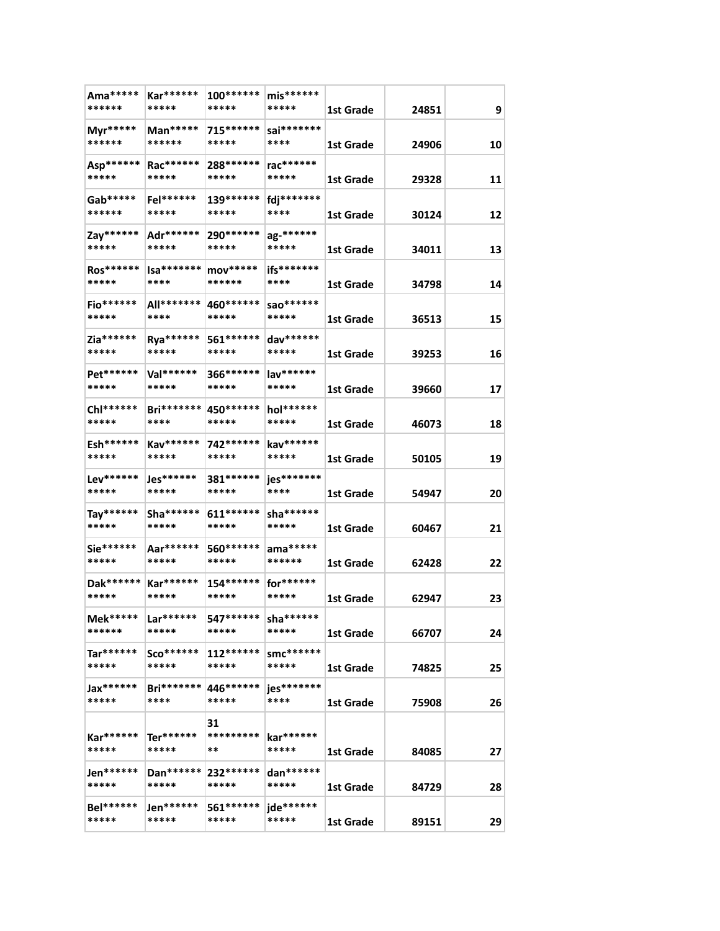| Ama*****<br>******        | Kar******<br>*****         | 100*******<br>*****   | $mis******$<br>*****             | 1st Grade | 24851 | 9  |
|---------------------------|----------------------------|-----------------------|----------------------------------|-----------|-------|----|
| Myr*****<br>******        | Man*****<br>******         | 715******<br>*****    | sai********<br>****              | 1st Grade | 24906 | 10 |
| Asp******<br>*****        | Rac******<br>*****         | 288******<br>*****    | rac******<br>*****               | 1st Grade | 29328 | 11 |
| Gab*****<br>******        | Fel******<br>*****         | 139******<br>*****    | fdj*******<br>****               | 1st Grade | 30124 | 12 |
| Zay******<br>*****        | Adr******<br>*****         | 290 ******<br>*****   | ag-******<br>*****               | 1st Grade | 34011 | 13 |
| Ros******<br>*****        | $Isa*******$<br>****       | $mov****$<br>******   | ifs*******<br>****               |           |       |    |
| Fio******                 | All*******                 | 460 ******            | sao*******<br>*****              | 1st Grade | 34798 | 14 |
| *****<br>Zia******        | ****<br>Rya******          | *****<br>561 *******  | dav******                        | 1st Grade | 36513 | 15 |
| *****<br>Pet******        | *****<br>Val******         | *****<br>366******    | *****<br>lav******               | 1st Grade | 39253 | 16 |
| *****<br>Chl******        | *****<br><b>Bri*******</b> | *****<br>450 ******   | *****<br>hol******               | 1st Grade | 39660 | 17 |
| *****<br>Esh******        | ****<br>Kav******          | *****<br>742 ******   | *****<br>kav******               | 1st Grade | 46073 | 18 |
| *****<br>Lev******        | *****                      | *****                 | *****<br>jes*******              | 1st Grade | 50105 | 19 |
| *****                     | Jes******<br>*****         | 381 ******<br>*****   | ****                             | 1st Grade | 54947 | 20 |
| Tay******<br>*****        | Sha *******<br>*****       | $611******$<br>*****  | sha *******<br>*****             | 1st Grade | 60467 | 21 |
| Sie******<br>*****        | Aar******<br>*****         | 560******<br>*****    | $ama*****$<br>******             | 1st Grade | 62428 | 22 |
| Dak******<br>*****        | Kar******<br>*****         | 154 *******<br>*****  | for******<br>*****               | 1st Grade | 62947 | 23 |
| Mek*****<br>******        | $Lar*****$<br>*****        | 547******<br>*****    | sha *******<br>*****             | 1st Grade | 66707 | 24 |
| $Tar*****$<br>*****       | $Sco******$<br>*****       | $112******$<br>*****  | smc******<br>*****               | 1st Grade | 74825 | 25 |
| <b>Jax******</b><br>***** | <b>Bri*******</b><br>****  | 446******<br>*****    | jes*******<br>****               | 1st Grade | 75908 | 26 |
| Kar******<br>*****        | $Ter******$<br>*****       | 31<br>*********<br>** | kar******<br>*****               | 1st Grade | 84085 | 27 |
| Jen******<br>*****        | Dan******<br>*****         | 232******<br>*****    | $\frac{1}{2}$ dan******<br>***** | 1st Grade | 84729 | 28 |
| Bel******<br>*****        | Jen******<br>*****         | 561******<br>*****    | jde******<br>*****               | 1st Grade | 89151 | 29 |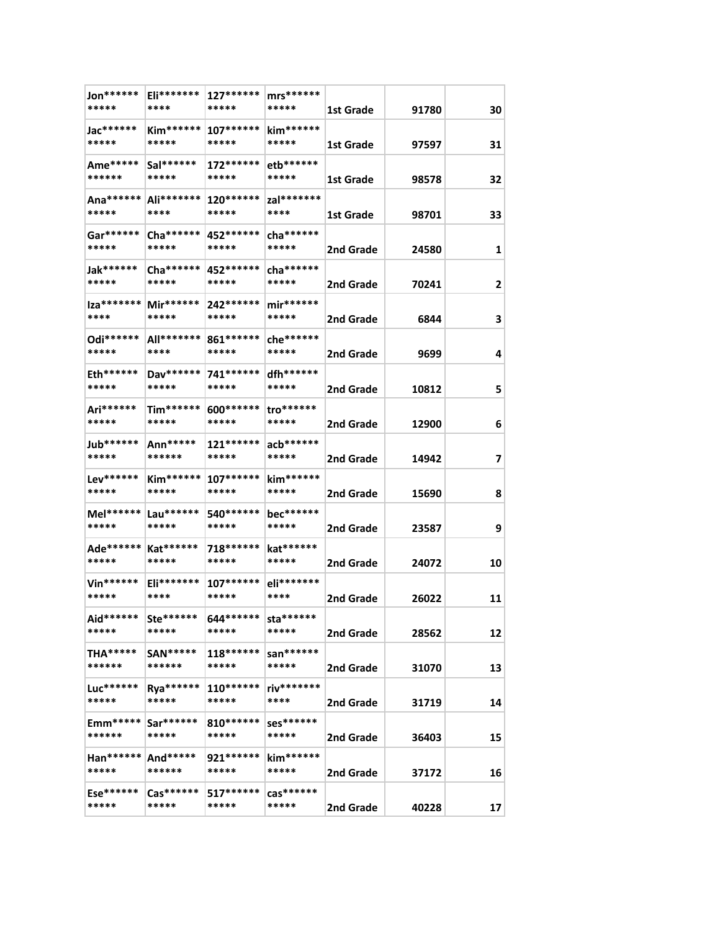| 1st Grade<br>91780<br>kim******<br>Jac******<br>$Kim*****$<br>$107******$<br>*****<br>*****<br>*****<br>*****<br>1st Grade<br>97597<br>Ame*****<br>$Sal*******$<br>$172******$<br>etb******<br>******<br>*****<br>*****<br>*****<br>98578<br>1st Grade<br>Ana******<br>Ali*******<br>120 ******<br>zal*******<br>*****<br>****<br>*****<br>****<br>98701<br>1st Grade<br>cha ******<br>Gar******<br>$Cha******$<br>452******<br>*****<br>*****<br>*****<br>*****<br>2nd Grade<br>24580<br>Jak******<br>$Cha*****$<br>452 ******<br>$cha******$<br>*****<br>*****<br>*****<br>*****<br>2nd Grade<br>70241<br>$ za****** $<br>Mir******<br>$mir******$<br>242******<br>****<br>*****<br>*****<br>*****<br>2nd Grade<br>6844<br>Odi******<br>All*******<br>861******<br>che******<br>*****<br>****<br>*****<br>*****<br>2nd Grade<br>9699<br>dfh******<br>Eth******<br>Dav******<br>741******<br>*****<br>*****<br>*****<br>*****<br>2nd Grade<br>10812 | 30         |
|------------------------------------------------------------------------------------------------------------------------------------------------------------------------------------------------------------------------------------------------------------------------------------------------------------------------------------------------------------------------------------------------------------------------------------------------------------------------------------------------------------------------------------------------------------------------------------------------------------------------------------------------------------------------------------------------------------------------------------------------------------------------------------------------------------------------------------------------------------------------------------------------------------------------------------------------------|------------|
|                                                                                                                                                                                                                                                                                                                                                                                                                                                                                                                                                                                                                                                                                                                                                                                                                                                                                                                                                      |            |
|                                                                                                                                                                                                                                                                                                                                                                                                                                                                                                                                                                                                                                                                                                                                                                                                                                                                                                                                                      | 31         |
|                                                                                                                                                                                                                                                                                                                                                                                                                                                                                                                                                                                                                                                                                                                                                                                                                                                                                                                                                      | 32         |
|                                                                                                                                                                                                                                                                                                                                                                                                                                                                                                                                                                                                                                                                                                                                                                                                                                                                                                                                                      |            |
|                                                                                                                                                                                                                                                                                                                                                                                                                                                                                                                                                                                                                                                                                                                                                                                                                                                                                                                                                      | 33         |
|                                                                                                                                                                                                                                                                                                                                                                                                                                                                                                                                                                                                                                                                                                                                                                                                                                                                                                                                                      | 1          |
|                                                                                                                                                                                                                                                                                                                                                                                                                                                                                                                                                                                                                                                                                                                                                                                                                                                                                                                                                      | 2          |
|                                                                                                                                                                                                                                                                                                                                                                                                                                                                                                                                                                                                                                                                                                                                                                                                                                                                                                                                                      | 3          |
|                                                                                                                                                                                                                                                                                                                                                                                                                                                                                                                                                                                                                                                                                                                                                                                                                                                                                                                                                      |            |
|                                                                                                                                                                                                                                                                                                                                                                                                                                                                                                                                                                                                                                                                                                                                                                                                                                                                                                                                                      | 4          |
|                                                                                                                                                                                                                                                                                                                                                                                                                                                                                                                                                                                                                                                                                                                                                                                                                                                                                                                                                      | 5          |
| Tim******<br>Ari******<br>600 *******<br>tro******<br>*****<br>*****<br>*****<br>*****<br>2nd Grade<br>12900                                                                                                                                                                                                                                                                                                                                                                                                                                                                                                                                                                                                                                                                                                                                                                                                                                         | 6          |
| Jub******<br>$121******$<br>$acb******$<br>Ann*****<br>*****<br>******<br>*****<br>*****<br>2nd Grade<br>14942                                                                                                                                                                                                                                                                                                                                                                                                                                                                                                                                                                                                                                                                                                                                                                                                                                       | 7          |
| Lev******<br><b>Kim******</b><br>$107******$<br>kim******<br>*****<br>*****<br>*****<br>*****<br>2nd Grade<br>15690                                                                                                                                                                                                                                                                                                                                                                                                                                                                                                                                                                                                                                                                                                                                                                                                                                  | 8          |
| Mel******<br>Lau******<br>540 *******<br>bec******                                                                                                                                                                                                                                                                                                                                                                                                                                                                                                                                                                                                                                                                                                                                                                                                                                                                                                   |            |
| *****<br>*****<br>*****<br>*****<br>23587<br>2nd Grade                                                                                                                                                                                                                                                                                                                                                                                                                                                                                                                                                                                                                                                                                                                                                                                                                                                                                               | 9          |
| kat******<br>Ade******  <br>Kat******<br>718******<br>*****<br>*****<br>*****<br>*****<br>2nd Grade<br>24072                                                                                                                                                                                                                                                                                                                                                                                                                                                                                                                                                                                                                                                                                                                                                                                                                                         | 10         |
| Vin******<br>Eli*******<br>eli*******<br>$107******$                                                                                                                                                                                                                                                                                                                                                                                                                                                                                                                                                                                                                                                                                                                                                                                                                                                                                                 |            |
| *****<br>****<br>*****<br>****<br>2nd Grade<br>26022                                                                                                                                                                                                                                                                                                                                                                                                                                                                                                                                                                                                                                                                                                                                                                                                                                                                                                 | 11         |
| Aid******<br>Ste******<br>644 ******<br>sta******<br>*****<br>*****<br>*****<br>*****<br>2nd Grade<br>28562                                                                                                                                                                                                                                                                                                                                                                                                                                                                                                                                                                                                                                                                                                                                                                                                                                          | 12         |
| san******<br><b>THA*****</b><br><b>SAN*****</b><br>$118******$<br>******<br>******<br>*****<br>*****<br>2nd Grade<br>31070                                                                                                                                                                                                                                                                                                                                                                                                                                                                                                                                                                                                                                                                                                                                                                                                                           | 13         |
| riv*******<br>Luc******<br>Rya******<br>$110******$<br>*****<br>*****<br>*****<br>****<br>2nd Grade<br>31719                                                                                                                                                                                                                                                                                                                                                                                                                                                                                                                                                                                                                                                                                                                                                                                                                                         | 14         |
| $Emm****$<br>$Sar******$<br>$810******$<br>Ses******                                                                                                                                                                                                                                                                                                                                                                                                                                                                                                                                                                                                                                                                                                                                                                                                                                                                                                 |            |
| ******<br>*****<br>*****<br>*****<br>2nd Grade<br>36403                                                                                                                                                                                                                                                                                                                                                                                                                                                                                                                                                                                                                                                                                                                                                                                                                                                                                              | 15         |
| Han******<br>And*****<br>921******<br>$\text{kim}$ ******<br>*****<br>******<br>*****<br>*****<br>2nd Grade<br>37172                                                                                                                                                                                                                                                                                                                                                                                                                                                                                                                                                                                                                                                                                                                                                                                                                                 | 16         |
| Ese******<br>517******<br>$\text{cas}^{******}$<br>$\text{Cas}^{******}$<br>*****<br>*****<br>*****<br>*****<br>2nd Grade<br>40228                                                                                                                                                                                                                                                                                                                                                                                                                                                                                                                                                                                                                                                                                                                                                                                                                   | $17 \vert$ |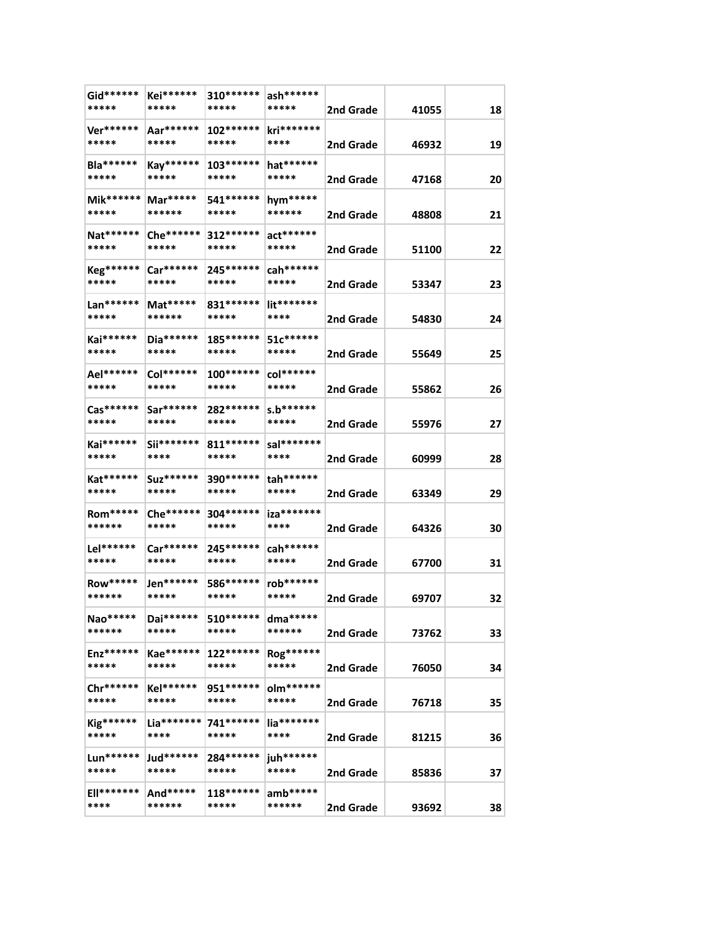| Gid******<br>*****        | Kei******<br>*****   | 310******<br>*****   | ash******<br>*****   | 2nd Grade | 41055 | 18 |
|---------------------------|----------------------|----------------------|----------------------|-----------|-------|----|
| Ver******                 | Aar******            | $102******$          | kri*******           |           |       |    |
| *****                     | *****                | *****                | ****                 | 2nd Grade | 46932 | 19 |
| Bla******<br>*****        | Kay******<br>*****   | $103******$<br>***** | hat******<br>*****   | 2nd Grade | 47168 | 20 |
| Mik******<br>*****        | Mar*****<br>******   | 541 ******<br>*****  | hym*****<br>******   | 2nd Grade | 48808 | 21 |
| Nat******<br>*****        | Che******<br>*****   | 312 ******<br>*****  | $act******$<br>***** | 2nd Grade | 51100 | 22 |
| Keg******<br>*****        | $Car******$<br>***** | 245******<br>*****   | $cah*****$<br>*****  | 2nd Grade | 53347 | 23 |
| Lan******                 | Mat*****             | 831 *******          | $l$ it*******        |           |       |    |
| *****                     | ******               | *****                | ****                 | 2nd Grade | 54830 | 24 |
| Kai******<br>*****        | Dia******<br>*****   | $185******$<br>***** | 51c******<br>*****   | 2nd Grade | 55649 | 25 |
| Ael******<br>*****        | Col******<br>*****   | $100******$<br>***** | col******<br>*****   | 2nd Grade | 55862 | 26 |
| Cas******<br>*****        | Sar******<br>*****   | 282******<br>*****   | $s.b******$<br>***** | 2nd Grade | 55976 | 27 |
| Kai******<br>*****        | Sii*******<br>****   | $811******$<br>***** | sal********<br>****  | 2nd Grade | 60999 | 28 |
| Kat******<br>*****        | $Suz******$<br>***** | 390 ******<br>*****  | tah******<br>*****   | 2nd Grade | 63349 | 29 |
| <b>Rom*****</b><br>****** | Che******<br>*****   | 304 ******<br>*****  | iza*******<br>****   |           |       |    |
| Lel******                 | Car******            | 245 *******          | cah******            | 2nd Grade | 64326 | 30 |
| *****                     | *****                | *****                | *****                | 2nd Grade | 67700 | 31 |
| <b>Row*****</b><br>****** | Jen******<br>*****   | 586******<br>*****   | rob******<br>*****   | 2nd Grade | 69707 | 32 |
| Nao*****<br>******        | $Dai******$<br>***** | 510 ******<br>*****  | dma*****<br>******   | 2nd Grade | 73762 | 33 |
| $Enz******$<br>*****      | Kae******<br>*****   | $122******$<br>***** | Rog******<br>*****   |           |       |    |
| Chr******                 | Kel******            | 951 ******           | olm******            | 2nd Grade | 76050 | 34 |
| *****                     | *****                | *****                | *****                | 2nd Grade | 76718 | 35 |
| Kig******<br>*****        | $Lia******$<br>****  | 741******<br>*****   | lia*******<br>****   | 2nd Grade | 81215 | 36 |
| Lun******<br>*****        | Jud******<br>*****   | 284******<br>*****   | juh******<br>*****   | 2nd Grade | 85836 | 37 |
| <b>Ell*******</b><br>**** | And*****<br>******   | $118******$<br>***** | $amb*****$<br>****** | 2nd Grade | 93692 | 38 |
|                           |                      |                      |                      |           |       |    |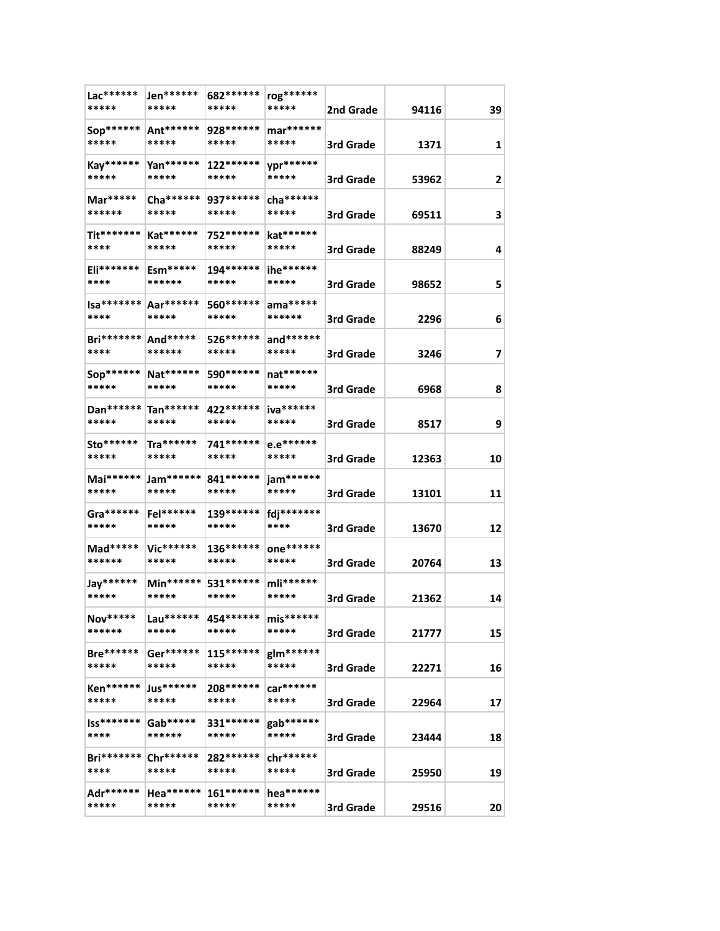| Jen******<br>*****   | 682 *******<br>*****                                               | rog******<br>*****   | 2nd Grade | 94116     | 39    |
|----------------------|--------------------------------------------------------------------|----------------------|-----------|-----------|-------|
| Ant******<br>*****   | 928******<br>*****                                                 | mar******<br>*****   | 3rd Grade | 1371      | 1     |
| $Yan******$<br>***** | $122******$<br>*****                                               | ypr******<br>*****   | 3rd Grade | 53962     | 2     |
| Cha ******<br>*****  | 937******<br>*****                                                 | cha *******<br>***** | 3rd Grade | 69511     | 3     |
| Kat******<br>*****   | 752 ******<br>*****                                                | kat******<br>*****   | 3rd Grade | 88249     | 4     |
| Esm*****<br>******   | 194******<br>*****                                                 | ihe******<br>*****   | 3rd Grade | 98652     | 5     |
| *****                | 560 *******<br>*****                                               | ama*****<br>******   | 3rd Grade | 2296      | 6     |
| And*****<br>******   | 526 ******<br>*****                                                | and******<br>*****   | 3rd Grade | 3246      | 7     |
| Nat******<br>*****   | 590 *******<br>*****                                               | nat******<br>*****   |           | 6968      | 8     |
| *****                | 422 ******<br>*****                                                | iva******<br>*****   | 3rd Grade | 8517      | 9     |
| $Tra******$<br>***** | 741******<br>*****                                                 | e.e******<br>*****   | 3rd Grade | 12363     | 10    |
| Jam******<br>*****   | 841 *******<br>*****                                               | jam******<br>*****   | 3rd Grade | 13101     | 11    |
| Fel******<br>*****   | 139 *******<br>*****                                               | fdj********<br>****  | 3rd Grade | 13670     | 12    |
| Vic******<br>*****   | 136******<br>*****                                                 | one******<br>*****   | 3rd Grade | 20764     | 13    |
| Min******<br>*****   | 531 ******<br>*****                                                | mli******<br>*****   | 3rd Grade | 21362     | 14    |
| Lau******<br>*****   | 454******<br>*****                                                 | $mis******$<br>***** | 3rd Grade | 21777     | 15    |
| Ger******<br>*****   | $115******$<br>*****                                               | glm******<br>*****   | 3rd Grade |           | 16    |
| Jus******<br>*****   | 208 *******<br>*****                                               | car******<br>*****   | 3rd Grade | 22964     | 17    |
| Gab*****<br>******   | 331******<br>*****                                                 | gab******<br>*****   | 3rd Grade | 23444     | 18    |
| Chr******<br>*****   | 282******<br>*****                                                 | chr******<br>*****   | 3rd Grade | 25950     | 19    |
| Hea******<br>*****   | $161******$<br>*****                                               | hea******<br>*****   | 3rd Grade | 29516     | 20    |
| <b>Bri*******</b>    | $Isa****** Aar****** $<br>Dan****** Tan******<br><b>Bri*******</b> |                      |           | 3rd Grade | 22271 |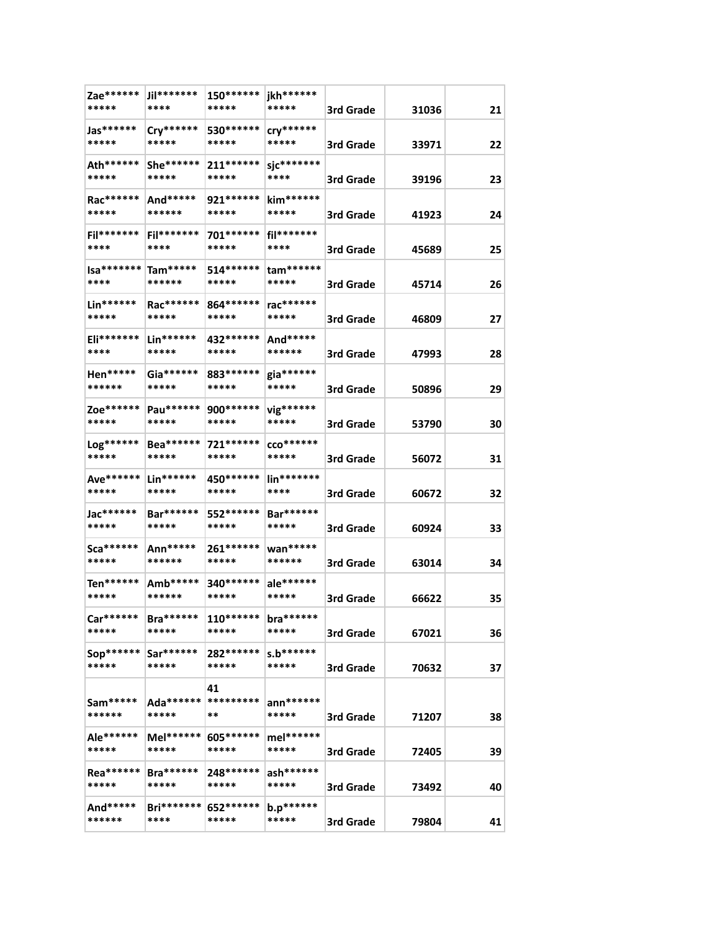| Zae******<br>*****   | Jil*******<br>****             | 150******<br>*****   | jkh******<br>*****               | 3rd Grade | 31036 | 21 |
|----------------------|--------------------------------|----------------------|----------------------------------|-----------|-------|----|
| Jas******<br>*****   | Cry******<br>*****             | 530 ******<br>*****  | $\mathsf{cry}^{******}$<br>***** | 3rd Grade | 33971 | 22 |
| Ath******<br>*****   | She******<br>*****             | 211 ******<br>*****  | sjc*******<br>****               | 3rd Grade | 39196 | 23 |
| Rac******<br>*****   | And*****<br>******             | 921******<br>*****   | kim******<br>*****               | 3rd Grade | 41923 | 24 |
| Fil*******<br>****   | $Fil******$<br>****            | 701******<br>*****   | fil*******<br>****               | 3rd Grade | 45689 | 25 |
| $Isa*******$<br>**** | Tam*****<br>******             | 514 ******<br>*****  | $tan*****$<br>*****              | 3rd Grade | 45714 | 26 |
| Lin******<br>*****   | Rac******<br>*****             | 864 ******<br>*****  | rac*******<br>*****              |           |       |    |
| Eli*******           | $Lin******$                    | 432 ******           | And*****                         | 3rd Grade | 46809 | 27 |
| ****<br>Hen*****     | *****<br>Gia******             | *****<br>883******   | ******<br>gia******              | 3rd Grade | 47993 | 28 |
| ******<br>Zoe******  | *****<br>Pau******             | *****<br>900 ******  | *****<br>vig******               | 3rd Grade | 50896 | 29 |
| *****<br>Log******   | *****<br>Bea******             | *****<br>721 ******* | *****<br>$CCO*******$            | 3rd Grade | 53790 | 30 |
| *****<br>Ave******   | *****<br>Lin******             | *****<br>450 ******* | *****<br>lin*******              | 3rd Grade | 56072 | 31 |
| *****<br>Jac******   | *****<br>Bar******             | *****<br>552******   | ****<br>Bar******                | 3rd Grade | 60672 | 32 |
| *****<br>Sca******   | *****<br>Ann*****              | *****<br>261 ******  | *****<br>wan*****                | 3rd Grade | 60924 | 33 |
| *****                | ******                         | *****                | ******                           | 3rd Grade | 63014 | 34 |
| Ten******<br>*****   | Amb*****<br>******             | 340 *******<br>***** | ale******<br>*****               | 3rd Grade | 66622 | 35 |
| Car******<br>*****   | $Bra******$<br>*****           | $110******$<br>***** | bra******<br>*****               | 3rd Grade | 67021 | 36 |
| Sop******<br>*****   | Sar******<br>*****             | 282******<br>*****   | $s.b******$<br>*****             | 3rd Grade | 70632 | 37 |
| Sam*****<br>******   | Ada******  **********<br>***** | 41<br>**             | $ann******$<br>*****             | 3rd Grade | 71207 | 38 |
| Ale******<br>*****   | Mel******<br>*****             | 605 ******<br>*****  | mel******<br>*****               | 3rd Grade | 72405 | 39 |
| Rea******<br>*****   | $Bra******$<br>*****           | 248******<br>*****   | $ash*****$<br>*****              | 3rd Grade | 73492 | 40 |
| And*****<br>******   | <b>Bri*******</b><br>****      | 652******<br>*****   | b.p******<br>*****               | 3rd Grade | 79804 | 41 |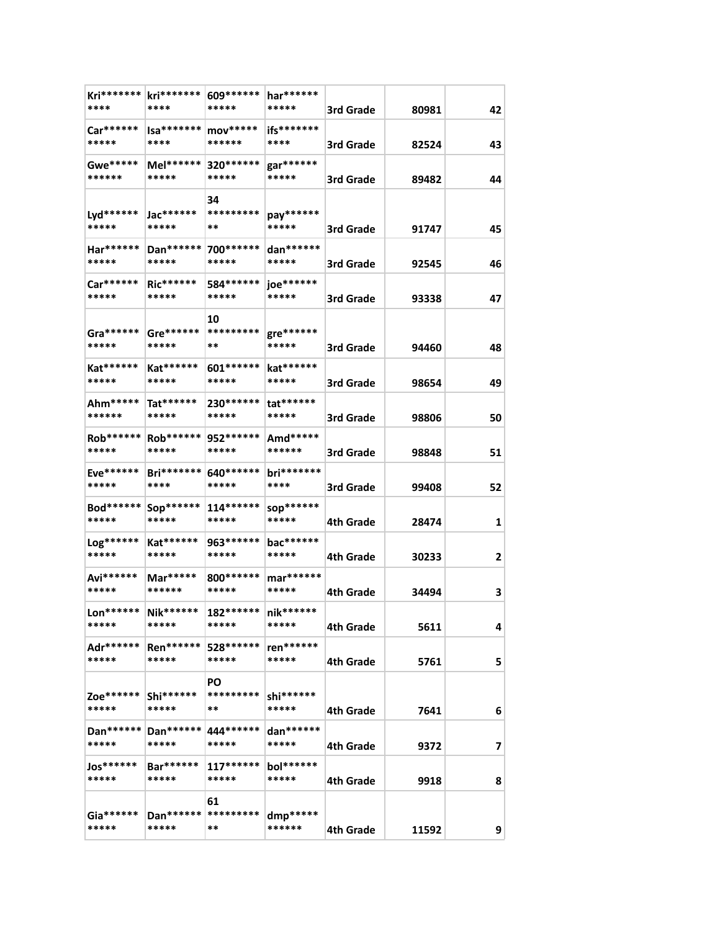| Kri*******  <br>****  | kri*******<br>****        | 609******<br>*****    | har******<br>*****      |           |       |    |
|-----------------------|---------------------------|-----------------------|-------------------------|-----------|-------|----|
|                       |                           |                       |                         | 3rd Grade | 80981 | 42 |
| Car******<br>*****    | Isa*******<br>****        | mov*****<br>******    | ifs*******<br>****      | 3rd Grade | 82524 | 43 |
| Gwe*****<br>******    | Mel******<br>*****        | 320 ******<br>*****   | gar******<br>*****      | 3rd Grade | 89482 | 44 |
|                       |                           | 34                    |                         |           |       |    |
| Lyd******<br>*****    | Jac******<br>*****        | *********<br>**       | pay******<br>*****      | 3rd Grade | 91747 | 45 |
| Har******<br>*****    | Dan******<br>*****        | 700 ******<br>*****   | dan******<br>*****      | 3rd Grade | 92545 | 46 |
| Car******<br>*****    | $Ric******$<br>*****      | 584 *******<br>*****  | joe******<br>*****      | 3rd Grade | 93338 | 47 |
|                       |                           | 10                    |                         |           |       |    |
| Gra *******           | Gre******                 | *********             | gre******               |           |       |    |
| *****                 | *****                     | **                    | *****                   | 3rd Grade | 94460 | 48 |
| Kat******<br>*****    | Kat******<br>*****        | $601******$<br>*****  | kat******<br>*****      | 3rd Grade | 98654 | 49 |
| Ahm*****              | Tat******                 | 230 ******            | $\mathsf{tat}^{******}$ |           |       |    |
| ******                | *****                     | *****                 | *****                   | 3rd Grade | 98806 | 50 |
| Rob ******  <br>***** | Rob ******<br>*****       | 952 *******<br>*****  | Amd*****<br>******      | 3rd Grade | 98848 | 51 |
| Eve******             | <b>Bri*******</b>         | 640 *******           | bri*******              |           |       |    |
| *****                 | ****                      | *****                 | ****                    | 3rd Grade | 99408 | 52 |
| Bod******<br>*****    | Sop******<br>*****        | $114******$<br>*****  | sop******<br>*****      | 4th Grade | 28474 | 1  |
| Log******             | Kat******                 | 963*******            | bac*******              |           |       |    |
| *****                 | *****                     | *****                 | *****                   | 4th Grade | 30233 | 2  |
| Avi******<br>*****    | $Mar****$<br>******       | 800 *******<br>*****  | mar******<br>*****      | 4th Grade | 34494 | 3  |
| $\text{L}$ on******   | Nik******                 | 182****** nik******   |                         |           |       |    |
| *****                 | *****                     | *****                 | *****                   | 4th Grade | 5611  | 4  |
| Adr******<br>*****    | <b>Ren******</b><br>***** | 528 ******<br>*****   | ren******<br>*****      | 4th Grade | 5761  | 5  |
|                       |                           | PO                    |                         |           |       |    |
| Zoe******<br>*****    | Shi******<br>*****        | *********<br>**       | shi******<br>*****      | 4th Grade | 7641  | 6  |
| Dan******             | Dan******                 | 444 ******            | dan******               |           |       |    |
| *****                 | *****                     | *****                 | *****                   | 4th Grade | 9372  | 7  |
| Jos******<br>*****    | Bar******<br>*****        | $117******$<br>*****  | bol******<br>*****      | 4th Grade | 9918  | 8  |
|                       |                           | 61                    |                         |           |       |    |
| Gia******             |                           | Dan ****** ********** | dmp*****                |           |       |    |
| *****                 | *****                     | **                    | ******                  | 4th Grade | 11592 | 9  |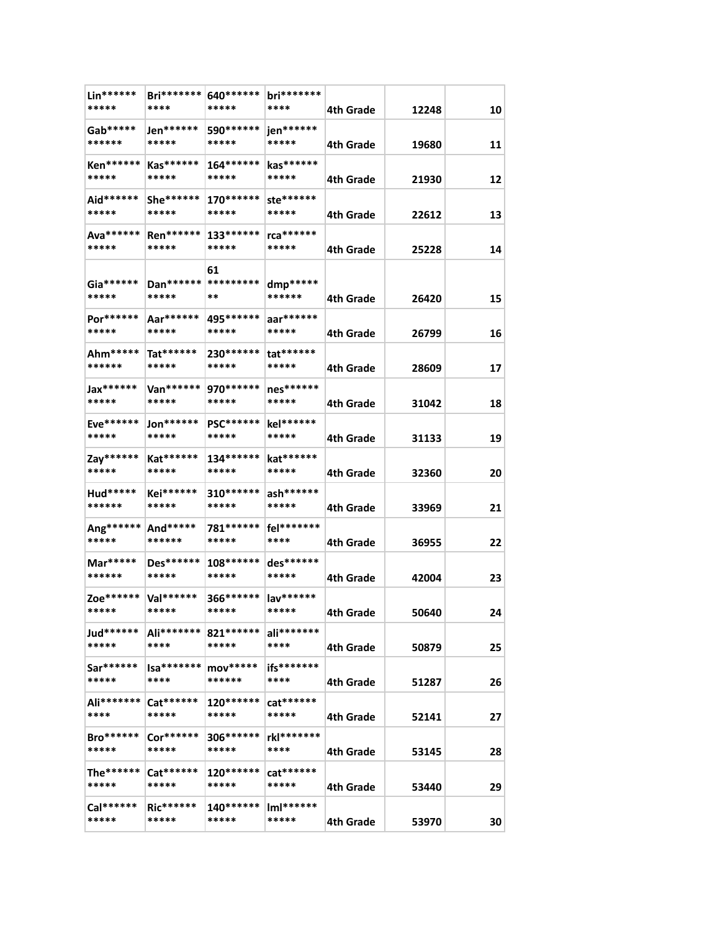| Lin******<br>*****        | <b>Bri*******</b><br>****      | 640 *******<br>*****          | bri*******<br>****   | 4th Grade        | 12248 | 10 |
|---------------------------|--------------------------------|-------------------------------|----------------------|------------------|-------|----|
| Gab*****<br>******        | Jen******<br>*****             | 590******<br>*****            | jen******<br>*****   | 4th Grade        | 19680 | 11 |
| <b>Ken******</b><br>***** | $Kas******$<br>*****           | 164******<br>*****            | kas******<br>*****   | 4th Grade        | 21930 | 12 |
| Aid******<br>*****        | $She******$<br>*****           | $170******$<br>*****          | ste******<br>*****   | 4th Grade        | 22612 | 13 |
| Ava******<br>*****        | <b>Ren******</b><br>*****      | 133******<br>*****            | rca******<br>*****   | 4th Grade        | 25228 | 14 |
| $Ga******$<br>*****       | Dan ****** **********<br>***** | 61<br>**                      | dmp*****<br>******   | 4th Grade        | 26420 | 15 |
| Por******<br>*****        | Aar******<br>*****             | 495 ******<br>*****           | aar******<br>*****   | 4th Grade        | 26799 | 16 |
| Ahm*****<br>******        | Tat******<br>*****             | 230 ******<br>*****           | $tat******$<br>***** | 4th Grade        | 28609 | 17 |
| Jax******<br>*****        | Van******<br>*****             | 970 *******<br>*****          | nes******<br>*****   | 4th Grade        | 31042 | 18 |
| Eve******<br>*****        | $Jon******$<br>*****           | <b>PSC******</b><br>*****     | kel******<br>*****   | <b>4th Grade</b> | 31133 | 19 |
| Zay******<br>*****        | Kat******<br>*****             | 134******<br>*****            | kat******<br>*****   | 4th Grade        | 32360 | 20 |
| Hud*****<br>******        | <b>Kei******</b><br>*****      | $310******$<br>*****          | ash******<br>*****   | 4th Grade        | 33969 | 21 |
| Ang******<br>*****        | And*****<br>******             | 781******<br>*****            | fel*******<br>****   | 4th Grade        | 36955 | 22 |
| Mar*****<br>******        | Des******<br>*****             | $108******$<br>*****          | des******<br>*****   | 4th Grade        | 42004 | 23 |
| Zoe******<br>*****        | Val******<br>*****             | 366****** lav******<br>*****  | *****                | 4th Grade        | 50640 | 24 |
| Jud******<br>*****        | ****                           | Ali******* 821******<br>***** | ali*******<br>****   | 4th Grade        | 50879 | 25 |
| Sar******<br>*****        | $Isa*******$<br>****           | $mov****$<br>******           | ifs*******<br>****   | 4th Grade        | 51287 | 26 |
| Ali*******<br>****        | $Cat******$<br>*****           | 120******<br>*****            | cat******<br>*****   | 4th Grade        | 52141 | 27 |
| <b>Bro******</b><br>***** | Cor******<br>*****             | 306******<br>*****            | rkl*******<br>****   | 4th Grade        | 53145 | 28 |
| The******<br>*****        | $Cat******$<br>*****           | $120******$<br>*****          | $cat******$<br>***** | 4th Grade        | 53440 | 29 |
| Cal******<br>*****        | $Ric******$<br>*****           | 140******<br>*****            | $ImI******$<br>***** | 4th Grade        | 53970 | 30 |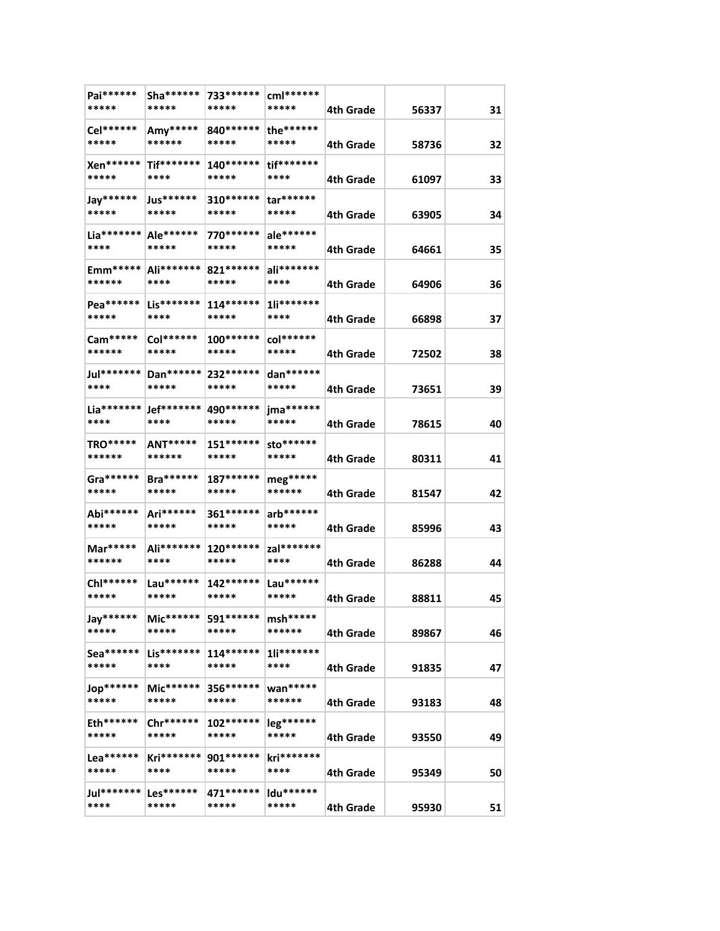| Pai******                        | Sha *******                       | 733******            | cml******             |           |       |    |
|----------------------------------|-----------------------------------|----------------------|-----------------------|-----------|-------|----|
| *****                            | *****                             | *****                | *****                 | 4th Grade | 56337 | 31 |
| Cel******<br>*****               | Amy*****<br>******                | 840 *******<br>***** | the******<br>*****    | 4th Grade | 58736 | 32 |
| Xen******<br>*****               | Tif*******<br>****                | 140*******<br>*****  | tif*******<br>****    | 4th Grade | 61097 | 33 |
| Jay******                        | Jus******                         | $310******$          | $tar******$           |           |       |    |
| *****                            | *****                             | *****                | *****                 | 4th Grade | 63905 | 34 |
| $Lia******$   Ale ******<br>**** | *****                             | 770******<br>*****   | ale******<br>*****    | 4th Grade | 64661 | 35 |
| $Emm***$<br>******               | Ali*******<br>****                | 821 ******<br>*****  | ali*******<br>****    | 4th Grade | 64906 | 36 |
| Pea******<br>*****               | $Lis******$<br>****               | $114******$<br>***** | 1li*******<br>****    | 4th Grade | 66898 | 37 |
| Cam*****<br>******               | Col******<br>*****                | $100******$<br>***** | $col******$<br>*****  | 4th Grade | 72502 | 38 |
| Jul********<br>****              | Dan******<br>*****                | 232 ******<br>*****  | dan******<br>*****    | 4th Grade | 73651 | 39 |
| ****                             | Lia*******   Jef*******  <br>**** | 490 ******<br>*****  | $ima*****$<br>*****   | 4th Grade | 78615 | 40 |
| TRO*****                         | ANT*****                          | $151******$          | sto******             |           |       |    |
| ******                           | ******                            | *****                | *****                 | 4th Grade | 80311 | 41 |
| Gra *******<br>*****             | $Bra******$<br>*****              | $187******$<br>***** | $mg^{****}$<br>****** | 4th Grade | 81547 | 42 |
| Abi******<br>*****               | Ari******<br>*****                | 361 *******<br>***** | arb******<br>*****    | 4th Grade | 85996 | 43 |
| Mar*****<br>******               | Ali*******<br>****                | 120 ******<br>*****  | zal*******<br>****    | 4th Grade | 86288 | 44 |
| Chl******<br>*****               | Lau******<br>*****                | 142 *******<br>***** | Lau******<br>*****    | 4th Grade | 88811 | 45 |
| Jay******<br>*****               | $Mic******$<br>*****              | 591******<br>*****   | msh*****<br>******    | 4th Grade | 89867 | 46 |
| Sea******<br>*****               | $Lis******$<br>****               | $114******$<br>***** | $1$ li*******<br>**** | 4th Grade | 91835 | 47 |
| Jop******<br>*****               | Mic******<br>*****                | 356******<br>*****   | wan*****<br>******    | 4th Grade | 93183 | 48 |
| $Eth*****$<br>*****              | $Chr******$<br>*****              | $102******$<br>***** | $leg******$<br>*****  | 4th Grade | 93550 | 49 |
| $Lea******$<br>*****             | Kri*******<br>****                | 901******<br>*****   | kri*******<br>****    | 4th Grade | 95349 | 50 |
| Jul*******<br>****               | $Les*****$<br>*****               | 471******<br>*****   | ldu******<br>*****    | 4th Grade | 95930 | 51 |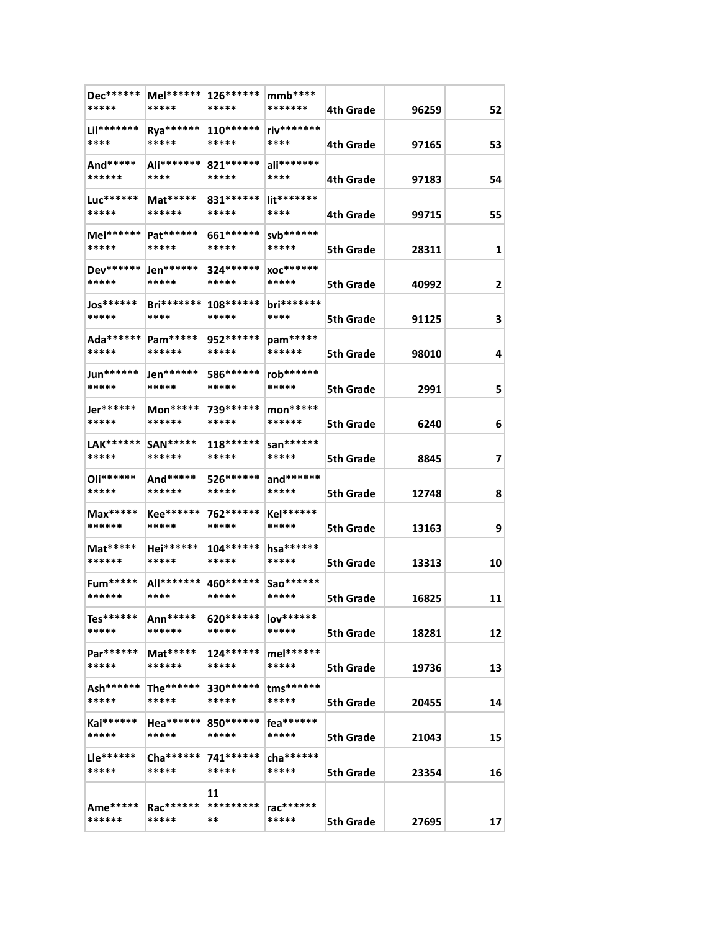| Dec******<br>*****   | Mel******<br>*****        | 126******<br>*****    | $mmb***$<br>*******        | 4th Grade        | 96259 | 52 |
|----------------------|---------------------------|-----------------------|----------------------------|------------------|-------|----|
| Lil*******<br>****   | Rya******<br>*****        | $110******$<br>*****  | riv*******<br>****         | 4th Grade        | 97165 | 53 |
| And*****<br>******   | Ali*******<br>****        | 821******<br>*****    | ali*******<br>****         | 4th Grade        | 97183 | 54 |
| Luc******<br>*****   | Mat*****<br>******        | 831 ******<br>*****   | lit*******<br>****         | 4th Grade        | 99715 | 55 |
| Mel******  <br>***** | Pat******<br>*****        | 661 ******<br>*****   | svb******<br>*****         | 5th Grade        | 28311 | 1  |
| Dev******<br>*****   | $Jen*****$<br>*****       | 324 ******<br>*****   | <b>XOC*******</b><br>***** | <b>5th Grade</b> | 40992 | 2  |
| Jos******<br>*****   | <b>Bri*******</b><br>**** | 108******<br>*****    | $bri******$<br>****        | 5th Grade        | 91125 | 3  |
| Ada******<br>*****   | Pam*****<br>******        | 952 ******<br>*****   | pam*****<br>******         | 5th Grade        | 98010 | 4  |
| Jun******<br>*****   | Jen******<br>*****        | 586*******<br>*****   | rob******<br>*****         | 5th Grade        | 2991  | 5  |
| Jer******<br>*****   | $Mon*****$<br>******      | 739 ******<br>*****   | $mon****$<br>******        | 5th Grade        | 6240  | 6  |
| LAK******<br>*****   | SAN*****<br>******        | $118******$<br>*****  | san******<br>*****         | <b>5th Grade</b> | 8845  | 7  |
| Oli******<br>*****   | And*****<br>******        | 526 *******<br>*****  | and******<br>*****         | 5th Grade        | 12748 | 8  |
| $Max***$<br>******   | <b>Kee******</b><br>***** | 762******<br>*****    | Kel******<br>*****         | 5th Grade        | 13163 | 9  |
| Mat*****<br>******   | Hei******<br>*****        | 104 ******<br>*****   | hsa******<br>*****         | 5th Grade        | 13313 | 10 |
| $Fum****$<br>******  | All*******<br>****        | 460 *******<br>*****  | Sao******<br>*****         | <b>5th Grade</b> | 16825 | 11 |
| Tes******<br>*****   | Ann*****<br>******        | $620******$<br>*****  | lov******<br>*****         | 5th Grade        | 18281 | 12 |
| Par******<br>*****   | $Mat****$<br>******       | 124******<br>*****    | mel******<br>*****         | 5th Grade        | 19736 | 13 |
| $Ash*****$<br>*****  | The******<br>*****        | 330 ******<br>*****   | tms******<br>*****         | 5th Grade        | 20455 | 14 |
| Kai******<br>*****   | $Hea*****$<br>*****       | 850 ******<br>*****   | fea******<br>*****         | 5th Grade        | 21043 | 15 |
| Lle******<br>*****   | $Cha*****$<br>*****       | 741******<br>*****    | cha******<br>*****         | 5th Grade        | 23354 | 16 |
| Ame*****<br>******   | Rac******<br>*****        | 11<br>*********<br>** | rac******<br>*****         | 5th Grade        | 27695 | 17 |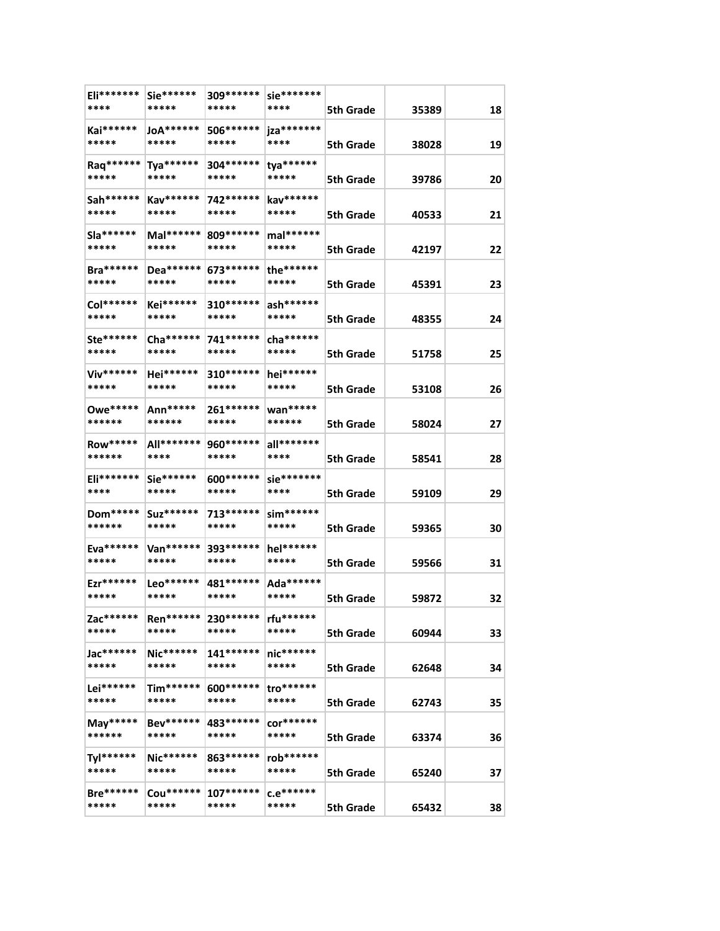| Eli*******<br>****    | $Sie******$<br>*****            | 309******<br>*****   | sie*******<br>****     |                  |       |    |
|-----------------------|---------------------------------|----------------------|------------------------|------------------|-------|----|
|                       |                                 |                      |                        | 5th Grade        | 35389 | 18 |
| Kai******<br>*****    | JoA******<br>*****              | 506 ******<br>*****  | jza********<br>****    | <b>5th Grade</b> | 38028 | 19 |
| Raq******<br>*****    | $Tya******$<br>*****            | 304 ******<br>*****  | ${tya******}$<br>***** | <b>5th Grade</b> | 39786 | 20 |
| Sah******<br>*****    | Kav******<br>*****              | 742******<br>*****   | kav******<br>*****     | <b>5th Grade</b> | 40533 | 21 |
|                       |                                 |                      |                        |                  |       |    |
| $S1a******$<br>*****  | $Mal******$<br>*****            | 809 ******<br>*****  | mal******<br>*****     | <b>5th Grade</b> | 42197 | 22 |
| $Bra******$<br>*****  | Dea******<br>*****              | 673******<br>*****   | the******<br>*****     | <b>5th Grade</b> | 45391 | 23 |
| Col******<br>*****    | Kei******<br>*****              | 310 *******<br>***** | ash******<br>*****     | <b>5th Grade</b> | 48355 | 24 |
| Ste******             | Cha ******                      | 741 ******           | $cha******$            |                  |       |    |
| *****                 | *****                           | *****                | *****                  | <b>5th Grade</b> | 51758 | 25 |
| Viv******<br>*****    | Hei******<br>*****              | 310 *******<br>***** | hei******<br>*****     | 5th Grade        | 53108 | 26 |
| Owe*****<br>******    | Ann*****<br>******              | 261 *******<br>***** | wan*****<br>******     | <b>5th Grade</b> | 58024 | 27 |
| <b>Row*****</b>       | All*******                      | 960 *******          | $all*******$           |                  |       |    |
| ******                | ****                            | *****                | ****                   | <b>5th Grade</b> | 58541 | 28 |
| Eli*******<br>****    | $\textsf{Sie}^{*****}$<br>***** | 600 *******<br>***** | sie*******<br>****     | <b>5th Grade</b> | 59109 | 29 |
| Dom*****              | Suz******                       | 713******            | $\sin^{*****}$         |                  |       |    |
| ******                | *****                           | *****                | *****                  | 5th Grade        | 59365 | 30 |
| Eva******<br>*****    | Van******<br>*****              | 393******<br>*****   | hel******<br>*****     | 5th Grade        | 59566 | 31 |
|                       |                                 |                      |                        |                  |       |    |
| Ezr******<br>*****    | Leo******<br>*****              | 481 ******<br>*****  | Ada******<br>*****     | <b>5th Grade</b> | 59872 | 32 |
| Zac******<br>*****    | <b>Ren******</b><br>*****       | 230*******<br>*****  | rfu******<br>*****     | <b>5th Grade</b> | 60944 | 33 |
|                       |                                 |                      |                        |                  |       |    |
| Jac******<br>*****    | Nic******<br>*****              | $141******$<br>***** | nic******<br>*****     | 5th Grade        | 62648 | 34 |
| Lei******<br>*****    | $Tim*****$<br>*****             | 600 *******<br>***** | tro******<br>*****     |                  |       |    |
|                       |                                 |                      |                        | <b>5th Grade</b> | 62743 | 35 |
| May*****<br>******    | Bev******<br>*****              | 483******<br>*****   | $cor******$<br>*****   | <b>5th Grade</b> | 63374 | 36 |
| Tyl******<br>*****    | <b>Nic******</b><br>*****       | 863******<br>*****   | rob******<br>*****     | <b>5th Grade</b> | 65240 | 37 |
| $Bre$ ******<br>***** | Cou******<br>*****              | $107******$<br>***** | $c.e$ ******<br>*****  | 5th Grade        | 65432 | 38 |
|                       |                                 |                      |                        |                  |       |    |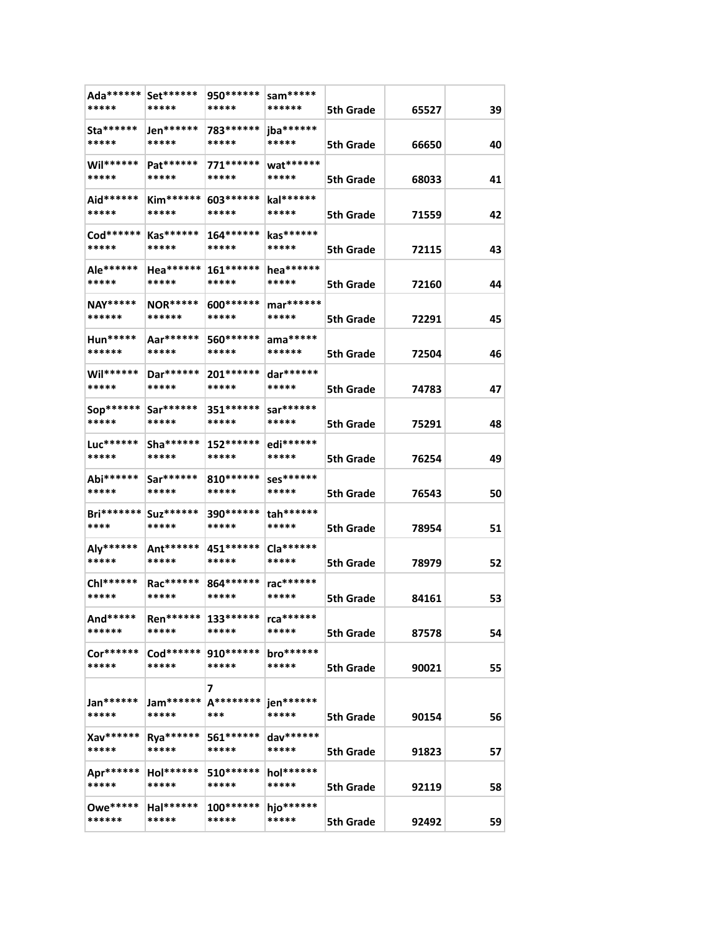| Ada******<br>*****        | Set******<br>*****           | 950 *******<br>***** | sam*****<br>******    | 5th Grade        | 65527 | 39 |
|---------------------------|------------------------------|----------------------|-----------------------|------------------|-------|----|
| Sta******<br>*****        | Jen******<br>*****           | 783******<br>*****   | jba******<br>*****    | 5th Grade        | 66650 | 40 |
| Wil******<br>*****        | Pat******<br>*****           | 771******<br>*****   | wat******<br>*****    | 5th Grade        | 68033 | 41 |
| Aid******<br>*****        | $Kim*****$<br>*****          | 603 ******<br>*****  | kal******<br>*****    | <b>5th Grade</b> | 71559 | 42 |
| Cod******<br>*****        | Kas******<br>*****           | 164******<br>*****   | kas******<br>*****    | 5th Grade        | 72115 | 43 |
| Ale******<br>*****        | $Hea******$<br>*****         | 161 ******<br>*****  | hea******<br>*****    | 5th Grade        | 72160 | 44 |
| <b>NAY*****</b><br>****** | <b>NOR*****</b><br>******    | 600 *******<br>***** | mar******<br>*****    | <b>5th Grade</b> | 72291 | 45 |
| $Hun*****$<br>******      | Aar******<br>*****           | 560 *******<br>***** | $ama*****$<br>******  | 5th Grade        | 72504 | 46 |
| Wil******<br>*****        | Dar******<br>*****           | 201 *******<br>***** | dar******<br>*****    | 5th Grade        | 74783 | 47 |
| Sop******<br>*****        | $Sar*****$<br>*****          | 351 ******<br>*****  | $s$ ar******<br>***** | 5th Grade        | 75291 | 48 |
| Luc******<br>*****        | Sha *******<br>*****         | 152******<br>*****   | edi******<br>*****    | 5th Grade        | 76254 | 49 |
| Abi******<br>*****        | Sar******<br>*****           | 810 *******<br>***** | Ses******<br>*****    | 5th Grade        | 76543 | 50 |
| <b>Bri*******</b><br>**** | Suz******<br>*****           | 390 *******<br>***** | tah******<br>*****    |                  |       | 51 |
| Aly******<br>*****        | Ant******<br>*****           | 451 ******<br>*****  | Cla******<br>*****    | 5th Grade        | 78954 |    |
| Chl******<br>*****        | Rac******<br>*****           | 864 ******<br>*****  | rac******<br>*****    | 5th Grade        | 78979 | 52 |
| And*****<br>******        | Ren****** 133******<br>***** | *****                | rca******<br>*****    | 5th Grade        | 84161 | 53 |
| $Cor******$<br>*****      | $Cod******$<br>*****         | 910 ******<br>*****  | bro******<br>*****    | 5th Grade        | 87578 | 54 |
|                           |                              | 7                    |                       | 5th Grade        | 90021 | 55 |
| Jan******<br>*****        | Jam******<br>*****           | A********<br>***     | jen******<br>*****    | 5th Grade        | 90154 | 56 |
| Xav******<br>*****        | Rya******<br>*****           | 561******<br>*****   | dav******<br>*****    | <b>5th Grade</b> | 91823 | 57 |
| Apr******<br>*****        | Hol******<br>*****           | 510******<br>*****   | hol******<br>*****    | 5th Grade        | 92119 | 58 |
| <b>Owe*****</b><br>****** | Hal******<br>*****           | $100******$<br>***** | hjo******<br>*****    | 5th Grade        | 92492 | 59 |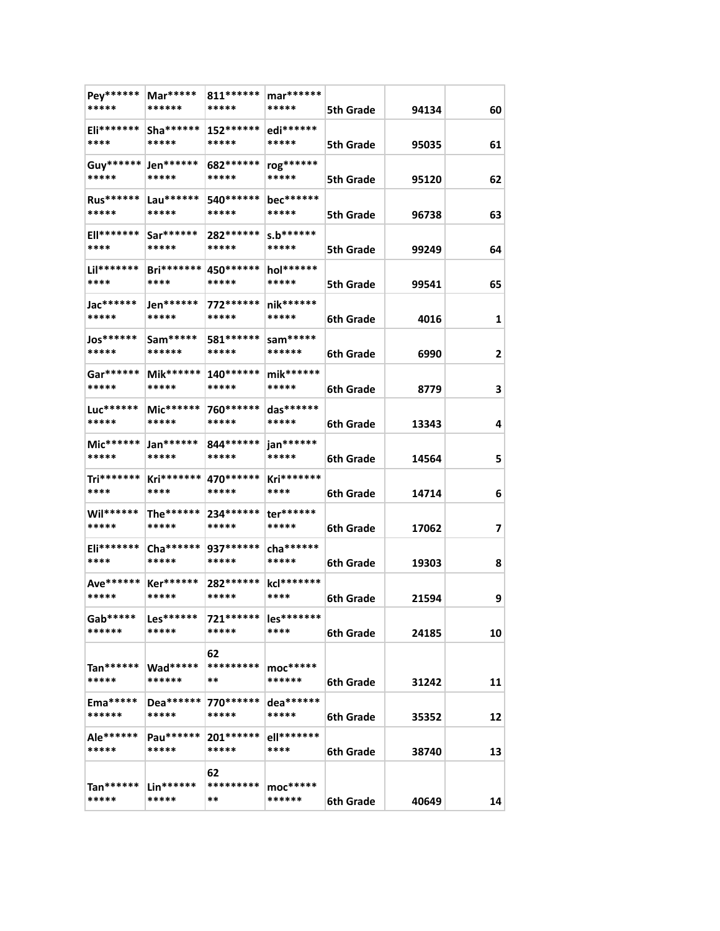| Pey******<br>*****           | Mar*****<br>******        | 811******<br>*****            | $\text{mar}^{*****}$<br>***** | 5th Grade        | 94134 | 60 |
|------------------------------|---------------------------|-------------------------------|-------------------------------|------------------|-------|----|
| $Eli*******$<br>****         | $Sha******$<br>*****      | 152******<br>*****            | edi******<br>*****            | <b>5th Grade</b> | 95035 | 61 |
| Guy****** Jen******<br>***** | *****                     | 682 ******<br>*****           | rog******<br>*****            | <b>5th Grade</b> | 95120 | 62 |
| <b>Rus******</b>             | $Lau******$               | 540 ******                    | bec******                     |                  |       |    |
| *****<br><b>Ell*******</b>   | *****<br>$Sar******$      | *****<br>282******            | *****<br>$s.b******$          | <b>5th Grade</b> | 96738 | 63 |
| ****<br>Lil*******           | *****<br>$Bri*******$     | *****<br>450******            | *****<br>$hol******$          | <b>5th Grade</b> | 99249 | 64 |
| ****                         | ****                      | *****                         | *****                         | 5th Grade        | 99541 | 65 |
| Jac******<br>*****           | Jen******<br>*****        | 772******<br>*****            | $nik*****$<br>*****           | 6th Grade        | 4016  | 1  |
| Jos******<br>*****           | Sam*****<br>******        | 581 *******<br>*****          | sam*****<br>******            | 6th Grade        | 6990  | 2  |
| Gar******<br>*****           | Mik******<br>*****        | 140******<br>*****            | mik******<br>*****            | 6th Grade        | 8779  | 3  |
| Luc******<br>*****           | Mic******<br>*****        | 760*******<br>*****           | das******<br>*****            | 6th Grade        | 13343 | 4  |
| Mic******<br>*****           | Jan******<br>*****        | 844 *******<br>*****          | jan******<br>*****            | 6th Grade        | 14564 | 5  |
| Tri*******<br>****           | Kri*******<br>****        | 470 ******<br>*****           | Kri*******<br>****            | 6th Grade        | 14714 | 6  |
| Wil******<br>*****           | The******<br>*****        | 234******<br>*****            | ter******<br>*****            | 6th Grade        | 17062 | 7  |
| Eli*******<br>****           | Cha ******<br>*****       | 937******<br>*****            | cha *******<br>*****          | 6th Grade        | 19303 | 8  |
| Ave******<br>*****           | <b>Ker******</b><br>***** | 282******<br>*****            | kcl*******<br>****            | 6th Grade        | 21594 | 9  |
| $Gab*****$<br>******         | $Les*****$<br>*****       | 721****** les*******<br>***** | ****                          | 6th Grade        | 24185 | 10 |
| Tan******<br>*****           | $Wad*****$<br>******      | 62<br>*********<br>**         | $moc*****$<br>******          | 6th Grade        | 31242 | 11 |
| Ema*****<br>******           | Dea******<br>*****        | 770 ******<br>*****           | dea******<br>*****            | 6th Grade        | 35352 | 12 |
| Ale******<br>*****           | Pau******<br>*****        | $201******$<br>*****          | ell*******<br>****            | 6th Grade        | 38740 | 13 |
| $Tan******$<br>*****         | $Lin******$<br>*****      | 62<br>*********<br>**         | $moc*****$<br>******          | 6th Grade        | 40649 | 14 |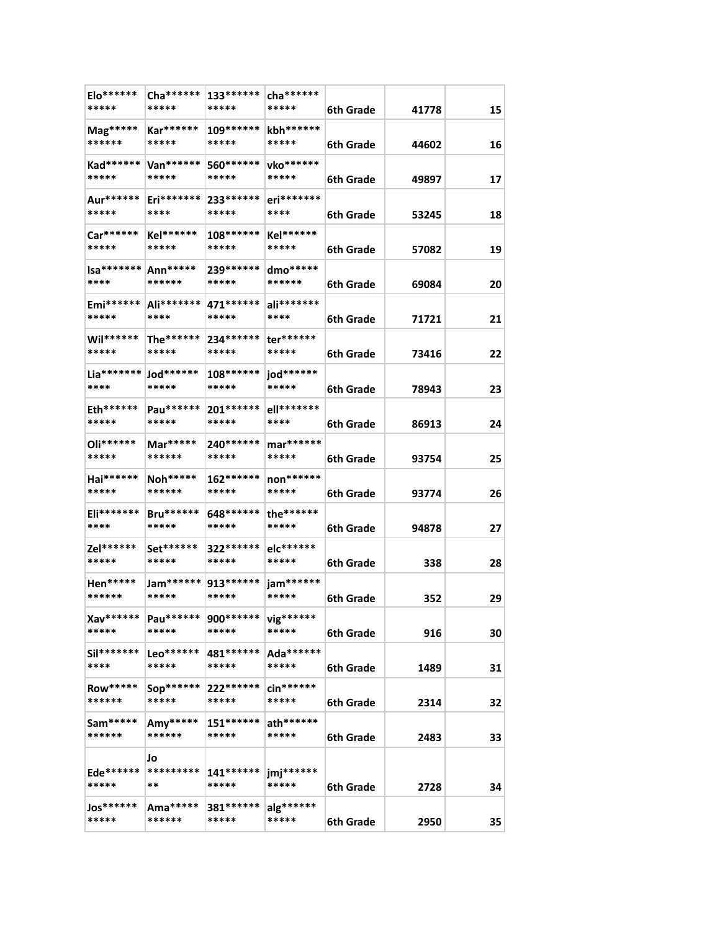| Elo******<br>*****              | Cha ******<br>*****          | $133******$<br>***** | cha *******<br>*****    | 6th Grade | 41778 | 15 |
|---------------------------------|------------------------------|----------------------|-------------------------|-----------|-------|----|
| $\text{Mag}^{****}$             | <b>Kar******</b>             | $109******$          | kbh******               |           |       |    |
| ******                          | *****                        | *****                | *****                   | 6th Grade | 44602 | 16 |
| *****                           | Kad****** Van******<br>***** | 560******<br>*****   | vko******<br>*****      | 6th Grade | 49897 | 17 |
| Aur******<br>*****              | $Eri*******$<br>****         | 233******<br>*****   | eri*******<br>****      | 6th Grade | 53245 | 18 |
| Car******<br>*****              | Kel******<br>*****           | 108******<br>*****   | Kel******<br>*****      | 6th Grade | 57082 | 19 |
| $Isa****** Ann***** $           |                              | 239 *******<br>***** | dmo*****<br>******      |           |       |    |
| ****<br>Emi******               | ******<br>Ali*******         | 471******            | ali*******              | 6th Grade | 69084 | 20 |
| *****                           | ****                         | *****                | ****                    | 6th Grade | 71721 | 21 |
| $Will******$<br>*****           | The******<br>*****           | 234******<br>*****   | ter******<br>*****      | 6th Grade | 73416 | 22 |
| $Lia******$ $Jod******$<br>**** | *****                        | $108******$<br>***** | jod******<br>*****      | 6th Grade | 78943 | 23 |
| Eth******<br>*****              | Pau******<br>*****           | $201******$<br>***** | ell*******<br>****      | 6th Grade | 86913 | 24 |
| Oli******<br>*****              | Mar*****<br>******           | 240 *******<br>***** | mar******<br>*****      |           |       |    |
| Hai******                       | $\mathsf{Noh^{****}}$        | 162******            | non******               | 6th Grade | 93754 | 25 |
| *****                           | ******                       | *****                | *****                   | 6th Grade | 93774 | 26 |
| Eli*******<br>****              | <b>Bru******</b><br>*****    | 648******<br>*****   | the******<br>*****      | 6th Grade | 94878 | 27 |
| Zel******<br>*****              | Set******<br>*****           | 322******<br>*****   | elc******<br>*****      | 6th Grade | 338   | 28 |
| $Hen*****$<br>******            | Jam******<br>*****           | 913******<br>*****   | jam******<br>*****      | 6th Grade | 352   | 29 |
| Xav******<br>*****              | Pau******<br>*****           | 900 *******<br>***** | vig******<br>*****      | 6th Grade | 916   | 30 |
| Sil*******                      | $Leo******$                  | 481******            | Ada******               |           |       |    |
| ****                            | *****                        | *****                | *****<br>$\sin^{*****}$ | 6th Grade | 1489  | 31 |
| <b>Row*****</b><br>******       | $Sop******$<br>*****         | 222******<br>*****   | *****                   | 6th Grade | 2314  | 32 |
| Sam*****<br>******              | Amy*****<br>******           | $151******$<br>***** | ath******<br>*****      | 6th Grade | 2483  | 33 |
| Ede******<br>*****              | Jo<br>*********<br>**        | $141******$<br>***** | jmj******<br>*****      | 6th Grade | 2728  | 34 |
| <b>Jos******</b><br>*****       | Ama*****<br>******           | 381 ******<br>*****  | alg******<br>*****      | 6th Grade | 2950  | 35 |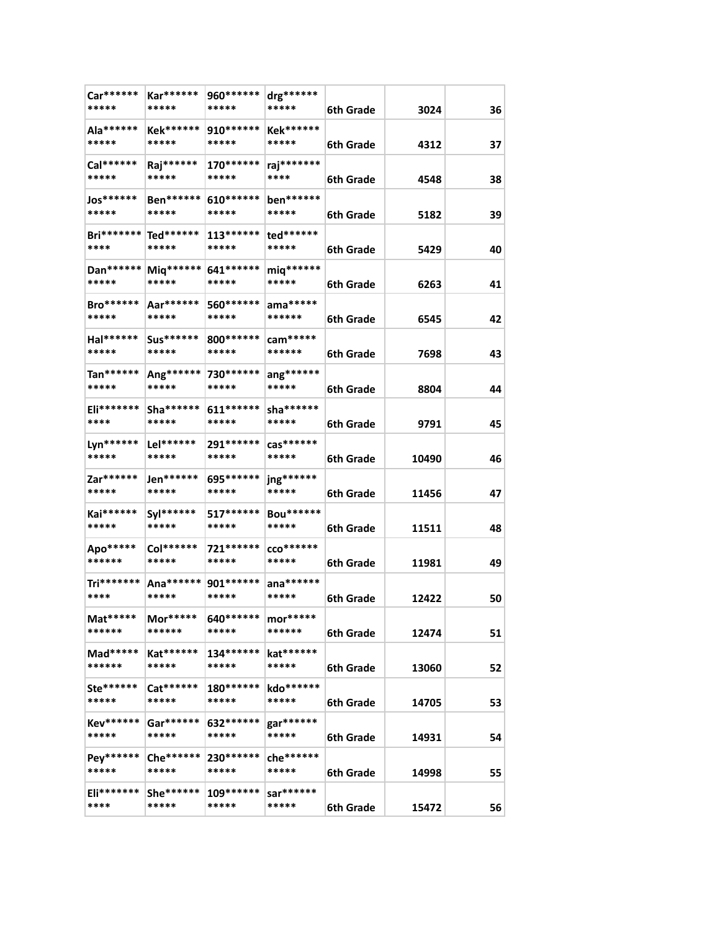| Car******<br>*****           | Kar******<br>*****        | 960 *******<br>***** | drg******<br>*****        | 6th Grade | 3024  | 36 |
|------------------------------|---------------------------|----------------------|---------------------------|-----------|-------|----|
| Ala******<br>*****           | <b>Kek******</b><br>***** | 910******<br>*****   | <b>Kek******</b><br>***** | 6th Grade | 4312  | 37 |
| Cal******<br>*****           | Raj******<br>*****        | $170******$<br>***** | raj*******<br>****        | 6th Grade | 4548  | 38 |
| Jos******                    | Ben******                 | 610******            | ben******                 |           |       |    |
| *****                        | *****                     | *****                | *****                     | 6th Grade | 5182  | 39 |
| Bri******* Ted******<br>**** | *****                     | $113******$<br>***** | ted******<br>*****        | 6th Grade | 5429  | 40 |
| Dan******  <br>*****         | Miq******<br>*****        | 641******<br>*****   | miq******<br>*****        | 6th Grade | 6263  | 41 |
| <b>Bro******</b><br>*****    | Aar******<br>*****        | 560 ******<br>*****  | ama*****<br>******        | 6th Grade | 6545  | 42 |
| Hal******<br>*****           | Sus******<br>*****        | 800 *******<br>***** | cam*****<br>******        | 6th Grade | 7698  | 43 |
| Tan******<br>*****           | Ang******<br>*****        | 730 ******<br>*****  | ang******<br>*****        | 6th Grade | 8804  | 44 |
| Eli*******<br>****           | Sha *******<br>*****      | $611******$<br>***** | sha******<br>*****        | 6th Grade | 9791  | 45 |
| Lyn******<br>*****           | Lel******<br>*****        | 291 *******<br>***** | $\cos^{*****}$<br>*****   |           |       |    |
|                              | Jen******                 |                      |                           | 6th Grade | 10490 | 46 |
| Zar******<br>*****           | *****                     | 695******<br>*****   | jng******<br>*****        | 6th Grade | 11456 | 47 |
| Kai******<br>*****           | Syl******<br>*****        | 517******<br>*****   | Bou******<br>*****        | 6th Grade | 11511 | 48 |
| Apo*****<br>******           | Col******<br>*****        | 721******<br>*****   | $CCO*******$<br>*****     | 6th Grade | 11981 | 49 |
| Tri*******<br>****           | Ana******<br>*****        | 901 *******<br>***** | ana*******<br>*****       | 6th Grade | 12422 | 50 |
| Mat*****<br>******           | $Mor*****$<br>******      | 640******<br>*****   | mor*****<br>******        | 6th Grade | 12474 | 51 |
| $Mad*****$<br>******         | Kat******<br>*****        | $134******$<br>***** | kat******<br>*****        |           |       |    |
| Ste******                    | Cat******                 | 180******            | kdo******                 | 6th Grade | 13060 | 52 |
| *****                        | *****                     | *****                | *****                     | 6th Grade | 14705 | 53 |
| Kev******<br>*****           | $Gar*****$<br>*****       | 632******<br>*****   | gar******<br>*****        | 6th Grade | 14931 | 54 |
| Pey******<br>*****           | Che ******<br>*****       | 230******<br>*****   | che******<br>*****        | 6th Grade | 14998 | 55 |
| $E$ li*******<br>****        | She******<br>*****        | $109******$<br>***** | sar******<br>*****        | 6th Grade | 15472 | 56 |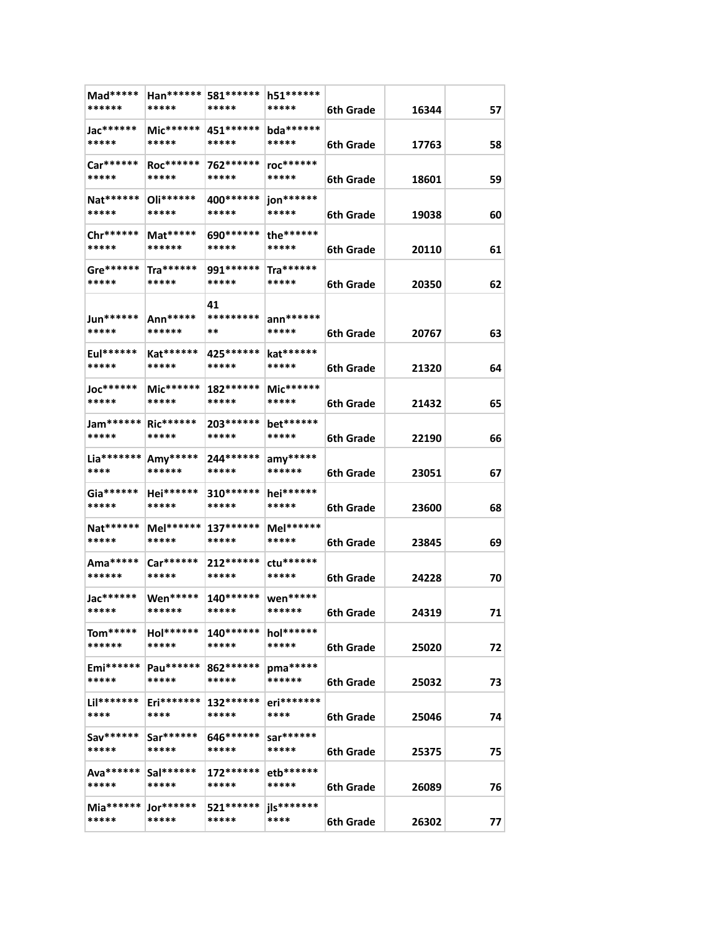| Mad*****<br>******           | Han******  <br>***** | 581 ******<br>*****  | h51 ******<br>*****           | 6th Grade | 16344 | 57 |
|------------------------------|----------------------|----------------------|-------------------------------|-----------|-------|----|
| Jac******<br>*****           | Mic******<br>*****   | 451 ******<br>*****  | bda******<br>*****            | 6th Grade | 17763 | 58 |
| Car******<br>*****           | Roc******<br>*****   | 762******<br>*****   | roc*******<br>*****           | 6th Grade | 18601 | 59 |
| Nat******<br>*****           | Oli******<br>*****   | 400 ******<br>*****  | jon******<br>*****            | 6th Grade | 19038 | 60 |
| Chr******<br>*****           | Mat*****<br>******   | 690*******<br>*****  | the******<br>*****            | 6th Grade | 20110 | 61 |
| Gre******<br>*****           | Tra******<br>*****   | 991******<br>*****   | $\text{Tra}^{*****}$<br>***** |           |       |    |
| Jun******                    | Ann*****             | 41<br>*********      | $ann******$                   | 6th Grade | 20350 | 62 |
| *****<br>Eul******           | ******<br>Kat******  | **<br>425 *******    | *****<br>kat******            | 6th Grade | 20767 | 63 |
| *****<br>Joc*******          | *****<br>Mic******   | *****<br>182******   | *****<br>Mic******            | 6th Grade | 21320 | 64 |
| *****                        | *****                | *****                | *****                         | 6th Grade | 21432 | 65 |
| Jam****** Ric******<br>***** | *****                | 203*******<br>*****  | bet******<br>*****            | 6th Grade | 22190 | 66 |
| Lia*******<br>****           | Amy*****<br>******   | 244******<br>*****   | $any*****$<br>******          | 6th Grade | 23051 | 67 |
| $Ga******$<br>*****          | Hei******<br>*****   | $310******$<br>***** | hei******<br>*****            | 6th Grade | 23600 | 68 |
| Nat******<br>*****           | Mel******<br>*****   | $137******$<br>***** | Mel******<br>*****            | 6th Grade | 23845 | 69 |
| Ama*****<br>******           | Car******<br>*****   | 212 ******<br>*****  | ctu******<br>*****            | 6th Grade | 24228 | 70 |
| Jac*******<br>*****          | Wen*****<br>******   | $140******$<br>***** | wen*****<br>******            | 6th Grade | 24319 | 71 |
| $Tom*****$<br>******         | Hol******<br>*****   | $140******$<br>***** | hol******<br>*****            | 6th Grade | 25020 | 72 |
| Emi******<br>*****           | Pau******<br>*****   | 862 ******<br>*****  | pma*****<br>******            | 6th Grade | 25032 | 73 |
| Lil*******<br>****           | Eri*******<br>****   | 132******<br>*****   | eri*******<br>****            | 6th Grade | 25046 | 74 |
| Sav******<br>*****           | Sar******<br>*****   | 646******<br>*****   | sar******<br>*****            | 6th Grade | 25375 | 75 |
| Ava******<br>*****           | Sal******<br>*****   | 172******<br>*****   | etb******<br>*****            | 6th Grade | 26089 | 76 |
| $Mia******$<br>*****         | Jor******<br>*****   | 521******<br>*****   | jls*******<br>****            | 6th Grade | 26302 | 77 |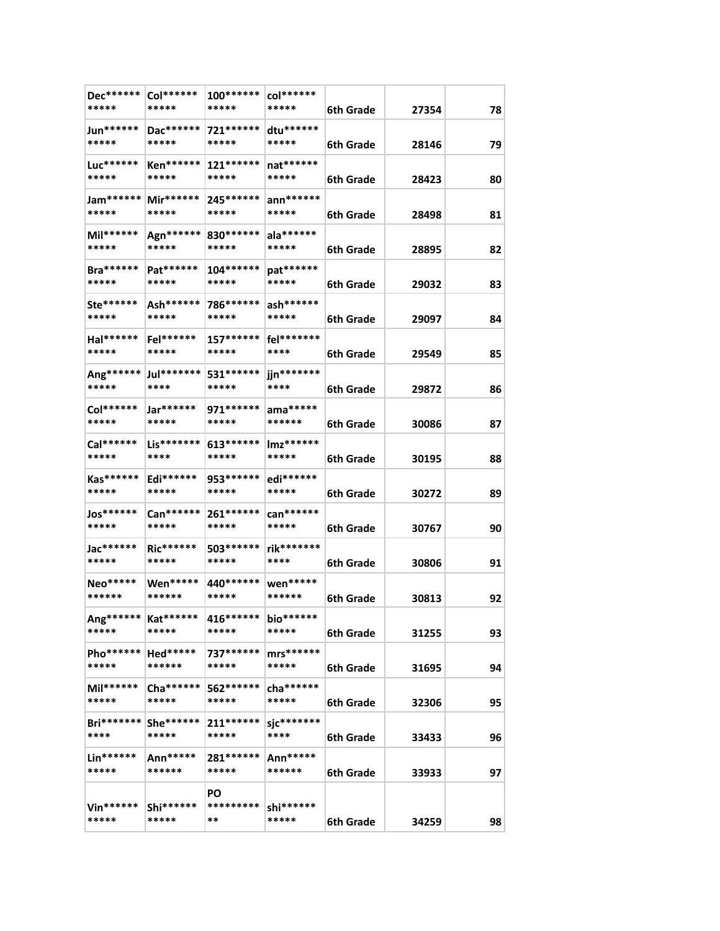| Dec******<br>*****             | Col******<br>*****        | 100*******<br>*****  | col******<br>*****   | 6th Grade | 27354 | 78 |
|--------------------------------|---------------------------|----------------------|----------------------|-----------|-------|----|
| Jun******<br>*****             | Dac******<br>*****        | 721******<br>*****   | $dtu*****$<br>*****  | 6th Grade | 28146 | 79 |
| Luc******<br>*****             | <b>Ken******</b><br>***** | 121 ******<br>*****  | nat******<br>*****   | 6th Grade | 28423 | 80 |
| Jam******                      | $Mir******$               | 245 *******          | $ann******$          |           |       |    |
| *****                          | *****                     | *****                | *****                | 6th Grade | 28498 | 81 |
| Mil******                      | Agn******                 | 830 *******          | ala******            |           |       |    |
| *****                          | *****                     | *****                | *****                | 6th Grade | 28895 | 82 |
| <b>Bra******</b>               | Pat******                 | 104 ******           | pat******            |           |       |    |
| *****                          | *****                     | *****                | *****                | 6th Grade | 29032 | 83 |
| Ste******                      | Ash******                 | 786******            | ash******            |           |       |    |
| *****                          | *****                     | *****                | *****                | 6th Grade | 29097 | 84 |
| Hal******                      | $Fel******$               | 157******            | fel********          |           |       |    |
| *****                          | *****                     | *****                | ****                 | 6th Grade | 29549 | 85 |
| Ang******                      | Jul********               | 531 ******           | jjn*******           |           |       |    |
| *****                          | ****                      | *****                | ****                 | 6th Grade | 29872 | 86 |
| Col******                      | Jar******                 | 971 *******          | $ama*****$           |           |       |    |
| *****                          | *****                     | *****                | ******               | 6th Grade | 30086 | 87 |
| Cal******                      | Lis*******                | 613*******           | Imz******            |           |       |    |
| *****                          | ****                      | *****                | *****                | 6th Grade | 30195 | 88 |
| Kas******                      | Edi******                 | 953 ******           | edi******            |           |       |    |
| *****                          | *****                     | *****                | *****                | 6th Grade | 30272 | 89 |
| <b>Jos******</b>               | Can******                 | 261 ******           | can******            |           |       |    |
| *****                          | *****                     | *****                | *****                | 6th Grade | 30767 | 90 |
| Jac******                      | Ric******                 | 503******            | rik*******           |           |       |    |
| *****                          | *****                     | *****                | ****                 | 6th Grade | 30806 | 91 |
| Neo*****                       | Wen*****                  | 440 *******          | wen*****             |           |       |    |
| ******                         | ******                    | *****                | ******               | 6th Grade | 30813 | 92 |
|                                |                           |                      |                      |           |       |    |
| Ang******   Kat******<br>***** | *****                     | 416*******<br>*****  | bio******<br>*****   | 6th Grade | 31255 | 93 |
|                                |                           |                      |                      |           |       |    |
| Pho******<br>*****             | Hed*****<br>******        | 737******<br>*****   | $mrs*****$<br>*****  |           |       |    |
|                                |                           |                      |                      | 6th Grade | 31695 | 94 |
| Mil******<br>*****             | Cha ******<br>*****       | 562 ******<br>*****  | cha *******<br>***** |           |       |    |
|                                |                           |                      |                      | 6th Grade | 32306 | 95 |
| $Bri******$<br>****            | $She******$<br>*****      | $211******$<br>***** | sjc*******<br>****   |           |       |    |
|                                |                           |                      |                      | 6th Grade | 33433 | 96 |
| Lin******<br>*****             | Ann*****<br>******        | 281******<br>*****   | Ann*****             |           |       |    |
|                                |                           |                      | ******               | 6th Grade | 33933 | 97 |
|                                |                           | PO                   |                      |           |       |    |
| $Vin******$<br>*****           | Shi******<br>*****        | *********<br>**      | shi******<br>*****   |           |       |    |
|                                |                           |                      |                      | 6th Grade | 34259 | 98 |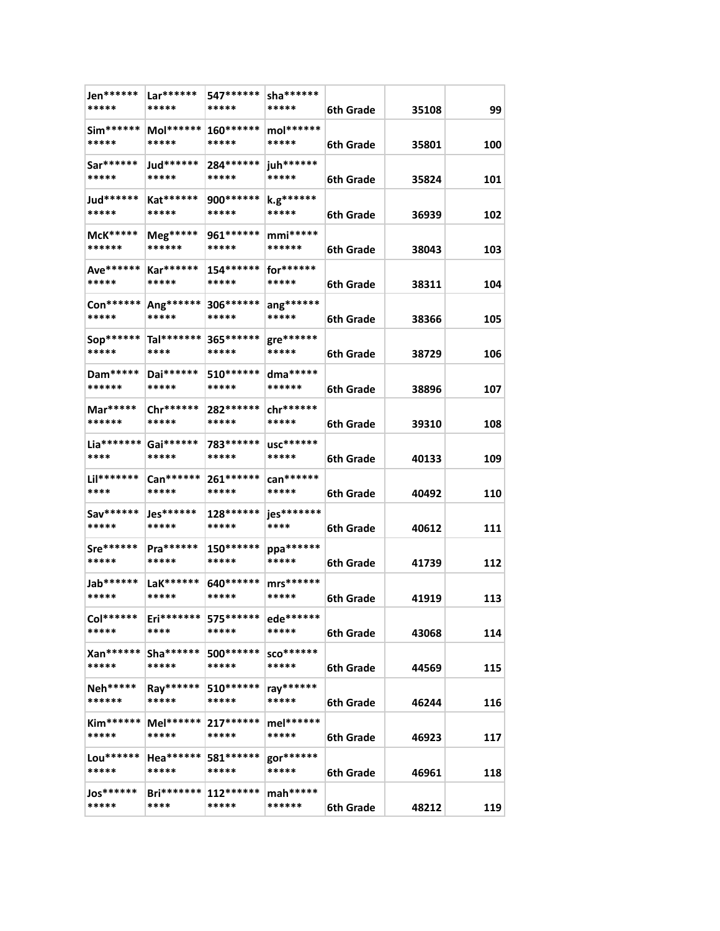| Jen******<br>*****  | Lar******<br>*****   | 547******<br>*****   | sha *******<br>***** | 6th Grade | 35108 | 99  |
|---------------------|----------------------|----------------------|----------------------|-----------|-------|-----|
| Sim******<br>*****  | Mol******<br>*****   | 160******<br>*****   | mol******<br>*****   | 6th Grade | 35801 | 100 |
| Sar******<br>*****  | Jud******<br>*****   | 284******<br>*****   | juh******<br>*****   | 6th Grade | 35824 | 101 |
| Jud******<br>*****  | Kat******<br>*****   | 900 *******<br>***** | k.g******<br>*****   | 6th Grade | 36939 | 102 |
| McK*****<br>******  | Meg*****<br>******   | 961 *******<br>***** | $mmi***$<br>******   | 6th Grade | 38043 | 103 |
| Ave******<br>*****  | $Kar******$<br>***** | 154******<br>*****   | for******<br>*****   | 6th Grade | 38311 | 104 |
| Con******<br>*****  | Ang******<br>*****   | 306 *******<br>***** | ang******<br>*****   | 6th Grade | 38366 | 105 |
| Sop******<br>*****  | Tal*******<br>****   | 365******<br>*****   | gre******<br>*****   | 6th Grade | 38729 | 106 |
| Dam*****<br>******  | Dai******<br>*****   | 510 *******<br>***** | dma*****<br>******   | 6th Grade | 38896 | 107 |
| Mar*****<br>******  | Chr******<br>*****   | 282 ******<br>*****  | chr******<br>*****   | 6th Grade | 39310 | 108 |
| Lia*******<br>****  | Gai******<br>*****   | 783 *******<br>***** | usc******<br>*****   | 6th Grade | 40133 | 109 |
| Lil*******<br>****  | Can******<br>*****   | 261 *******<br>***** | can******<br>*****   | 6th Grade | 40492 | 110 |
| Sav******<br>*****  | Jes******<br>*****   | 128******<br>*****   | jes*******<br>****   | 6th Grade | 40612 | 111 |
| Sre******<br>*****  | Pra******<br>*****   | 150******<br>*****   | ppa******<br>*****   | 6th Grade | 41739 | 112 |
| Jab******<br>*****  | LaK******<br>*****   | 640 *******<br>***** | $mrs******$<br>***** | 6th Grade | 41919 | 113 |
| Col******<br>*****  | $Eri*******$<br>**** | 575******<br>*****   | ede******<br>*****   | 6th Grade | 43068 | 114 |
| Xan******<br>*****  | $Sha******$<br>***** | 500 ******<br>*****  | SCO******<br>*****   | 6th Grade | 44569 | 115 |
| Neh*****<br>******  | Ray******<br>*****   | 510******<br>*****   | ray******<br>*****   | 6th Grade | 46244 | 116 |
| $Kim*****$<br>***** | $Mel******$<br>***** | $217******$<br>***** | mel******<br>*****   | 6th Grade | 46923 | 117 |
| Lou******<br>*****  | Hea******<br>*****   | 581******<br>*****   | gor******<br>*****   | 6th Grade | 46961 | 118 |
| Jos******<br>*****  | $Bri*******$<br>**** | $112******$<br>***** | mah*****<br>******   | 6th Grade | 48212 | 119 |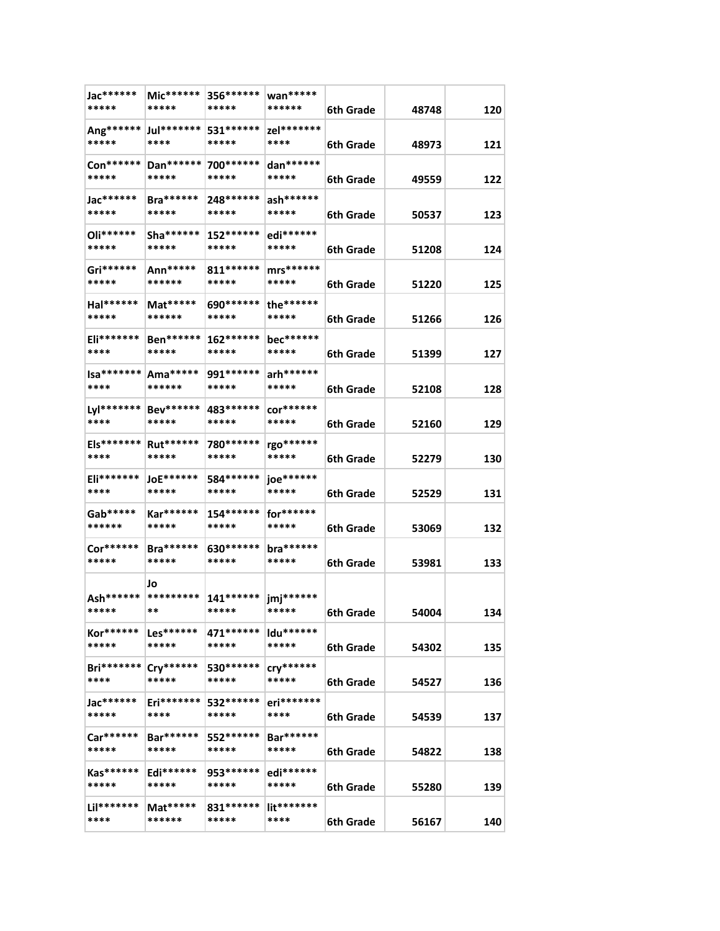| Jac******<br>*****        | Mic******<br>*****            | 356 ******<br>*****           | wan*****<br>******     | 6th Grade              | 48748          | 120 |
|---------------------------|-------------------------------|-------------------------------|------------------------|------------------------|----------------|-----|
| Ang******<br>*****        | Jul*******<br>****            | 531 ******<br>*****           | zel*******<br>****     | 6th Grade              | 48973          | 121 |
| Con******<br>*****        | Dan******<br>*****            | 700 *******<br>*****          | dan******<br>*****     | 6th Grade              | 49559          | 122 |
| Jac******<br>*****        | $Bra******$<br>*****          | 248 ******<br>*****           | ash******<br>*****     | 6th Grade              | 50537          | 123 |
| Oli******<br>*****        | $Sha*****$<br>*****           | 152******<br>*****            | edi******<br>*****     | 6th Grade              | 51208          | 124 |
| Gri******<br>*****        | Ann*****<br>******            | 811 ******<br>*****           | $mrs*****$<br>*****    | 6th Grade              | 51220          | 125 |
| Hal******<br>*****        | Mat*****<br>******            | 690 *******<br>*****          | the******<br>*****     | 6th Grade              | 51266          | 126 |
| Eli*******<br>****        | Ben******<br>*****            | $162******$<br>*****          | bec******<br>*****     | 6th Grade              | 51399          | 127 |
| $Isa****** $<br>****      | $Ama*****$<br>******          | 991******<br>*****            | arh******<br>*****     | 6th Grade              | 52108          | 128 |
| ****                      | Lyl******* Bev******<br>***** | 483******<br>*****            | $cor******$<br>*****   | 6th Grade              | 52160          | 129 |
| Els*******<br>****        | Rut******<br>*****            | 780******<br>*****            | rgo******<br>*****     | 6th Grade              | 52279          | 130 |
| Eli*******<br>****        | <b>JoE******</b><br>*****     | 584******<br>*****            | joe******<br>*****     | 6th Grade              | 52529          | 131 |
| Gab*****<br>******        | Kar******<br>*****            | 154******<br>*****            | for******<br>*****     |                        |                | 132 |
| Cor******<br>*****        | $Bra******$<br>*****          | 630*******<br>*****           | bra******<br>*****     | 6th Grade<br>6th Grade | 53069<br>53981 | 133 |
| Ash******                 | Jo<br>*********               |                               |                        |                        |                |     |
| *****                     | **                            | 141******  jmj******<br>***** | *****                  | <b>6th Grade</b>       | 54004          | 134 |
| Kor******<br>*****        | $Les*****$<br>*****           | 471 ******<br>*****           | $Idu******$<br>*****   | 6th Grade              | 54302          | 135 |
| <b>Bri*******</b><br>**** | Cry******<br>*****            | 530******<br>*****            | $\frac{1}{2}$<br>***** | 6th Grade              | 54527          | 136 |
| Jac******<br>*****        | Eri*******<br>****            | 532******<br>*****            | eri*******<br>****     | 6th Grade              | 54539          | 137 |
| Car******<br>*****        | $Bar*****$<br>*****           | 552******<br>*****            | Bar******<br>*****     | 6th Grade              | 54822          | 138 |
| $Kas******$<br>*****      | $Edi******$<br>*****          | 953******<br>*****            | edi******<br>*****     | 6th Grade              | 55280          | 139 |
| Lil*******<br>****        | $Mat*****$<br>******          | 831******<br>*****            | lit*******<br>****     | 6th Grade              | 56167          | 140 |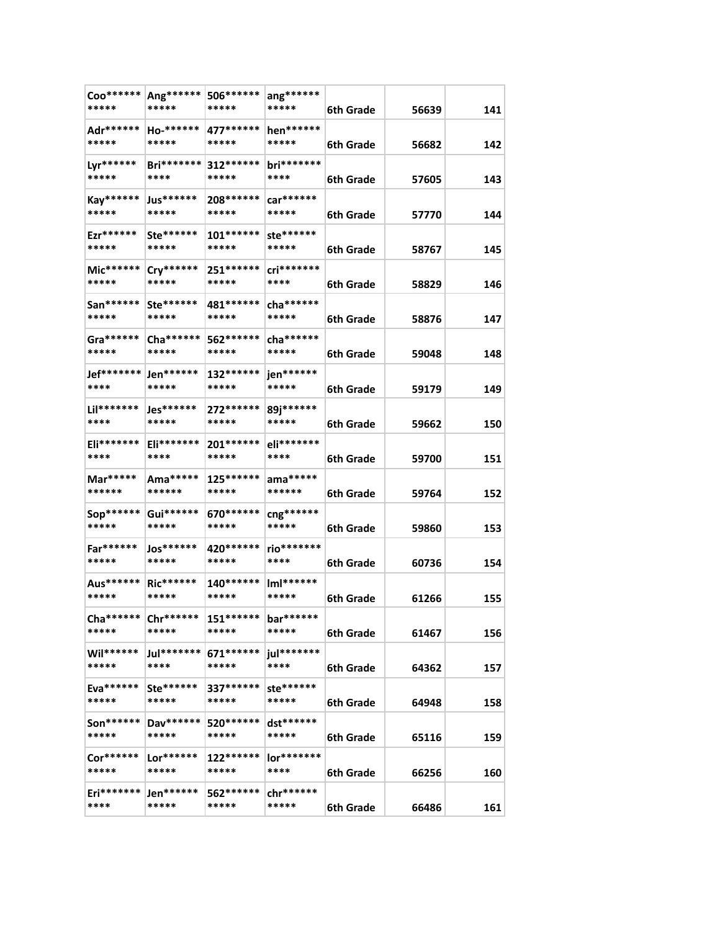| Coo******<br>*****  | Ang******<br>*****        | 506******<br>*****   | $\text{ang}^{*****}$<br>***** | 6th Grade | 56639 | 141 |
|---------------------|---------------------------|----------------------|-------------------------------|-----------|-------|-----|
| Adr******<br>*****  | Ho-******<br>*****        | 477******<br>*****   | hen******<br>*****            | 6th Grade | 56682 | 142 |
| Lyr******<br>*****  | <b>Bri*******</b><br>**** | 312 ******<br>*****  | bri*******<br>****            | 6th Grade | 57605 | 143 |
| Kay******<br>*****  | Jus******<br>*****        | 208******<br>*****   | car******<br>*****            | 6th Grade | 57770 | 144 |
| Ezr******<br>*****  | Ste******<br>*****        | 101 ******<br>*****  | ste******<br>*****            | 6th Grade | 58767 | 145 |
| Mic******<br>*****  | Cry******<br>*****        | $251*****$<br>*****  | cri*******<br>****            | 6th Grade | 58829 | 146 |
| San******<br>*****  | Ste******<br>*****        | 481 *******<br>***** | cha ******<br>*****           | 6th Grade | 58876 | 147 |
| Gra******<br>*****  | $Cha******$<br>*****      | 562 ******<br>*****  | cha ******<br>*****           | 6th Grade | 59048 | 148 |
| Jef*******<br>****  | Jen******<br>*****        | 132******<br>*****   | jen******<br>*****            | 6th Grade | 59179 | 149 |
| Lil*******<br>****  | $Jes******$<br>*****      | 272 ******<br>*****  | 89j******<br>*****            | 6th Grade | 59662 | 150 |
| Eli*******<br>****  | Eli*******<br>****        | 201******<br>*****   | eli*******<br>****            | 6th Grade | 59700 | 151 |
| Mar*****<br>******  | Ama*****<br>******        | 125******<br>*****   | $ama*****$<br>******          | 6th Grade | 59764 | 152 |
| Sop******<br>*****  | Gui******<br>*****        | 670 *******<br>***** | cng******<br>*****            | 6th Grade | 59860 | 153 |
| Far******<br>*****  | Jos******<br>*****        | 420 ******<br>*****  | rio*******<br>****            | 6th Grade | 60736 | 154 |
| Aus******<br>*****  | <b>Ric******</b><br>***** | 140******<br>*****   | $ImI******$<br>*****          | 6th Grade | 61266 | 155 |
| Cha ******<br>***** | Chr******<br>*****        | $151******$<br>***** | bar******<br>*****            | 6th Grade | 61467 | 156 |
| Wil******<br>*****  | Jul********<br>****       | 671******<br>*****   | jul*******<br>****            | 6th Grade | 64362 | 157 |
| Eva******<br>*****  | Ste******<br>*****        | 337******<br>*****   | ste******<br>*****            | 6th Grade | 64948 | 158 |
| $Son*****$<br>***** | Dav******<br>*****        | 520******<br>*****   | dst******<br>*****            | 6th Grade | 65116 | 159 |
| Cor******<br>*****  | $Lor******$<br>*****      | 122******<br>*****   | lor*******<br>****            | 6th Grade | 66256 | 160 |
| Eri*******<br>****  | Jen******<br>*****        | 562 ******<br>*****  | chr******<br>*****            | 6th Grade | 66486 | 161 |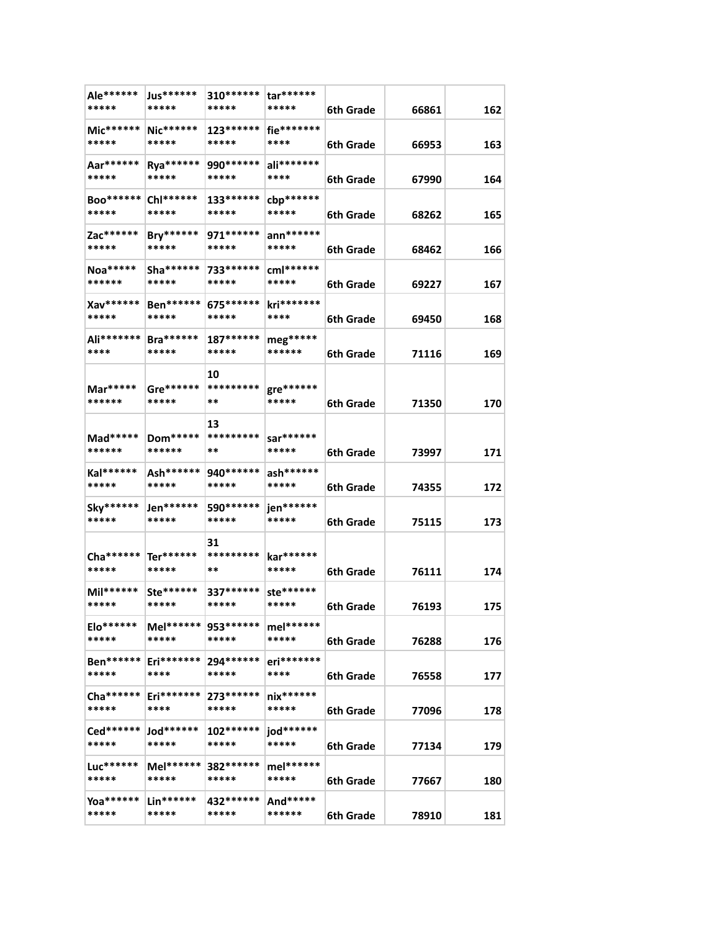| Ale******<br>*****   | Jus******<br>*****           | $310******$<br>*****  | tar******<br>*****   | 6th Grade | 66861 | 162 |
|----------------------|------------------------------|-----------------------|----------------------|-----------|-------|-----|
| Mic******<br>*****   | Nic******<br>*****           | $123******$<br>*****  | fie*******<br>****   | 6th Grade | 66953 | 163 |
| Aar******<br>*****   | Rya******<br>*****           | 990******<br>*****    | ali*******<br>****   | 6th Grade | 67990 | 164 |
| Boo****** <br>*****  | Chl******<br>*****           | 133******<br>*****    | cbp******<br>*****   | 6th Grade | 68262 | 165 |
| Zac******<br>*****   | Bry******<br>*****           | 971 ******<br>*****   | $ann******$<br>***** |           |       |     |
| Noa*****<br>******   | $Sha*****$<br>*****          | 733******<br>*****    | $cm1******$<br>***** | 6th Grade | 68462 | 166 |
| Xav******            | Ben******<br>*****           | 675******<br>*****    | kri*******<br>****   | 6th Grade | 69227 | 167 |
| *****<br>Ali*******  | <b>Bra******</b>             | $187******$           | $meg*****$           | 6th Grade | 69450 | 168 |
| ****                 | *****                        | *****                 | ******               | 6th Grade | 71116 | 169 |
| Mar*****<br>******   | Gre******<br>*****           | 10<br>*********<br>** | gre******<br>*****   | 6th Grade | 71350 | 170 |
| Mad*****<br>******   | Dom*****<br>******           | 13<br>*********<br>** | sar******<br>*****   | 6th Grade | 73997 | 171 |
| Kal******<br>*****   | Ash******<br>*****           | 940 *******<br>*****  | ash******<br>*****   | 6th Grade | 74355 | 172 |
| Sky******<br>*****   | Jen******<br>*****           | 590 *******<br>*****  | jen******<br>*****   | 6th Grade | 75115 | 173 |
| Cha ******<br>*****  | Ter******<br>*****           | 31<br>*********<br>** | kar******<br>*****   | 6th Grade | 76111 | 174 |
| Mil******<br>*****   | $Ste*****$<br>*****          | 337******<br>*****    | ste******<br>*****   | 6th Grade | 76193 | 175 |
| $Elo*****$<br>*****  | Mel****** 953******<br>***** | *****                 | mel******<br>*****   | 6th Grade | 76288 | 176 |
| Ben******<br>*****   | Eri*******<br>****           | 294 ******<br>*****   | eri*******<br>****   | 6th Grade | 76558 | 177 |
| $Cha*****$<br>*****  | $Eri*******$<br>****         | 273******<br>*****    | $nix******$<br>***** | 6th Grade | 77096 | 178 |
| Ced******<br>*****   | $Jod******$<br>*****         | 102 ******<br>*****   | jod******<br>*****   | 6th Grade | 77134 | 179 |
| $Luc******$<br>***** | Mel******<br>*****           | 382 ******<br>*****   | mel******<br>*****   | 6th Grade | 77667 | 180 |
| Yoa *******<br>***** | $Lin******$<br>*****         | 432 ******<br>*****   | And*****<br>******   | 6th Grade | 78910 | 181 |
|                      |                              |                       |                      |           |       |     |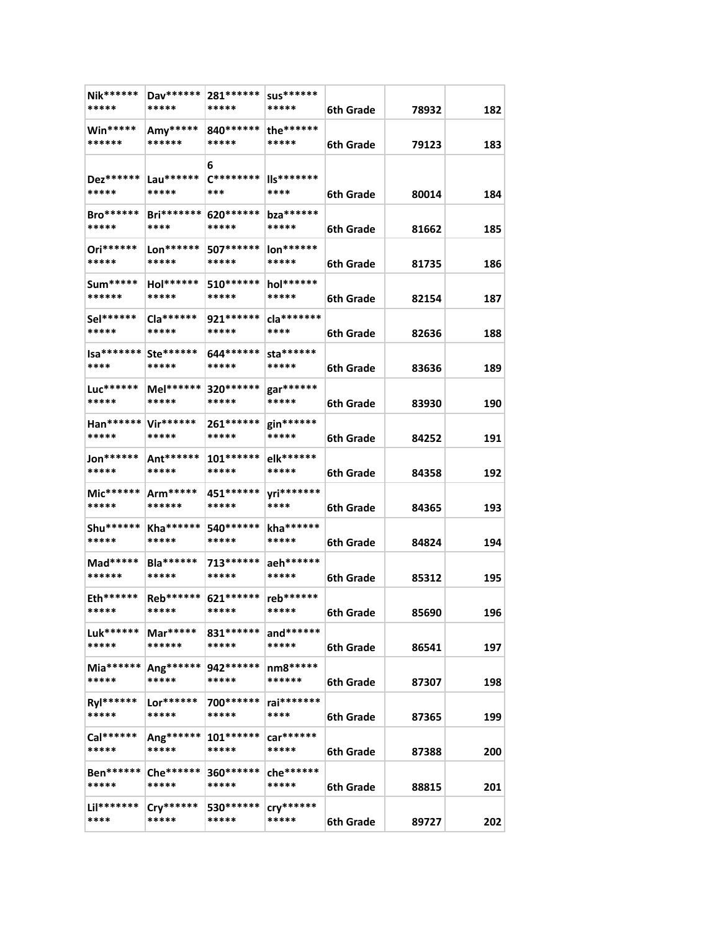| Nik******<br>*****           | Dav******<br>*****        | 281 ******<br>*****     | <b>SUS******</b><br>*****    | 6th Grade        | 78932 | 182 |
|------------------------------|---------------------------|-------------------------|------------------------------|------------------|-------|-----|
| Win*****<br>******           | Amy*****<br>******        | 840 *******<br>*****    | the******<br>*****           | 6th Grade        | 79123 | 183 |
| Dez******<br>*****           | Lau******<br>*****        | 6<br>$C********$<br>*** | IIs*******<br>****           | 6th Grade        | 80014 | 184 |
| $Bro******$<br>*****         | <b>Bri*******</b><br>**** | 620 ******<br>*****     | bza******<br>*****           | 6th Grade        | 81662 | 185 |
| Ori******<br>*****           | Lon******<br>*****        | 507******<br>*****      | $\text{Ion}$ ******<br>***** | 6th Grade        | 81735 | 186 |
| Sum*****<br>******           | Hol******<br>*****        | 510 ******<br>*****     | hol******<br>*****           | 6th Grade        | 82154 | 187 |
| Sel******<br>*****           | Cla******<br>*****        | 921 *******<br>*****    | cla*******<br>****           | 6th Grade        | 82636 | 188 |
| $Isa****** $<br>****         | Ste******<br>*****        | 644******<br>*****      | sta******<br>*****           | 6th Grade        | 83636 | 189 |
| Luc******<br>*****           | Mel******<br>*****        | 320 ******<br>*****     | gar******<br>*****           | 6th Grade        | 83930 | 190 |
| Han****** Vir******<br>***** | *****                     | 261 ******<br>*****     | gin******<br>*****           | 6th Grade        | 84252 | 191 |
| Jon******<br>*****           | Ant******<br>*****        | $101******$<br>*****    | elk******<br>*****           | 6th Grade        | 84358 | 192 |
| Mic******<br>*****           | $Arm****$<br>******       | 451 ******<br>*****     | yri*******<br>****           | 6th Grade        | 84365 | 193 |
| Shu *******<br>*****         | Kha******<br>*****        | 540 ******<br>*****     | kha ******<br>*****          | 6th Grade        | 84824 | 194 |
| Mad*****<br>******           | <b>Bla******</b><br>***** | 713******<br>*****      | aeh******<br>*****           | 6th Grade        | 85312 | 195 |
| Eth******<br>*****           | Reb******<br>*****        | 621******<br>*****      | reb******<br>*****           | 6th Grade        | 85690 | 196 |
| Luk******<br>*****           | Mar*****<br>******        | 831 *******<br>*****    | and******<br>*****           | 6th Grade        | 86541 | 197 |
| $Mia*****$<br>*****          | Ang******<br>*****        | 942 ******<br>*****     | nm8*****<br>******           | 6th Grade        | 87307 | 198 |
| Ryl******<br>*****           | Lor******<br>*****        | 700******<br>*****      | rai*******<br>****           | 6th Grade        | 87365 | 199 |
| Cal******<br>*****           | Ang******<br>*****        | $101******$<br>*****    | car******<br>*****           | 6th Grade        | 87388 | 200 |
| Ben******<br>*****           | Che ******<br>*****       | 360******<br>*****      | che******<br>*****           | <b>6th Grade</b> | 88815 | 201 |
| Lil*******<br>****           | $Cry******$<br>*****      | 530******<br>*****      | $\frac{1}{2}$<br>*****       | 6th Grade        | 89727 | 202 |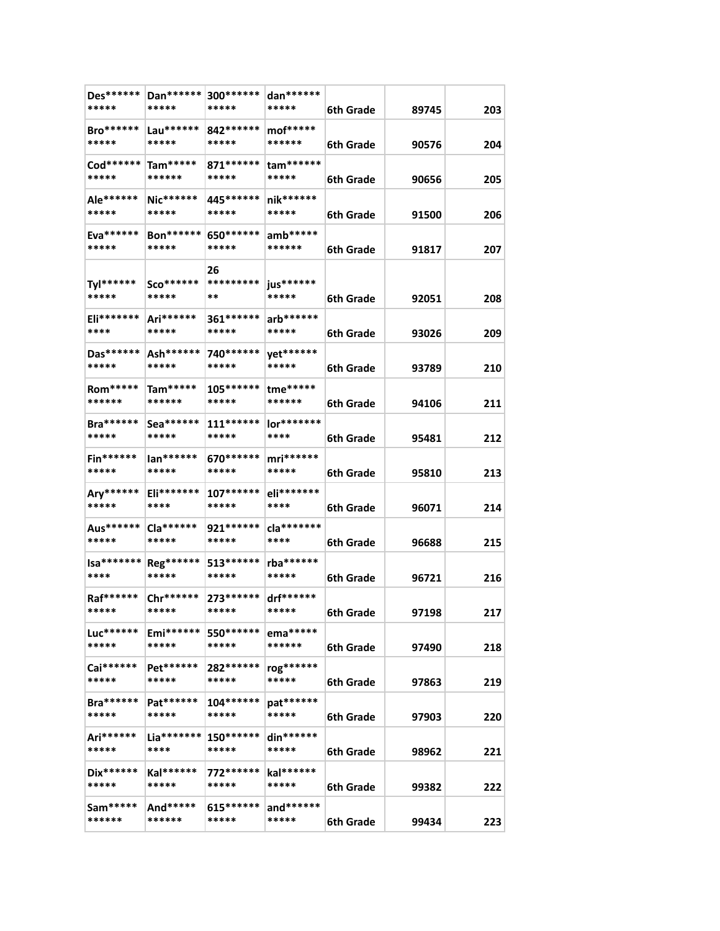| Des******<br>*****        | Dan******<br>*****           | 300 ******<br>*****   | dan******<br>*****            | 6th Grade        | 89745 | 203 |
|---------------------------|------------------------------|-----------------------|-------------------------------|------------------|-------|-----|
| Bro******<br>*****        | Lau******<br>*****           | 842 ******<br>*****   | mof*****<br>******            | 6th Grade        | 90576 | 204 |
| Cod******<br>*****        | $Tam****$<br>******          | 871 ******<br>*****   | $tam*****$<br>*****           | 6th Grade        | 90656 | 205 |
| Ale******<br>*****        | $Nic******$<br>*****         | 445******<br>*****    | nik******<br>*****            | 6th Grade        | 91500 | 206 |
| Eva******<br>*****        | Bon******<br>*****           | 650 *******<br>*****  | $amb*****$<br>******          | <b>6th Grade</b> | 91817 | 207 |
| Tyl******<br>*****        | $Sco******$<br>*****         | 26<br>*********<br>** | jus******<br>*****            | 6th Grade        | 92051 | 208 |
| Eli*******<br>****        | Ari******<br>*****           | 361 *******<br>*****  | $arb******$<br>*****          | 6th Grade        | 93026 | 209 |
| Das******<br>*****        | Ash******<br>*****           | 740 ******<br>*****   | yet******<br>*****            | 6th Grade        | 93789 | 210 |
| Rom*****<br>******        | Tam*****<br>******           | $105******$<br>*****  | tme*****<br>******            | 6th Grade        | 94106 | 211 |
| Bra******<br>*****        | $Sea******$<br>*****         | $111******$<br>*****  | lor*******<br>****            | 6th Grade        | 95481 | 212 |
| <b>Fin******</b><br>***** | lan******<br>*****           | 670 *******<br>*****  | $mri******$<br>*****          | 6th Grade        | 95810 | 213 |
| Ary******<br>*****        | <b>Eli*******</b><br>****    | $107******$<br>*****  | eli*******<br>****            | 6th Grade        | 96071 | 214 |
| Aus******<br>*****        | Cla******<br>*****           | 921 ******<br>*****   | cla*******<br>****            | 6th Grade        | 96688 | 215 |
| $Isa******$<br>****       | Reg******<br>*****           | 513******<br>*****    | rba******<br>*****            | 6th Grade        | 96721 | 216 |
| Raf******<br>*****        | Chr******<br>*****           | 273******<br>*****    | drf******<br>*****            | 6th Grade        | 97198 | 217 |
| Luc******<br>*****        | Emi******<br>*****           | 550 ******<br>*****   | ema*****<br>******            | 6th Grade        | 97490 | 218 |
| Cai******<br>*****        | Pet******<br>*****           | 282******<br>*****    | rog******<br>*****            | 6th Grade        | 97863 | 219 |
| <b>Bra******</b><br>***** | Pat******<br>*****           | 104 ******<br>*****   | pat******<br>*****            | 6th Grade        | 97903 | 220 |
| Ari******<br>*****        | $_{\rm La^{******}}$<br>**** | $150******$<br>*****  | $\frac{dim*****}{*}$<br>***** | 6th Grade        | 98962 | 221 |
| Dix******<br>*****        | Kal******<br>*****           | 772******<br>*****    | kal******<br>*****            | 6th Grade        | 99382 | 222 |
| Sam*****<br>******        | And*****<br>******           | 615******<br>*****    | $and******$<br>*****          | 6th Grade        | 99434 | 223 |
|                           |                              |                       |                               |                  |       |     |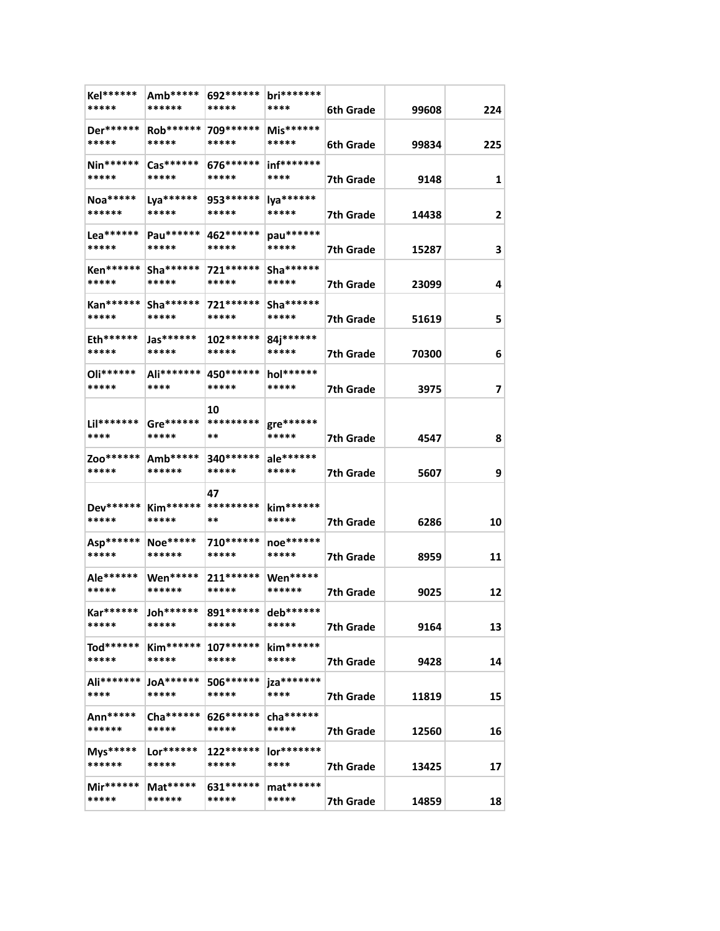| Kel******<br>*****        | Amb*****<br>******               | 692******<br>*****    | bri*******<br>****  | 6th Grade | 99608 | 224 |
|---------------------------|----------------------------------|-----------------------|---------------------|-----------|-------|-----|
| Der******<br>*****        | Rob******<br>*****               | 709******<br>*****    | Mis******<br>*****  | 6th Grade | 99834 | 225 |
| $Nin*****$<br>*****       | $\mathsf{Cas}^{******}$<br>***** | 676******<br>*****    | inf*******<br>****  | 7th Grade | 9148  | 1   |
| Noa*****<br>******        | Lya******<br>*****               | 953******<br>*****    | lya******<br>*****  | 7th Grade | 14438 | 2   |
| $Lea******$<br>*****      | Pau******<br>*****               | 462 ******<br>*****   | pau******<br>*****  | 7th Grade | 15287 | 3   |
| Ken******<br>*****        | $Sha*****$<br>*****              | 721******<br>*****    | $Sha*****$<br>***** | 7th Grade | 23099 | 4   |
| Kan******<br>*****        | $Sha*****$<br>*****              | 721 ******<br>*****   | Sha******<br>*****  | 7th Grade | 51619 | 5   |
| Eth******<br>*****        | Jas******<br>*****               | $102******$<br>*****  | 84j******<br>*****  | 7th Grade | 70300 | 6   |
| Oli******<br>*****        | Ali*******<br>****               | 450 ******<br>*****   | hol******<br>*****  | 7th Grade | 3975  | 7   |
| Lil*******<br>****        | Gre******<br>*****               | 10<br>*********<br>** | gre******<br>*****  | 7th Grade | 4547  | 8   |
| Zoo******<br>*****        | Amb*****<br>******               | 340 *******<br>*****  | ale******<br>*****  | 7th Grade | 5607  | 9   |
| Dev******  <br>*****      | *****                            | 47<br>**              | $kim*****$<br>***** | 7th Grade | 6286  | 10  |
| Asp******<br>*****        | Noe*****<br>******               | 710 ******<br>*****   | noe******<br>*****  | 7th Grade | 8959  | 11  |
| Ale******<br>*****        | <b>Wen*****</b><br>******        | 211******<br>*****    | Wen*****<br>******  | 7th Grade | 9025  | 12  |
| <b>Kar******</b><br>***** | Joh******<br>*****               | 891 ******<br>*****   | deb******<br>*****  | 7th Grade | 9164  | 13  |
| Tod******<br>*****        | <b>Kim******</b><br>*****        | $107******$<br>*****  | kim******<br>*****  | 7th Grade | 9428  | 14  |
| Ali*******<br>****        | $JA******$<br>*****              | 506******<br>*****    | jza*******<br>****  | 7th Grade | 11819 | 15  |
| Ann*****<br>******        | Cha ******<br>*****              | 626******<br>*****    | cha ******<br>***** | 7th Grade | 12560 | 16  |
| Mys*****<br>******        | $Lor******$<br>*****             | 122******<br>*****    | lor*******<br>****  | 7th Grade | 13425 | 17  |
| Mir******<br>*****        | $Mat****$<br>******              | 631 ******<br>*****   | $mat*****$<br>***** | 7th Grade | 14859 | 18  |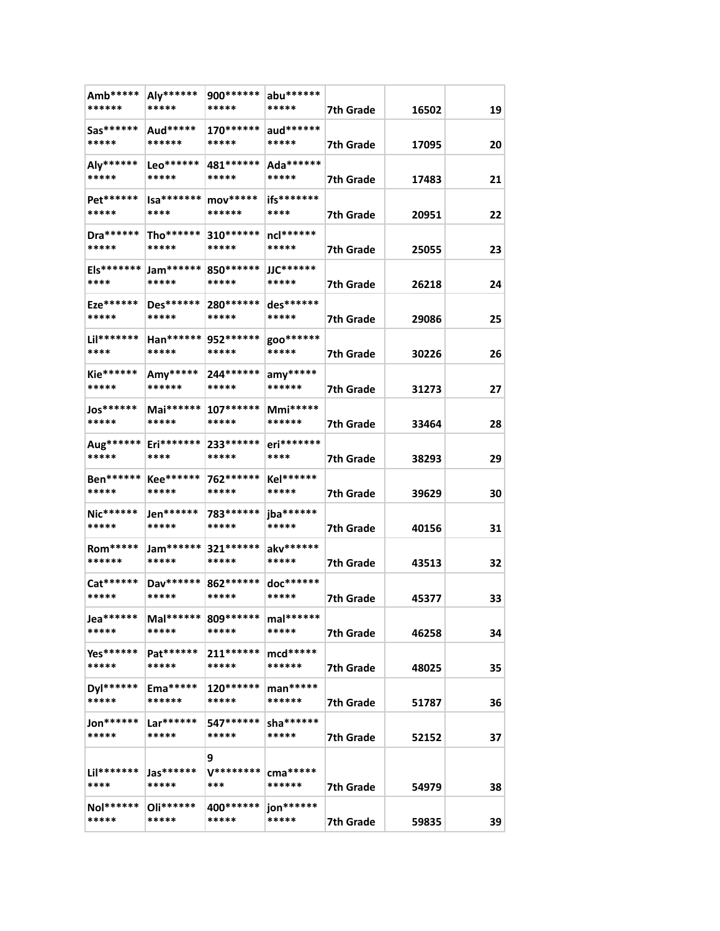| Amb*****<br>******          | Aly******<br>*****              | 900 *******<br>*****      | abu******<br>*****           | 7th Grade              | 16502          | 19       |
|-----------------------------|---------------------------------|---------------------------|------------------------------|------------------------|----------------|----------|
| Sas******<br>*****          | Aud*****<br>******              | $170******$<br>*****      | aud******<br>*****           | 7th Grade              | 17095          | 20       |
| Aly******<br>*****          | Leo******<br>*****              | 481 ******<br>*****       | Ada******<br>*****           | 7th Grade              | 17483          | 21       |
| Pet******<br>*****          | Isa*******<br>****              | $mov****$<br>******       | ifs*******<br>****           | 7th Grade              | 20951          | 22       |
| Dra *******<br>*****        | Tho******<br>*****              | 310 ******<br>*****       | ncl******<br>*****           | 7th Grade              | 25055          | 23       |
| Els*******<br>****          | $Jam*****$<br>*****             | 850 ******<br>*****       | $JJC******$<br>*****         | 7th Grade              | 26218          | 24       |
| Eze******<br>*****          | Des******<br>*****              | 280 ******<br>*****       | des******<br>*****           | 7th Grade              | 29086          | 25       |
| Lil*******<br>****          | Han******<br>*****              | 952 ******<br>*****       | goo*******<br>*****          | 7th Grade              | 30226          | 26       |
| <b>Kie******</b><br>*****   | Amy*****<br>******              | 244 ******<br>*****       | $any****$<br>******          | 7th Grade              | 31273          | 27       |
| Jos******<br>*****          | Mai******<br>*****              | $107******$<br>*****      | $Mmi*****$<br>******         | 7th Grade              | 33464          | 28       |
| Aug******<br>*****          | Eri*******<br>****              | 233******<br>*****        | eri*******<br>****           | 7th Grade              | 38293          | 29       |
| Ben******<br>*****          | <b>Kee******</b><br>*****       | 762 ******<br>*****       | Kel******<br>*****           | 7th Grade              | 39629          | 30       |
| Nic******<br>*****          | Jen******<br>*****              | 783 *******<br>*****      | jba******<br>*****           | 7th Grade              | 40156          | 31       |
| Rom*****<br>******          | Jam******<br>*****              | $321******$<br>*****      | akv******<br>*****           | 7th Grade              | 43513          | 32       |
| Cat******<br>*****          | Dav******<br>*****              | 862 ******<br>*****       | doc******<br>*****           | 7th Grade              | 45377          | 33       |
| Jea******<br>*****          | Mal****** 809******<br>*****    | *****                     | mal******<br>*****           | 7th Grade              | 46258          | 34       |
| Yes******<br>*****          | Pat******<br>*****              | $211******$<br>*****      | $mcd*****$<br>******         | 7th Grade              | 48025          | 35       |
| Dyl******<br>*****          | $Ema*****$<br>******            | 120******<br>*****        | $man****$<br>******          | 7th Grade              | 51787          | 36       |
| $Jon******$<br>*****        | $Lar******$<br>*****            | 547******<br>*****        | sha******<br>*****           | 7th Grade              | 52152          | 37       |
| $Lil******$                 | $jas*****$                      | 9<br><b>V********</b>     | cma*****                     |                        |                |          |
| ****<br>$Nol*****$<br>***** | *****<br>$Oli^{*****}$<br>***** | ***<br>400******<br>***** | ******<br>jon******<br>***** | 7th Grade<br>7th Grade | 54979<br>59835 | 38<br>39 |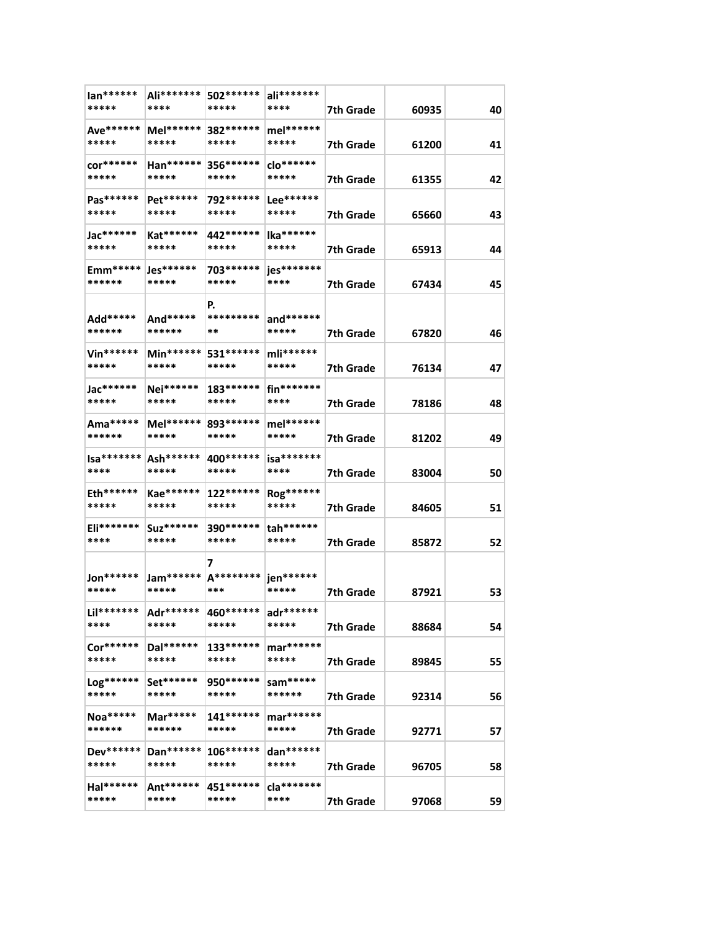| $lan******$<br>*****      | Ali*******  <br>****                              | 502******<br>*****                            | ali*******<br>****   | 7th Grade        | 60935 | 40 |
|---------------------------|---------------------------------------------------|-----------------------------------------------|----------------------|------------------|-------|----|
| Ave******<br>*****        | Mel******<br>*****                                | 382 ******<br>*****                           | mel******<br>*****   | 7th Grade        | 61200 | 41 |
| $cor******$<br>*****      | Han******<br>*****                                | 356******<br>*****                            | clo******<br>*****   | 7th Grade        | 61355 | 42 |
| $Pas******$<br>*****      | Pet******<br>*****                                | 792******<br>*****                            | $Lee******$<br>***** | 7th Grade        | 65660 | 43 |
| Jac******<br>*****        | Kat******<br>*****                                | 442******<br>*****                            | lka******<br>*****   | 7th Grade        | 65913 | 44 |
| Emm*****<br>******        | Jes******<br>*****                                | 703 *******<br>*****                          | jes*******<br>****   | 7th Grade        | 67434 | 45 |
| Add*****<br>******        | And*****<br>******                                | P.<br>*********<br>**                         | and******<br>*****   | 7th Grade        | 67820 | 46 |
| <b>Vin******</b><br>***** | Min******<br>*****                                | 531******<br>*****                            | mli******<br>*****   | 7th Grade        | 76134 | 47 |
| Jac******<br>*****        | Nei******<br>*****                                | $183******$<br>*****                          | fin*******<br>****   | 7th Grade        | 78186 | 48 |
| Ama*****<br>******        | *****                                             | Mel****** 893******<br>*****                  | mel******<br>*****   | 7th Grade        | 81202 | 49 |
| Isa*******<br>****        | Ash******<br>*****                                | 400 *******<br>*****                          | $isa*******$<br>**** | 7th Grade        | 83004 | 50 |
| Eth******<br>*****        | Kae******<br>*****                                | $122******$<br>*****                          | Rog******<br>*****   | 7th Grade        | 84605 | 51 |
| Eli*******<br>****        | Suz******<br>*****                                | 390******<br>*****                            | tah******<br>*****   | 7th Grade        | 85872 | 52 |
| Jon******<br>*****        | *****                                             | 7<br>Jam******   A********   jen******<br>*** | *****                | 7th Grade        | 87921 | 53 |
| ****                      | Lil******* Adr****** 460****** adr******<br>***** | *****                                         | *****                | <b>7th Grade</b> | 88684 | 54 |
| Cor******<br>*****        | Dal******<br>*****                                | 133******<br>*****                            | mar******<br>*****   | 7th Grade        | 89845 | 55 |
| Log******<br>*****        | Set******<br>*****                                | 950 ******<br>*****                           | sam*****<br>******   | 7th Grade        | 92314 | 56 |
| Noa*****<br>******        | Mar*****<br>******                                | 141******<br>*****                            | mar******<br>*****   | 7th Grade        | 92771 | 57 |
| Dev******<br>*****        | Dan******<br>*****                                | $106******$<br>*****                          | dan******<br>*****   | 7th Grade        | 96705 | 58 |
| Hal******<br>*****        | Ant******<br>*****                                | 451 ******<br>*****                           | $da*******$<br>****  | 7th Grade        | 97068 | 59 |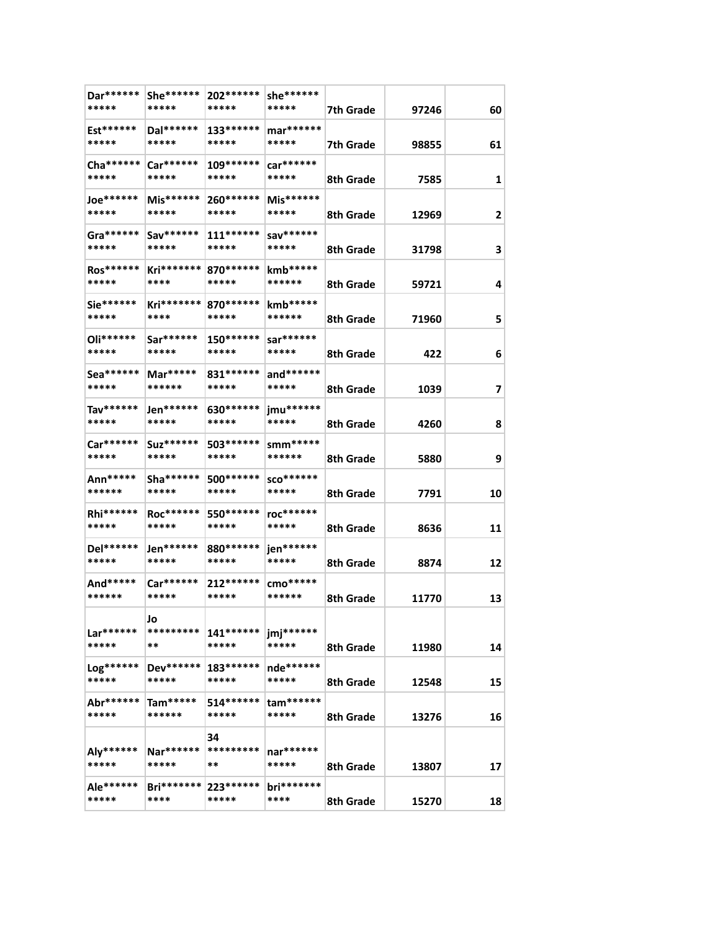| Dar******           | She******             | 202 *******           | she******             |                  |       |              |
|---------------------|-----------------------|-----------------------|-----------------------|------------------|-------|--------------|
| *****               | *****                 | *****                 | *****                 | 7th Grade        | 97246 | 60           |
| Est******<br>*****  | Dal******<br>*****    | $133******$<br>*****  | mar******<br>*****    | 7th Grade        | 98855 | 61           |
| Cha ******<br>***** | $Car******$<br>*****  | 109 ******<br>*****   | car******<br>*****    | 8th Grade        | 7585  | $\mathbf{1}$ |
| Joe*******<br>***** | Mis******<br>*****    | 260******<br>*****    | Mis******<br>*****    | 8th Grade        | 12969 | 2            |
| Gra******<br>*****  | Sav******<br>*****    | $111******$<br>*****  | sav******<br>*****    | 8th Grade        | 31798 | 3            |
| Ros******<br>*****  | Kri*******<br>****    | 870 ******<br>*****   | $kmb*****$<br>******  | 8th Grade        | 59721 | 4            |
| Sie******<br>*****  | $Kri*******$<br>****  | 870******<br>*****    | kmb*****<br>******    | 8th Grade        | 71960 | 5            |
| Oli******<br>*****  | Sar******<br>*****    | $150******$<br>*****  | sar******<br>*****    | 8th Grade        | 422   | 6            |
| Sea******<br>*****  | Mar*****<br>******    | 831 *******<br>*****  | and******<br>*****    | 8th Grade        | 1039  | 7            |
| Tav******<br>*****  | Jen******<br>*****    | 630 *******<br>*****  | jmu******<br>*****    | 8th Grade        | 4260  | 8            |
| Car******<br>*****  | Suz *******<br>*****  | 503*******<br>*****   | $sum$ *****<br>****** | 8th Grade        | 5880  | 9            |
| Ann*****<br>******  | Sha *******<br>*****  | 500 *******<br>*****  | $SCO******$<br>*****  | 8th Grade        | 7791  | 10           |
| Rhi******<br>*****  | Roc******<br>*****    | 550 ******<br>*****   | roc******<br>*****    | 8th Grade        | 8636  | 11           |
| Del******<br>*****  | Jen******<br>*****    | 880******<br>*****    | jen******<br>*****    | 8th Grade        | 8874  | 12           |
| And*****<br>******  | Car******<br>*****    | 212******<br>*****    | cmo*****<br>******    | 8th Grade        | 11770 | 13           |
| Lar******<br>*****  | Jo<br>*********<br>** | $141******$<br>*****  | jmj******<br>*****    | 8th Grade        | 11980 | 14           |
| Log******<br>*****  | Dev******<br>*****    | 183******<br>*****    | nde******<br>*****    | 8th Grade        | 12548 | 15           |
| Abr******<br>*****  | $Tam****$<br>******   | 514 ******<br>*****   | $tam******$<br>*****  | <b>8th Grade</b> | 13276 | 16           |
| Aly******<br>*****  | Nar******<br>*****    | 34<br>*********<br>** | nar******<br>*****    | 8th Grade        | 13807 | 17           |
| Ale******<br>*****  | $Bri*******$<br>****  | 223******<br>*****    | bri*******<br>****    | 8th Grade        | 15270 | 18           |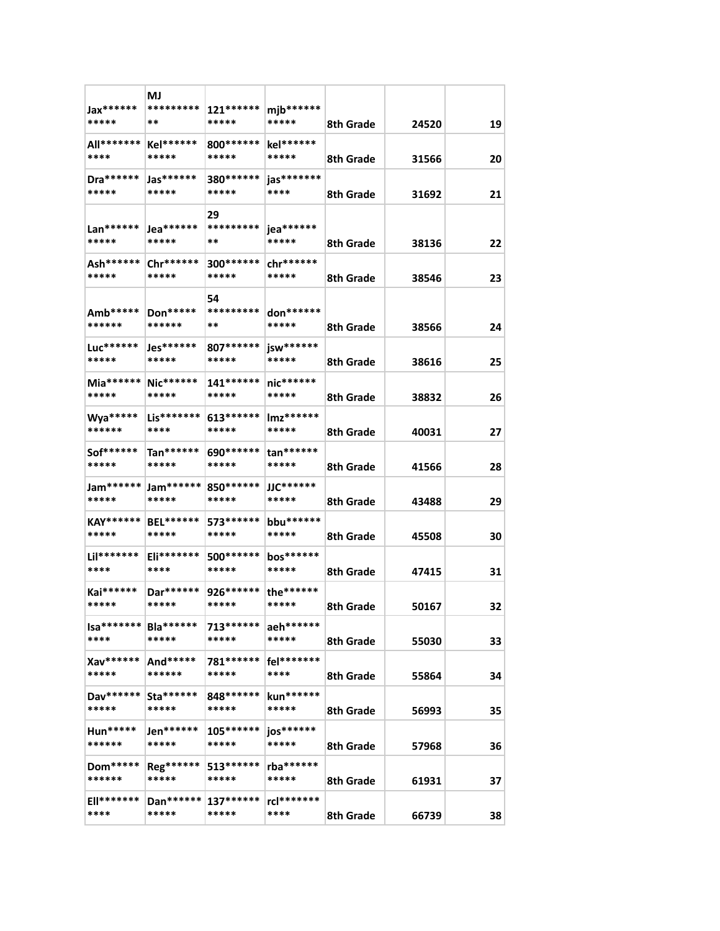| Jax******<br>*****        | MJ<br>*********<br>**         | 121 ******<br>*****   | $mjb******$<br>***** | 8th Grade | 24520 | 19 |
|---------------------------|-------------------------------|-----------------------|----------------------|-----------|-------|----|
| All*******<br>****        | $Kel******$<br>*****          | 800 *******<br>*****  | kel******<br>*****   | 8th Grade | 31566 | 20 |
| Dra *******<br>*****      | Jas******<br>*****            | 380******<br>*****    | jas*******<br>****   | 8th Grade | 31692 | 21 |
| Lan******<br>*****        | Jea******<br>*****            | 29<br>*********<br>** | jea******<br>*****   | 8th Grade | 38136 | 22 |
| Ash******<br>*****        | Chr******<br>*****            | 300 ******<br>*****   | $chr*****$<br>*****  | 8th Grade | 38546 | 23 |
| Amb*****<br>******        | Don*****<br>******            | 54<br>*********<br>** | don******<br>*****   | 8th Grade | 38566 | 24 |
| Luc******<br>*****        | Jes******<br>*****            | 807******<br>*****    | jsw******<br>*****   | 8th Grade | 38616 | 25 |
| Mia******<br>*****        | Nic******<br>*****            | $141******$<br>*****  | nic******<br>*****   | 8th Grade | 38832 | 26 |
| Wya*****<br>******        | Lis*******<br>****            | 613******<br>*****    | Imz******<br>*****   | 8th Grade | 40031 | 27 |
| Sof******<br>*****        | $Tan******$<br>*****          | 690******<br>*****    | $tan******$<br>***** | 8th Grade | 41566 | 28 |
| Jam******<br>*****        | Jam******<br>*****            | 850 *******<br>*****  | JJC******<br>*****   | 8th Grade | 43488 | 29 |
| <b>KAY******</b><br>***** | <b>BEL******</b><br>*****     | 573******<br>*****    | bbu******<br>*****   | 8th Grade | 45508 | 30 |
| Lil*******<br>****        | Eli*******<br>****            | 500 *******<br>*****  | bos******<br>*****   | 8th Grade | 47415 | 31 |
| Kai******<br>*****        | Dar******<br>*****            | 926 *******<br>*****  | the******<br>*****   | 8th Grade | 50167 | 32 |
| $Isa*******$<br>****      | Bla******<br>*****            | 713******<br>*****    | aeh******<br>*****   | 8th Grade | 55030 | 33 |
| Xav******<br>*****        | And*****<br>******            | 781 ******<br>*****   | fel*******<br>****   | 8th Grade | 55864 | 34 |
| Dav******<br>*****        | $\text{Sta}^{*****}$<br>***** | 848******<br>*****    | kun******<br>*****   | 8th Grade | 56993 | 35 |
| $Hun*****$<br>******      | Jen******<br>*****            | 105 ******<br>*****   | jos******<br>*****   | 8th Grade | 57968 | 36 |
| Dom*****<br>******        | Reg******<br>*****            | 513******<br>*****    | rba******<br>*****   | 8th Grade | 61931 | 37 |
| <b>Ell*******</b><br>**** | $Dan******$<br>*****          | $137******$<br>*****  | rcl*******<br>****   | 8th Grade | 66739 | 38 |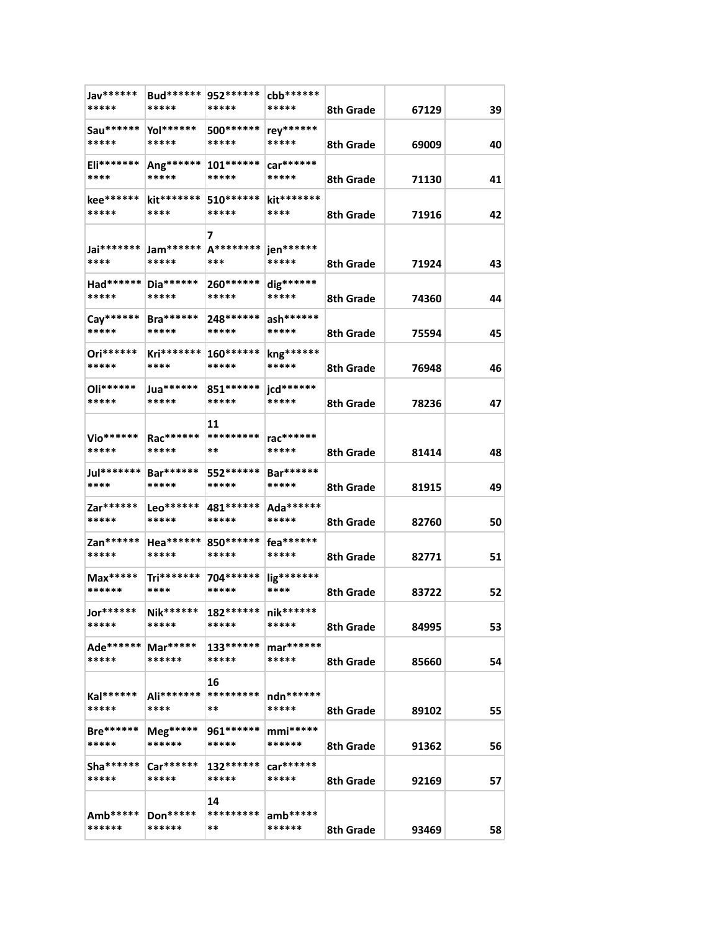| Jav******<br>*****        | Bud******<br>*****      | 952 ******<br>*****           | cbb******<br>***** | 8th Grade | 67129 | 39 |
|---------------------------|-------------------------|-------------------------------|--------------------|-----------|-------|----|
| Sau******                 | Yol******               | 500*******                    | rey******          |           |       |    |
| *****                     | *****                   | *****                         | *****              | 8th Grade | 69009 | 40 |
| Eli*******                | Ang******               | $101******$                   | $car******$        |           |       |    |
| ****                      | *****                   | *****                         | *****              | 8th Grade | 71130 | 41 |
| kee******<br>*****        | kit*******<br>****      | 510******<br>*****            | kit*******<br>**** | 8th Grade | 71916 | 42 |
|                           |                         | 7                             |                    |           |       |    |
| Jai*******                | Jam******               | A********                     | jen******          |           |       |    |
| ****                      | *****                   | ***                           | *****              | 8th Grade | 71924 | 43 |
|                           | Had******   Dia******   | 260******                     | dig******          |           |       |    |
| *****                     | *****                   | *****                         | *****              | 8th Grade | 74360 | 44 |
| Cay******                 | <b>Bra******</b>        | 248******                     | ash******          |           |       |    |
| *****                     | *****                   | *****                         | *****              | 8th Grade | 75594 | 45 |
| Ori******<br>*****        | Kri*******<br>****      | $160******$<br>*****          | kng******<br>***** | 8th Grade | 76948 |    |
|                           |                         |                               |                    |           |       | 46 |
| Oli******<br>*****        | Jua*******<br>*****     | 851 *******<br>*****          | jcd******<br>***** | 8th Grade | 78236 | 47 |
|                           |                         | 11                            |                    |           |       |    |
| Vio******                 | Rac******               | *********                     | rac******          |           |       |    |
| *****                     | *****                   | **                            | *****              | 8th Grade | 81414 | 48 |
| Jul*******                | <b>Bar******</b>        | 552 ******                    | Bar******          |           |       |    |
| ****                      | *****                   | *****                         | *****              | 8th Grade | 81915 | 49 |
| Zar******                 | Leo******               | 481******                     | Ada******          |           |       |    |
| *****                     | *****                   | *****                         | *****              | 8th Grade | 82760 | 50 |
| Zan******<br>*****        | Hea******<br>*****      | 850******<br>*****            | fea******<br>***** |           |       |    |
|                           |                         |                               |                    | 8th Grade | 82771 | 51 |
| $Max***$<br>******        | Tri*******<br>****      | 704****** lig*******<br>***** | ****               | 8th Grade | 83722 | 52 |
| Jor******                 | Nik******               | 182****** nik******           |                    |           |       |    |
| *****                     | *****                   | *****                         | *****              | 8th Grade | 84995 | 53 |
| Ade******   Mar*****      |                         | 133******                     | mar******          |           |       |    |
| *****                     | ******                  | *****                         | *****              | 8th Grade | 85660 | 54 |
|                           |                         | 16                            |                    |           |       |    |
| Kal******                 | Ali*******              | *********                     | ndn******          |           |       |    |
| *****                     | ****                    | **                            | *****              | 8th Grade | 89102 | 55 |
| <b>Bre******</b><br>***** | ${M}$ eg*****<br>****** | 961******<br>*****            | $mmi***$<br>****** |           |       |    |
|                           |                         |                               |                    | 8th Grade | 91362 | 56 |
| $Sha******$<br>*****      | $Car******$<br>*****    | $132******$<br>*****          | car******<br>***** | 8th Grade | 92169 | 57 |
|                           |                         | 14                            |                    |           |       |    |
| Amb*****                  | Don $***$               | *********                     | $amb*****$         |           |       |    |
| ******                    | ******                  | **                            | ******             | 8th Grade | 93469 | 58 |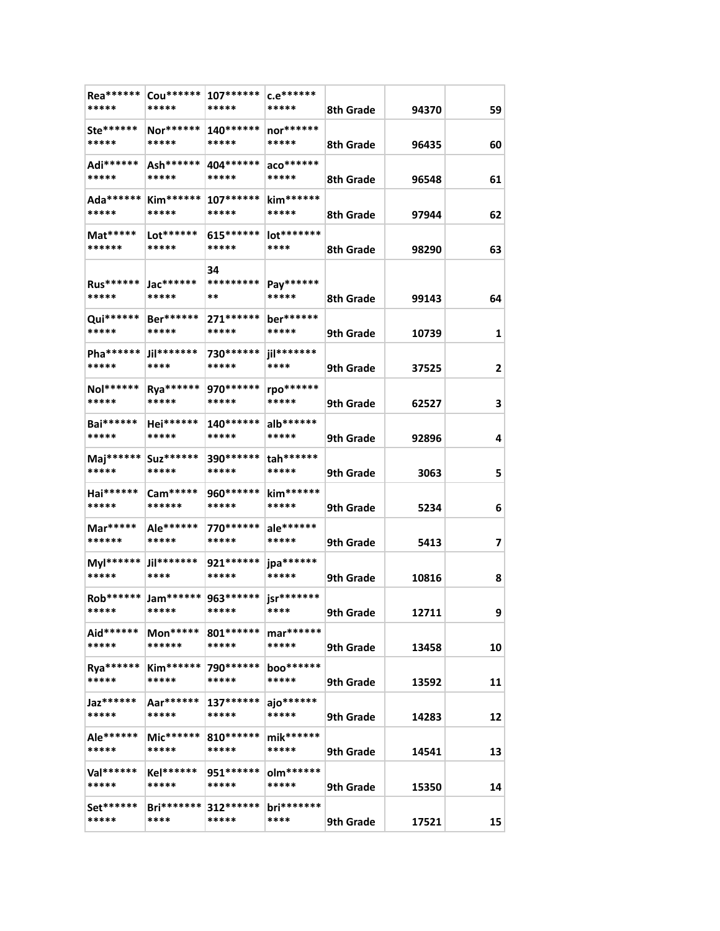| Rea******<br>*****          | Cou******<br>*****                       | $107******$<br>*****      | $c.e$ ******<br>*****       | 8th Grade              | 94370          | 59     |
|-----------------------------|------------------------------------------|---------------------------|-----------------------------|------------------------|----------------|--------|
| Ste******<br>*****          | Nor******<br>*****                       | $140******$<br>*****      | nor******<br>*****          | 8th Grade              | 96435          | 60     |
| Adi******<br>*****          | Ash******<br>*****                       | 404******<br>*****        | $aco******$<br>*****        | 8th Grade              | 96548          | 61     |
| Ada******  <br>*****        | $Kim*****$<br>*****                      | $107******$<br>*****      | kim******<br>*****          | 8th Grade              | 97944          | 62     |
| Mat*****<br>******          | Lot******<br>*****                       | $615******$<br>*****      | lot*******<br>****          | 8th Grade              | 98290          | 63     |
| Rus******                   | Jac******                                | 34<br>*********           | Pay******                   |                        |                |        |
| *****<br>Qui******<br>***** | *****<br>Ber******<br>*****              | **<br>271 ******<br>***** | *****<br>ber******<br>***** | 8th Grade              | 99143          | 64     |
| Pha******<br>*****          | Jil*******<br>****                       | 730 ******<br>*****       | jil*******<br>****          | 9th Grade<br>9th Grade | 10739<br>37525 | 1<br>2 |
| Nol******<br>*****          | Rya******<br>*****                       | 970 *******<br>*****      | rpo******<br>*****          | 9th Grade              | 62527          | 3      |
| <b>Bai******</b><br>*****   | Hei******<br>*****                       | $140******$<br>*****      | alb******<br>*****          | 9th Grade              | 92896          | 4      |
| Maj******<br>*****          | Suz *******<br>*****                     | 390 ******<br>*****       | tah******<br>*****          | 9th Grade              | 3063           | 5      |
| Hai******<br>*****          | $Cam****$<br>******                      | 960******<br>*****        | kim******<br>*****          | 9th Grade              | 5234           | 6      |
| Mar*****<br>******          | Ale******<br>*****                       | 770 *******<br>*****      | ale******<br>*****          | 9th Grade              | 5413           | 7      |
| Myl******<br>*****          | Jil*******<br>****                       | 921 ******<br>*****       | jpa******<br>*****          | 9th Grade              | 10816          | 8      |
| Rob******<br>*****          | Jam******* 963****** jsr*******<br>***** | *****                     | ****                        | 9th Grade              | 12711          | 9      |
| Aid******<br>*****          | $Mon*****$<br>******                     | 801 *******<br>*****      | mar******<br>*****          | 9th Grade              | 13458          | 10     |
| Rya******<br>*****          | $Kim*****$<br>*****                      | 790******<br>*****        | boo******<br>*****          | 9th Grade              | 13592          | 11     |
| Jaz******<br>*****          | Aar******<br>*****                       | 137******<br>*****        | ajo******<br>*****          | 9th Grade              | 14283          | 12     |
| Ale******<br>*****          | $Mic******$<br>*****                     | $810******$<br>*****      | mik******<br>*****          | 9th Grade              | 14541          | 13     |
| Val******<br>*****          | Kel******<br>*****                       | 951******<br>*****        | olm******<br>*****          | 9th Grade              | 15350          | 14     |
| Set******<br>*****          | $Bri*******$<br>****                     | $312******$<br>*****      | $bri******$<br>****         | 9th Grade              | 17521          | 15     |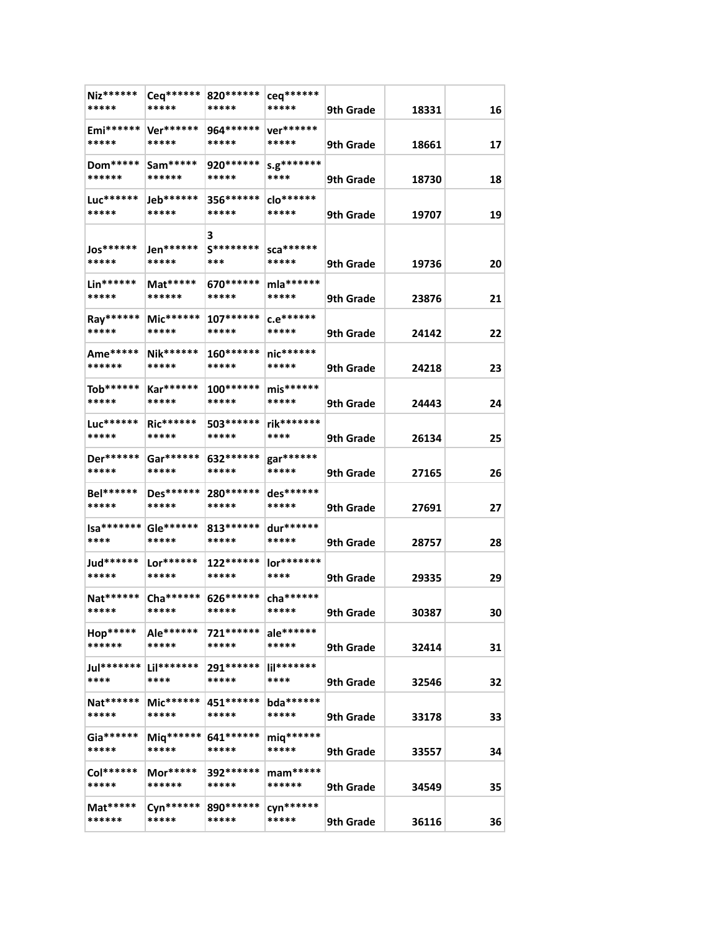| Niz******<br>*****        | Ceq******<br>*****            | 820 *******<br>*****         | ceq******<br>*****      | 9th Grade | 18331 | 16 |
|---------------------------|-------------------------------|------------------------------|-------------------------|-----------|-------|----|
|                           |                               |                              |                         |           |       |    |
| Emi******<br>*****        | Ver******<br>*****            | 964******<br>*****           | ver******<br>*****      | 9th Grade | 18661 | 17 |
| $Dom*****$<br>******      | $Sam****$<br>******           | 920******<br>*****           | s.g********<br>****     | 9th Grade | 18730 | 18 |
| Luc******<br>*****        | Jeb******<br>*****            | 356 ******<br>*****          | clo******<br>*****      | 9th Grade | 19707 | 19 |
| Jos******<br>*****        | Jen******<br>*****            | З<br><b>S********</b><br>*** | sca*******<br>*****     | 9th Grade | 19736 | 20 |
| Lin******<br>*****        | Mat*****<br>******            | 670 ******<br>*****          | mla******<br>*****      | 9th Grade | 23876 | 21 |
| Ray******<br>*****        | $Mic******$<br>*****          | $107******$<br>*****         | $c.e$ ******<br>*****   | 9th Grade | 24142 | 22 |
| Ame*****<br>******        | <b>Nik******</b><br>*****     | $160******$<br>*****         | nic******<br>*****      | 9th Grade | 24218 | 23 |
| Tob******<br>*****        | Kar******<br>*****            | $100******$<br>*****         | $mis******$<br>*****    | 9th Grade | 24443 | 24 |
| Luc******<br>*****        | <b>Ric******</b><br>*****     | 503*******<br>*****          | rik*******<br>****      | 9th Grade | 26134 | 25 |
| Der******<br>*****        | Gar******<br>*****            | 632 *******<br>*****         | gar******<br>*****      | 9th Grade | 27165 | 26 |
| <b>Bel******</b><br>***** | Des******<br>*****            | 280******<br>*****           | des******<br>*****      | 9th Grade | 27691 | 27 |
| $Isa****** $<br>****      | Gle******<br>*****            | 813******<br>*****           | dur******<br>*****      | 9th Grade | 28757 | 28 |
| Jud*******<br>*****       | $Lor******$<br>*****          | 122******<br>*****           | lor*******<br>****      | 9th Grade | 29335 | 29 |
| Nat******<br>*****        | Cha****** 626*******<br>***** | *****                        | cha *******<br>*****    | 9th Grade | 30387 | 30 |
| Hop*****<br>******        | Ale******<br>*****            | 721******<br>*****           | ale******<br>*****      | 9th Grade | 32414 | 31 |
| Jul*******<br>****        | Lil*******<br>****            | 291******<br>*****           | $    ^{******}$<br>**** | 9th Grade | 32546 | 32 |
| Nat******<br>*****        | $Mic******$<br>*****          | 451 ******<br>*****          | bda******<br>*****      | 9th Grade | 33178 | 33 |
| $Ga******$<br>*****       | Miq******<br>*****            | 641******<br>*****           | miq******<br>*****      | 9th Grade | 33557 | 34 |
| Col******<br>*****        | $Mor****$<br>******           | 392******<br>*****           | $mam***$<br>******      | 9th Grade | 34549 | 35 |
| $Mat****$<br>******       | Cyn******<br>*****            | 890******<br>*****           | cyn******<br>*****      | 9th Grade | 36116 | 36 |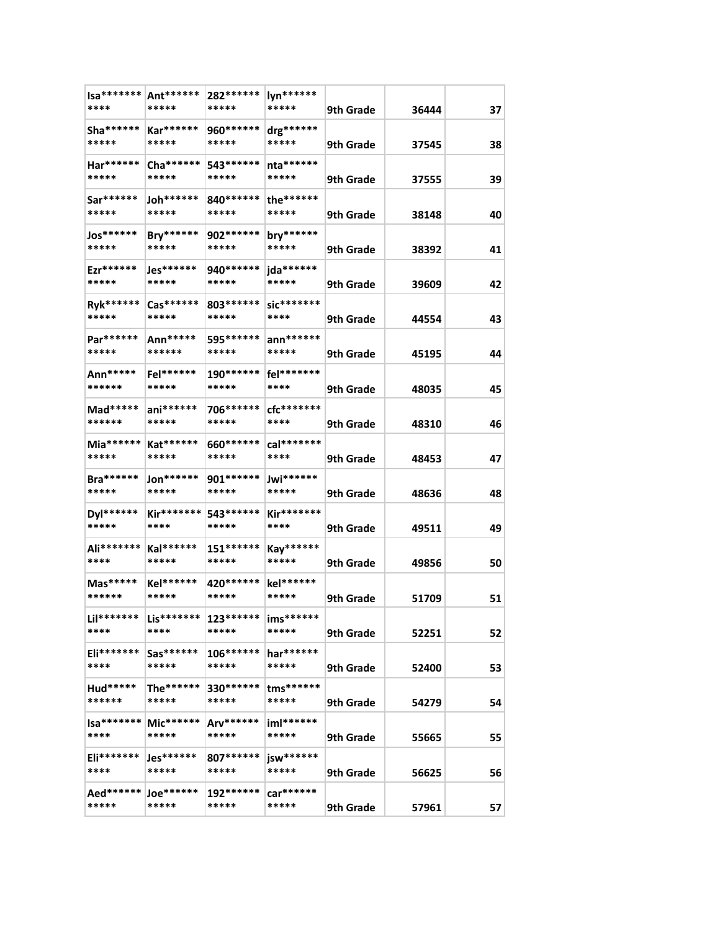| Ant******<br>*****   | 282 ******<br>*****  | lyn******<br>*****    | 9th Grade | 36444                                                                                                             | 37                                                                   |
|----------------------|----------------------|-----------------------|-----------|-------------------------------------------------------------------------------------------------------------------|----------------------------------------------------------------------|
| Kar******<br>*****   | 960******<br>*****   | drg******<br>*****    | 9th Grade | 37545                                                                                                             | 38                                                                   |
| Cha ******<br>*****  | 543 *******<br>***** | $n a******$<br>*****  | 9th Grade | 37555                                                                                                             | 39                                                                   |
| Joh******<br>*****   | 840 ******<br>*****  | the******<br>*****    | 9th Grade | 38148                                                                                                             | 40                                                                   |
| Bry******<br>*****   | 902 ******<br>*****  | bry******<br>*****    | 9th Grade | 38392                                                                                                             | 41                                                                   |
| Jes******<br>*****   | 940 *******<br>***** | jda******<br>*****    | 9th Grade | 39609                                                                                                             | 42                                                                   |
| Cas******<br>*****   | 803*******<br>*****  | sic*******<br>****    | 9th Grade | 44554                                                                                                             | 43                                                                   |
| Ann*****<br>******   | 595 *******<br>***** | $ann******$<br>*****  | 9th Grade | 45195                                                                                                             | 44                                                                   |
| Fel******<br>*****   | 190******<br>*****   | fel*******<br>****    | 9th Grade |                                                                                                                   | 45                                                                   |
| $ani*****$<br>*****  | 706******<br>*****   | $cfc********$<br>**** | 9th Grade | 48310                                                                                                             | 46                                                                   |
| Kat******<br>*****   | 660 *******<br>***** | cal*******<br>****    | 9th Grade | 48453                                                                                                             | 47                                                                   |
| $Jon******$<br>***** | 901 *******<br>***** | Jwi******<br>*****    |           |                                                                                                                   | 48                                                                   |
| Kir*******<br>****   | 543 ******<br>*****  | Kir*******<br>****    |           |                                                                                                                   | 49                                                                   |
| $Kal******$<br>***** | $151******$<br>***** | Kay******<br>*****    |           |                                                                                                                   | 50                                                                   |
| Kel******<br>*****   | 420 ******<br>*****  | kel******<br>*****    |           |                                                                                                                   | 51                                                                   |
| $Lis******$<br>****  | $123******$<br>***** | ims******<br>*****    |           |                                                                                                                   | 52                                                                   |
| $Sas******$<br>***** | $106******$<br>***** | har******<br>*****    |           |                                                                                                                   | 53                                                                   |
| The******<br>*****   | *****                | tms******<br>*****    |           |                                                                                                                   | 54                                                                   |
| $Mic******$<br>***** | Arv******<br>*****   | $im$ ******<br>*****  |           | 55665                                                                                                             | 55                                                                   |
| Jes******<br>*****   | $807******$<br>***** | $isw*****$<br>*****   |           | 56625                                                                                                             | 56                                                                   |
| Joe*******<br>*****  | 192******<br>*****   | car******<br>*****    | 9th Grade | 57961                                                                                                             | 57                                                                   |
|                      |                      |                       | 330****** | 9th Grade<br>9th Grade<br>9th Grade<br>9th Grade<br>9th Grade<br>9th Grade<br>9th Grade<br>9th Grade<br>9th Grade | 48035<br>48636<br>49511<br>49856<br>51709<br>52251<br>52400<br>54279 |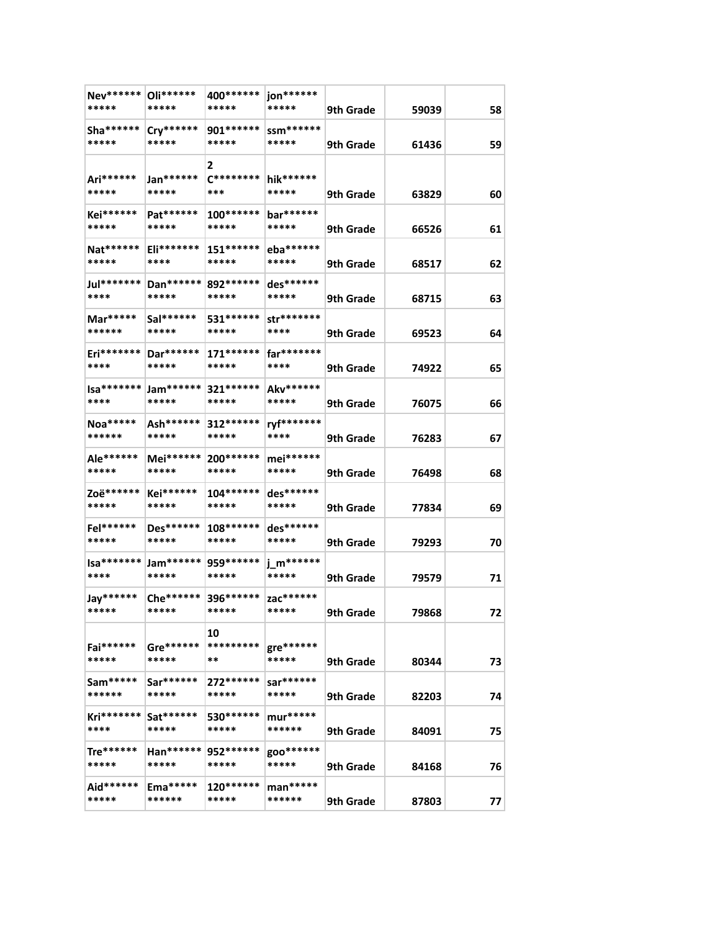| Nev******   Oli******<br>***** | *****                         | 400******<br>*****              | jon******<br>*****   | 9th Grade | 59039 | 58 |
|--------------------------------|-------------------------------|---------------------------------|----------------------|-----------|-------|----|
| $Sha******$<br>*****           | $Cry******$<br>*****          | 901******<br>*****              | ssm******<br>*****   | 9th Grade | 61436 | 59 |
| Ari******<br>*****             | Jan******<br>*****            | 2<br>$C********$<br>***         | hik******<br>*****   | 9th Grade | 63829 | 60 |
| Kei******<br>*****             | Pat******<br>*****            | $100******$<br>*****            | bar******<br>*****   | 9th Grade | 66526 | 61 |
| Nat******<br>*****             | Eli*******<br>****            | $151*****$<br>*****             | eba******<br>*****   | 9th Grade | 68517 | 62 |
| Jul********<br>****            | Dan******<br>*****            | 892******<br>*****              | $des******$<br>***** | 9th Grade | 68715 | 63 |
| Mar*****<br>******             | Sal******<br>*****            | 531 *******<br>*****            | str*******<br>****   | 9th Grade | 69523 | 64 |
| Eri*******  <br>****           | Dar******<br>*****            | $171*****$<br>*****             | far*******<br>****   | 9th Grade | 74922 | 65 |
| Isa*******<br>****             | Jam******<br>*****            | 321 *******<br>*****            | Akv******<br>*****   | 9th Grade | 76075 | 66 |
| Noa*****<br>******             | Ash******<br>*****            | $312******$<br>*****            | ryf*******<br>****   | 9th Grade | 76283 | 67 |
| Ale******<br>*****             | Mei******<br>*****            | 200 ******<br>*****             | mei******<br>*****   | 9th Grade | 76498 | 68 |
| Zoë******<br>*****             | Kei******<br>*****            | $104******$<br>*****            | des******<br>*****   | 9th Grade | 77834 | 69 |
| Fel******<br>*****             | Des******<br>*****            | $108******$<br>*****            | des******<br>*****   | 9th Grade | 79293 | 70 |
| $Isa****** $<br>****           | Jam******* 959******<br>***** | *****                           | j_m******<br>*****   | 9th Grade | 79579 | 71 |
| Jay******<br>*****             | *****                         | Che ******* 396 ******<br>***** | zac*******<br>*****  | 9th Grade | 79868 | 72 |
| Fai******<br>*****             | Gre******<br>*****            | 10<br>*********<br>**           | gre******<br>*****   | 9th Grade | 80344 | 73 |
| $Sam****$<br>******            | Sar******<br>*****            | 272******<br>*****              | sar******<br>*****   | 9th Grade | 82203 | 74 |
| Kri*******<br>****             | Sat******<br>*****            | 530 ******<br>*****             | $mur***$<br>******   | 9th Grade | 84091 | 75 |
| $The******$<br>*****           | Han******<br>*****            | 952******<br>*****              | goo*******<br>*****  | 9th Grade | 84168 | 76 |
| Aid******<br>*****             | $Ema*****$<br>******          | 120******<br>*****              | $man****$<br>******  | 9th Grade | 87803 | 77 |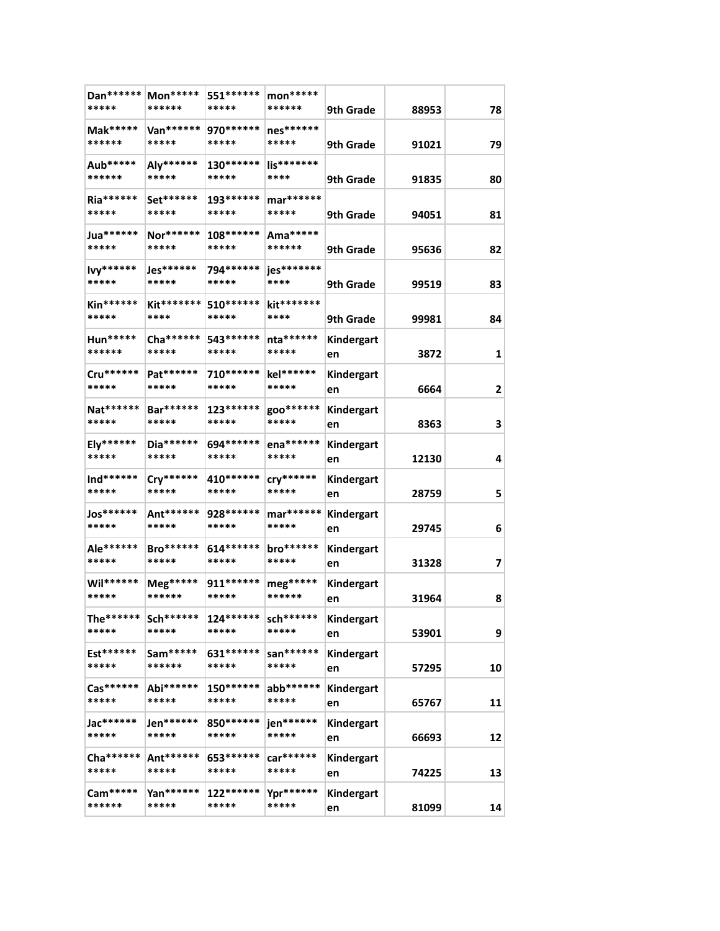| Dan ******<br>*****  | Mon*****<br>******        | 551 ******<br>*****  | $mon***$<br>******   | 9th Grade        | 88953 | 78 |
|----------------------|---------------------------|----------------------|----------------------|------------------|-------|----|
| Mak*****<br>******   | Van******<br>*****        | 970 ******<br>*****  | nes******<br>*****   | 9th Grade        | 91021 | 79 |
| Aub*****<br>******   | Aly******<br>*****        | 130******<br>*****   | lis*******<br>****   | 9th Grade        | 91835 | 80 |
| Ria******<br>*****   | Set******<br>*****        | 193******<br>*****   | mar******<br>*****   | 9th Grade        | 94051 | 81 |
| Jua******<br>*****   | Nor******<br>*****        | 108******<br>*****   | Ama*****<br>******   | 9th Grade        | 95636 | 82 |
| lvy******<br>*****   | Jes******<br>*****        | 794 ******<br>*****  | jes*******<br>****   | 9th Grade        | 99519 | 83 |
| Kin******<br>*****   | Kit*******<br>****        | 510 *******<br>***** | kit*******<br>****   | 9th Grade        | 99981 | 84 |
| Hun*****<br>******   | Cha ******<br>*****       | 543 *******<br>***** | nta******<br>*****   | Kindergart<br>en | 3872  | 1  |
| Cru******<br>*****   | Pat******<br>*****        | 710******<br>*****   | kel******<br>*****   | Kindergart<br>en | 6664  | 2  |
| Nat******<br>*****   | Bar******<br>*****        | 123******<br>*****   | goo*******<br>*****  | Kindergart<br>en | 8363  | 3  |
| Ely******<br>*****   | Dia******<br>*****        | 694 *******<br>***** | ena******<br>*****   | Kindergart<br>en | 12130 | 4  |
| Ind******<br>*****   | Cry******<br>*****        | 410******<br>*****   | cry******<br>*****   | Kindergart<br>en | 28759 | 5  |
| Jos******<br>*****   | Ant******<br>*****        | 928 ******<br>*****  | mar******<br>*****   | Kindergart<br>en | 29745 | 6  |
| Ale******<br>*****   | <b>Bro******</b><br>***** | $614******$<br>***** | bro******<br>*****   | Kindergart<br>en | 31328 | 7  |
| Wil******<br>*****   | Meg*****<br>******        | 911 *******<br>***** | $meg*****$<br>****** | Kindergart<br>en | 31964 | 8  |
| The******<br>*****   | $Sch******$<br>*****      | $124******$<br>***** | sch******<br>*****   | Kindergart<br>en | 53901 | 9  |
| Est******<br>*****   | Sam*****<br>******        | 631 *******<br>***** | san******<br>*****   | Kindergart<br>en | 57295 | 10 |
| Cas******<br>*****   | Abi******<br>*****        | 150******<br>*****   | abb******<br>*****   | Kindergart<br>en | 65767 | 11 |
| Jac******<br>*****   | Jen******<br>*****        | 850 *******<br>***** | jen******<br>*****   | Kindergart<br>en | 66693 | 12 |
| Cha *******<br>***** | Ant******<br>*****        | 653 *******<br>***** | car******<br>*****   | Kindergart<br>en | 74225 | 13 |
| Cam*****<br>******   | Yan******<br>*****        | $122******$<br>***** | Ypr******<br>*****   | Kindergart<br>en | 81099 | 14 |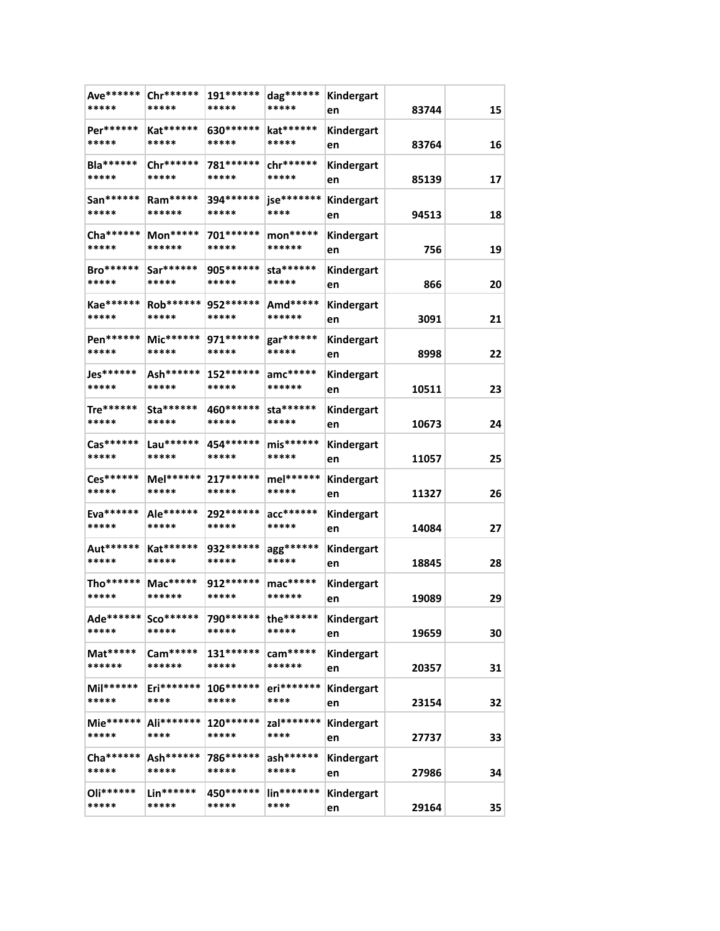| Ave******<br>*****        | Chr******<br>*****                                       | 191******<br>*****   | dag*******<br>*****              | Kindergart<br>en | 83744 | 15 |
|---------------------------|----------------------------------------------------------|----------------------|----------------------------------|------------------|-------|----|
| Per******<br>*****        | Kat******<br>*****                                       | 630 ******<br>*****  | kat******<br>*****               | Kindergart<br>en | 83764 | 16 |
| <b>Bla******</b><br>***** | Chr******<br>*****                                       | 781******<br>*****   | chr******<br>*****               | Kindergart<br>en | 85139 | 17 |
| San******<br>*****        | Ram*****<br>******                                       | 394 ******<br>*****  | jse*******<br>****               | Kindergart<br>en | 94513 | 18 |
| Cha ******<br>*****       | Mon*****<br>******                                       | 701 *******<br>***** | mon*****<br>******               | Kindergart<br>en | 756   | 19 |
| <b>Bro******</b><br>***** | Sar******<br>*****                                       | 905 *******<br>***** | sta******<br>*****               | Kindergart<br>en | 866   | 20 |
| Kae******<br>*****        | Rob******<br>*****                                       | 952 ******<br>*****  | Amd*****<br>******               | Kindergart<br>en | 3091  | 21 |
| Pen******<br>*****        | Mic******<br>*****                                       | 971 ******<br>*****  | gar******<br>*****               | Kindergart<br>en | 8998  | 22 |
| Jes******<br>*****        | Ash******<br>*****                                       | 152 ******<br>*****  | $anc*****$<br>******             | Kindergart<br>en | 10511 | 23 |
| Tre******<br>*****        | Sta******<br>*****                                       | 460 *******<br>***** | sta******<br>*****               | Kindergart<br>en | 10673 | 24 |
| Cas******<br>*****        | $Lau******$<br>*****                                     | 454 ******<br>*****  | $mis******$<br>*****             | Kindergart<br>en | 11057 | 25 |
| Ces******<br>*****        | $Mel******$<br>*****                                     | 217******<br>*****   | mel******<br>*****               | Kindergart<br>en | 11327 | 26 |
| Eva******<br>*****        | Ale******<br>*****                                       | 292 ******<br>*****  | $acc******$<br>*****             | Kindergart<br>en | 14084 | 27 |
| Aut******<br>*****        | Kat******<br>*****                                       | 932 *******<br>***** | agg******<br>*****               | Kindergart<br>en | 18845 | 28 |
| Tho******<br>*****        | Mac*****<br>******                                       | 912 ******<br>*****  | mac*****<br>******               | Kindergart<br>en | 19089 | 29 |
| Ade******  <br>*****      | Sco******<br>*****                                       | 790******<br>*****   | the******<br>*****               | Kindergart<br>en | 19659 | 30 |
| $Mat****$<br>******       | Cam*****<br>******                                       | $131******$<br>***** | cam*****<br>******               | Kindergart<br>en | 20357 | 31 |
| $Mil*****$<br>*****       | $Eri*******$<br>****                                     | 106******<br>*****   | eri*******<br>****               | Kindergart<br>en | 23154 | 32 |
| Mie******<br>*****        | Ali*******<br>****                                       | 120******<br>*****   | zal*******<br>****               | Kindergart<br>en | 27737 | 33 |
| Cha *******<br>*****      | Ash******<br>*****                                       | 786******<br>*****   | ash******<br>*****               | Kindergart<br>en | 27986 | 34 |
| Oli******<br>*****        | $\mathsf{Lin^{***}}^{\ast\ast\ast\ast\ast\ast}$<br>***** | 450 ******<br>*****  | $\mathsf{lin}^{*******}$<br>**** | Kindergart<br>en | 29164 | 35 |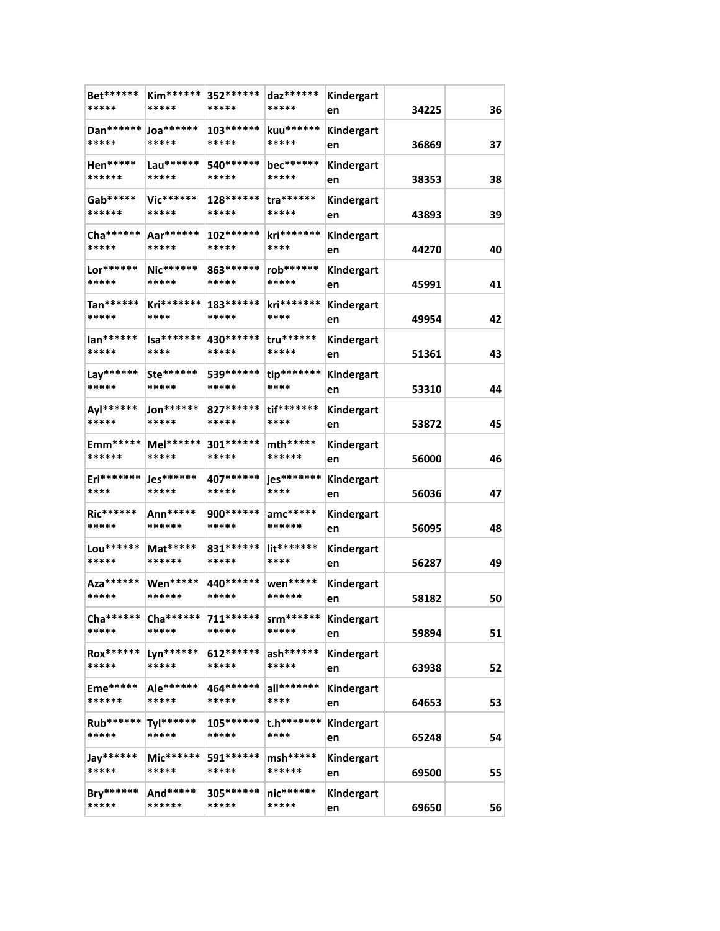| Bet******<br>*****    | <b>Kim******</b><br>***** | 352 ******<br>*****  | daz******<br>*****   | Kindergart<br>en | 34225 | 36 |
|-----------------------|---------------------------|----------------------|----------------------|------------------|-------|----|
| Dan******<br>*****    | $Joa******$<br>*****      | 103 ******<br>*****  | kuu******<br>*****   | Kindergart<br>en | 36869 | 37 |
| Hen*****<br>******    | Lau******<br>*****        | 540 ******<br>*****  | bec******<br>*****   | Kindergart<br>en | 38353 | 38 |
| Gab*****<br>******    | Vic******<br>*****        | 128 ******<br>*****  | tra******<br>*****   | Kindergart<br>en | 43893 | 39 |
| Cha ******<br>*****   | Aar******<br>*****        | 102 ******<br>*****  | kri*******<br>****   | Kindergart<br>en | 44270 | 40 |
| Lor******<br>*****    | Nic******<br>*****        | 863 ******<br>*****  | rob******<br>*****   | Kindergart<br>en | 45991 | 41 |
| Tan******<br>*****    | Kri*******<br>****        | 183 ******<br>*****  | kri*******<br>****   | Kindergart<br>en | 49954 | 42 |
| lan******<br>*****    | $Isa*******$<br>****      | 430 ******<br>*****  | tru******<br>*****   | Kindergart<br>en | 51361 | 43 |
| Lay******<br>*****    | Ste******<br>*****        | 539 ******<br>*****  | tip*******<br>****   | Kindergart<br>en | 53310 | 44 |
| Ayl******<br>*****    | Jon******<br>*****        | 827 ******<br>*****  | tif*******<br>****   | Kindergart<br>en | 53872 | 45 |
| Emm*****<br>******    | Mel******<br>*****        | 301 *******<br>***** | $mth***$<br>******   | Kindergart<br>en | 56000 | 46 |
| Eri*******<br>****    | Jes******<br>*****        | 407 ******<br>*****  | jes*******<br>****   | Kindergart<br>en | 56036 | 47 |
| Ric******<br>*****    | Ann*****<br>******        | 900 *******<br>***** | $anc*****$<br>****** | Kindergart<br>en | 56095 | 48 |
| Lou******<br>*****    | Mat*****<br>******        | 831 ******<br>*****  | lit*******<br>****   | Kindergart<br>en | 56287 | 49 |
| Aza*******<br>*****   | Wen*****<br>******        | 440 ******<br>*****  | wen*****<br>******   | Kindergart<br>en | 58182 | 50 |
| $Cha******$<br>*****  | Cha******<br>*****        | 711******<br>*****   | $sm*****$<br>*****   | Kindergart<br>en | 59894 | 51 |
| Rox******<br>*****    | Lyn******<br>*****        | 612******<br>*****   | ash******<br>*****   | Kindergart<br>en | 63938 | 52 |
| $Eme$ *****<br>****** | Ale******<br>*****        | 464******<br>*****   | all*******<br>****   | Kindergart<br>en | 64653 | 53 |
| Rub******<br>*****    | Tyl******<br>*****        | $105******$<br>***** | t.h*******<br>****   | Kindergart<br>en | 65248 | 54 |
| Jay******<br>*****    | $Mic******$<br>*****      | 591******<br>*****   | $msh***$<br>******   | Kindergart<br>en | 69500 | 55 |
| Bry******<br>*****    | And*****<br>******        | 305******<br>*****   | $nic******$<br>***** | Kindergart<br>en | 69650 | 56 |